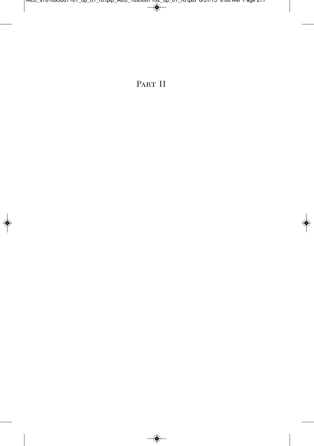# PART II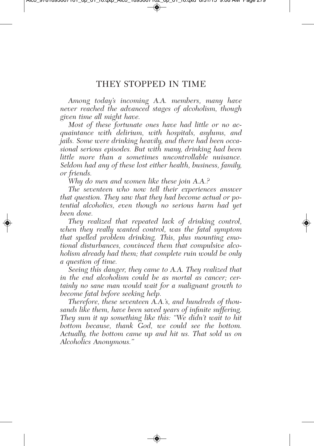#### THEY STOPPED IN TIME

*Among today's incoming A.A. members, many have never reached the advanced stages of alcoholism, though given time all might have.*

*Most of these fortunate ones have had little or no acquaintance with delirium, with hospitals, asylums, and jails. Some were drinking heavily, and there had been occasional serious episodes. But with many, drinking had been little more than a sometimes uncontrollable nuisance. Seldom had any of these lost either health, business, family, or friends.*

*Why do men and women like these join A.A.?*

*The seventeen who now tell their experiences answer that question. They saw that they had become actual or potential alcoholics, even though no serious harm had yet been done.*

*They realized that repeated lack of drinking control, when they really wanted control, was the fatal symptom that spelled problem drinking. This, plus mounting emotional disturbances, convinced them that compulsive alcoholism already had them; that complete ruin would be only a question of time.*

*Seeing this danger, they came to A.A. They realized that in the end alcoholism could be as mortal as cancer; certainly no sane man would wait for a malignant growth to become fatal before seeking help.*

*Therefore, these seventeen A.A.'s, and hundreds of thousands like them, have been saved years of infinite suffering. They sum it up something like this: "We didn't wait to hit bottom because, thank God, we could see the bottom. Actually, the bottom came up and hit us. That sold us on Alcoholics Anonymous."*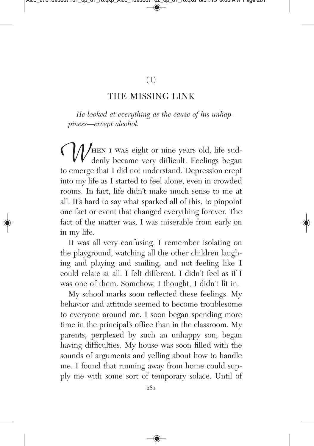## (1)

## THE MISSING LINK

*He looked at everything as the cause of his unhappiness—except alcohol.*

WHEN I WAS eight or nine years old, life sud-<br>to emerge that I did not understand. Depression crept denly became very difficult. Feelings began to emerge that I did not understand. Depression crept into my life as I started to feel alone, even in crowded rooms. In fact, life didn't make much sense to me at all. It's hard to say what sparked all of this, to pinpoint one fact or event that changed everything forever. The fact of the matter was, I was miserable from early on in my life.

It was all very confusing. I remember isolating on the playground, watching all the other children laughing and playing and smiling, and not feeling like I could relate at all. I felt different. I didn't feel as if I was one of them. Somehow, I thought, I didn't fit in.

My school marks soon reflected these feelings. My behavior and attitude seemed to become troublesome to everyone around me. I soon began spending more time in the principal's office than in the classroom. My parents, perplexed by such an unhappy son, began having difficulties. My house was soon filled with the sounds of arguments and yelling about how to handle me. I found that running away from home could supply me with some sort of temporary solace. Until of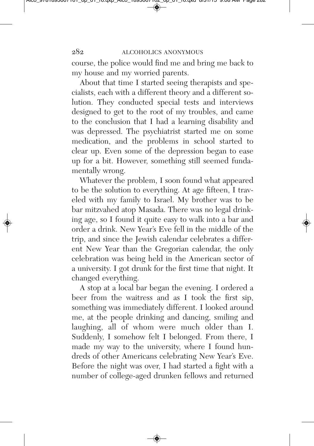course, the police would find me and bring me back to my house and my worried parents.

About that time I started seeing therapists and specialists, each with a different theory and a different solution. They conducted special tests and interviews designed to get to the root of my troubles, and came to the conclusion that I had a learning disability and was depressed. The psychiatrist started me on some medication, and the problems in school started to clear up. Even some of the depression began to ease up for a bit. However, something still seemed fundamentally wrong.

Whatever the problem, I soon found what appeared to be the solution to everything. At age fifteen, I traveled with my family to Israel. My brother was to be bar mitzvahed atop Masada. There was no legal drinking age, so I found it quite easy to walk into a bar and order a drink. New Year's Eve fell in the middle of the trip, and since the Jewish calendar celebrates a different New Year than the Gregorian calendar, the only celebration was being held in the American sector of a university. I got drunk for the first time that night. It changed everything.

A stop at a local bar began the evening. I ordered a beer from the waitress and as I took the first sip, something was immediately different. I looked around me, at the people drinking and dancing, smiling and laughing, all of whom were much older than I. Suddenly, I somehow felt I belonged. From there, I made my way to the university, where I found hundreds of other Americans celebrating New Year's Eve. Before the night was over, I had started a fight with a number of college-aged drunken fellows and returned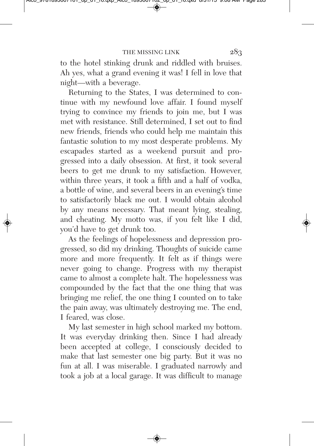to the hotel stinking drunk and riddled with bruises. Ah yes, what a grand evening it was! I fell in love that night—with a beverage.

Returning to the States, I was determined to continue with my newfound love affair. I found myself trying to convince my friends to join me, but I was met with resistance. Still determined, I set out to find new friends, friends who could help me maintain this fantastic solution to my most desperate problems. My escapades started as a weekend pursuit and progressed into a daily obsession. At first, it took several beers to get me drunk to my satisfaction. However, within three years, it took a fifth and a half of vodka, a bottle of wine, and several beers in an evening's time to satisfactorily black me out. I would obtain alcohol by any means necessary. That meant lying, stealing, and cheating. My motto was, if you felt like I did, you'd have to get drunk too.

As the feelings of hopelessness and depression progressed, so did my drinking. Thoughts of suicide came more and more frequently. It felt as if things were never going to change. Progress with my therapist came to almost a complete halt. The hopelessness was compounded by the fact that the one thing that was bringing me relief, the one thing I counted on to take the pain away, was ultimately destroying me. The end, I feared, was close.

My last semester in high school marked my bottom. It was everyday drinking then. Since I had already been accepted at college, I consciously decided to make that last semester one big party. But it was no fun at all. I was miserable. I graduated narrowly and took a job at a local garage. It was difficult to manage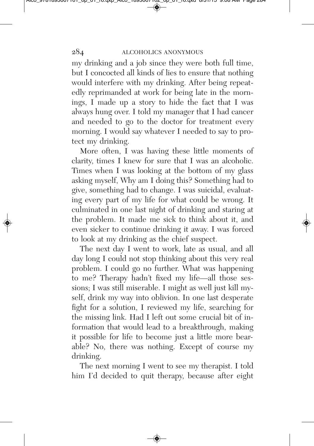my drinking and a job since they were both full time, but I concocted all kinds of lies to ensure that nothing would interfere with my drinking. After being repeatedly reprimanded at work for being late in the mornings, I made up a story to hide the fact that I was always hung over. I told my manager that I had cancer and needed to go to the doctor for treatment every morning. I would say whatever I needed to say to protect my drinking.

More often, I was having these little moments of clarity, times I knew for sure that I was an alcoholic. Times when I was looking at the bottom of my glass asking myself, Why am I doing this? Something had to give, something had to change. I was suicidal, evaluating every part of my life for what could be wrong. It culminated in one last night of drinking and staring at the problem. It made me sick to think about it, and even sicker to continue drinking it away. I was forced to look at my drinking as the chief suspect.

The next day I went to work, late as usual, and all day long I could not stop thinking about this very real problem. I could go no further. What was happening to me? Therapy hadn't fixed my life—all those sessions; I was still miserable. I might as well just kill myself, drink my way into oblivion. In one last desperate fight for a solution, I reviewed my life, searching for the missing link. Had I left out some crucial bit of information that would lead to a breakthrough, making it possible for life to become just a little more bearable? No, there was nothing. Except of course my drinking.

The next morning I went to see my therapist. I told him I'd decided to quit therapy, because after eight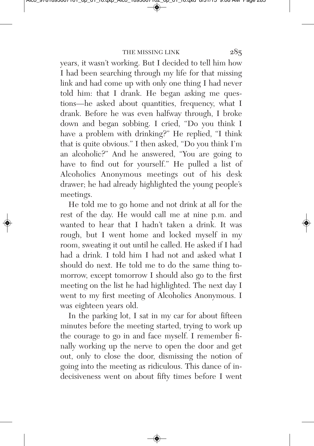years, it wasn't working. But I decided to tell him how I had been searching through my life for that missing link and had come up with only one thing I had never told him: that I drank. He began asking me questions—he asked about quantities, frequency, what I drank. Before he was even halfway through, I broke down and began sobbing. I cried, "Do you think I have a problem with drinking?" He replied, "I think that is quite obvious." I then asked, "Do you think I'm an alcoholic?" And he answered, "You are going to have to find out for yourself." He pulled a list of Alcoholics Anonymous meetings out of his desk drawer; he had already highlighted the young people's meetings.

He told me to go home and not drink at all for the rest of the day. He would call me at nine p.m. and wanted to hear that I hadn't taken a drink. It was rough, but I went home and locked myself in my room, sweating it out until he called. He asked if I had had a drink. I told him I had not and asked what I should do next. He told me to do the same thing tomorrow, except tomorrow I should also go to the first meeting on the list he had highlighted. The next day I went to my first meeting of Alcoholics Anonymous. I was eighteen years old.

In the parking lot, I sat in my car for about fifteen minutes before the meeting started, trying to work up the courage to go in and face myself. I remember finally working up the nerve to open the door and get out, only to close the door, dismissing the notion of going into the meeting as ridiculous. This dance of indecisiveness went on about fifty times before I went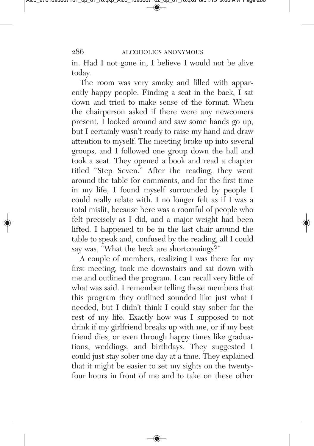#### 286 ALCOHOLICS ANONYMOUS

in. Had I not gone in, I believe I would not be alive today.

The room was very smoky and filled with appar ently happy people. Finding a seat in the back, I sat down and tried to make sense of the format. When the chairperson asked if there were any newcomers present, I looked around and saw some hands go up, but I certainly wasn't ready to raise my hand and draw attention to myself. The meeting broke up into several groups, and I followed one group down the hall and took a seat. They opened a book and read a chapter titled "Step Seven." After the reading, they went around the table for comments, and for the first time in my life, I found myself surrounded by people I could really relate with. I no longer felt as if I was a total misfit, because here was a roomful of people who felt precisely as I did, and a major weight had been lifted. I happened to be in the last chair around the table to speak and, confused by the reading, all I could say was, "What the heck are shortcomings?"

A couple of members, realizing I was there for my first meeting, took me downstairs and sat down with me and outlined the program. I can recall very little of what was said. I remember telling these members that this program they outlined sounded like just what I needed, but I didn't think I could stay sober for the rest of my life. Exactly how was I supposed to not drink if my girlfriend breaks up with me, or if my best friend dies, or even through happy times like graduations, weddings, and birthdays. They suggested I could just stay sober one day at a time. They explained that it might be easier to set my sights on the twentyfour hours in front of me and to take on these other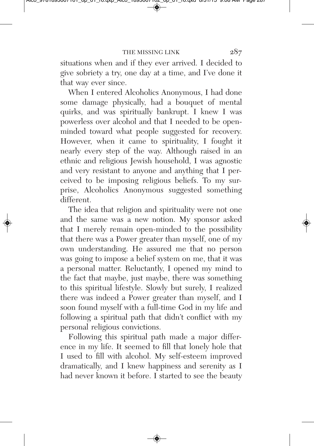situations when and if they ever arrived. I decided to give sobriety a try, one day at a time, and I've done it that way ever since.

When I entered Alcoholics Anonymous, I had done some damage physically, had a bouquet of mental quirks, and was spiritually bankrupt. I knew I was powerless over alcohol and that I needed to be openminded toward what people suggested for recovery. However, when it came to spirituality, I fought it nearly every step of the way. Although raised in an ethnic and religious Jewish household, I was agnostic and very resistant to anyone and anything that I perceived to be imposing religious beliefs. To my surprise, Alcoholics Anonymous suggested something different.

The idea that religion and spirituality were not one and the same was a new notion. My sponsor asked that I merely remain open-minded to the possibility that there was a Power greater than myself, one of my own understanding. He assured me that no person was going to impose a belief system on me, that it was a personal matter. Reluctantly, I opened my mind to the fact that maybe, just maybe, there was something to this spiritual lifestyle. Slowly but surely, I realized there was indeed a Power greater than myself, and I soon found myself with a full-time God in my life and following a spiritual path that didn't conflict with my personal religious convictions.

Following this spiritual path made a major difference in my life. It seemed to fill that lonely hole that I used to fill with alcohol. My self-esteem improved dramatically, and I knew happiness and serenity as I had never known it before. I started to see the beauty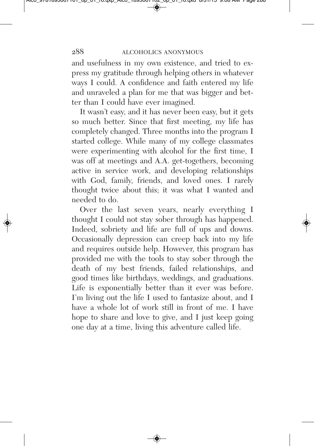and usefulness in my own existence, and tried to express my gratitude through helping others in whatever ways I could. A confidence and faith entered my life and unraveled a plan for me that was bigger and better than I could have ever imagined.

It wasn't easy, and it has never been easy, but it gets so much better. Since that first meeting, my life has completely changed. Three months into the program I started college. While many of my college classmates were experimenting with alcohol for the first time, I was off at meetings and A.A. get-togethers, becoming active in service work, and developing relationships with God, family, friends, and loved ones. I rarely thought twice about this; it was what I wanted and needed to do.

Over the last seven years, nearly everything I thought I could not stay sober through has happened. Indeed, sobriety and life are full of ups and downs. Occasionally depression can creep back into my life and requires outside help. However, this program has provided me with the tools to stay sober through the death of my best friends, failed relationships, and good times like birthdays, weddings, and graduations. Life is exponentially better than it ever was before. I'm living out the life I used to fantasize about, and I have a whole lot of work still in front of me. I have hope to share and love to give, and I just keep going one day at a time, living this adventure called life.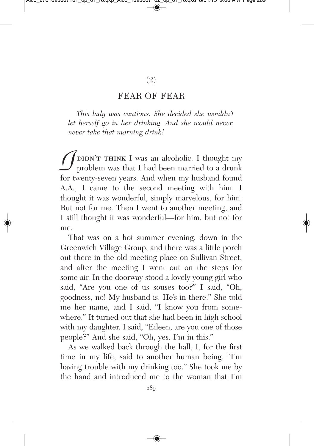#### (2)

#### FEAR OF FEAR

*This lady was cautious. She decided she wouldn't let herself go in her drinking. And she would never, never take that morning drink!*

*I* DIDN'T THINK I was an alcoholic. I thought my problem was that I had been married to a drunk for twenty-seven years. And when my husband found A.A., I came to the second meeting with him. I thought it was wonderful, simply marvelous, for him. But not for me. Then I went to another meeting, and I still thought it was wonderful—for him, but not for me.

That was on a hot summer evening, down in the Greenwich Village Group, and there was a little porch out there in the old meeting place on Sullivan Street, and after the meeting I went out on the steps for some air. In the doorway stood a lovely young girl who said, "Are you one of us souses too?" I said, "Oh, goodness, no! My husband is. He's in there." She told me her name, and I said, "I know you from somewhere." It turned out that she had been in high school with my daughter. I said, "Eileen, are you one of those people?" And she said, "Oh, yes. I'm in this."

As we walked back through the hall, I, for the first time in my life, said to another human being, "I'm having trouble with my drinking too." She took me by the hand and introduced me to the woman that I'm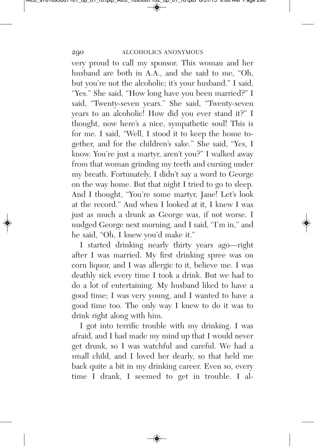very proud to call my sponsor. This woman and her husband are both in A.A., and she said to me, "Oh, but you're not the alcoholic; it's your husband." I said, "Yes." She said, "How long have you been married?" I said, "Twenty-seven years." She said, "Twenty-seven years to an alcoholic! How did you ever stand it?" I thought, now here's a nice, sympathetic soul! This is for me. I said, "Well, I stood it to keep the home together, and for the children's sake." She said, "Yes, I know. You're just a martyr, aren't you?" I walked away from that woman grinding my teeth and cursing under my breath. Fortunately, I didn't say a word to George on the way home. But that night I tried to go to sleep. And I thought, "You're some martyr, Jane! Let's look at the record." And when I looked at it, I knew I was just as much a drunk as George was, if not worse. I nudged George next morning, and I said, "I'm in," and he said, "Oh, I knew you'd make it."

I started drinking nearly thirty years ago—right after I was married. My first drinking spree was on corn liquor, and I was allergic to it, believe me. I was deathly sick every time I took a drink. But we had to do a lot of entertaining. My husband liked to have a good time; I was very young, and I wanted to have a good time too. The only way I knew to do it was to drink right along with him.

I got into terrific trouble with my drinking. I was afraid, and I had made my mind up that I would never get drunk, so I was watchful and careful. We had a small child, and I loved her dearly, so that held me back quite a bit in my drinking career. Even so, every time I drank, I seemed to get in trouble. I al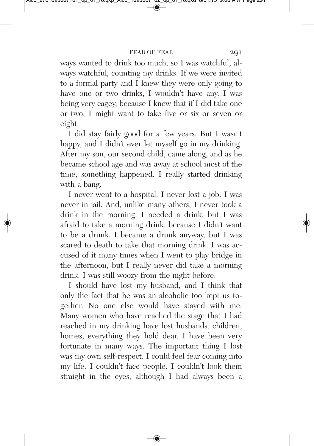ways wanted to drink too much, so I was watchful, always watchful, counting my drinks. If we were invited to a formal party and I knew they were only going to have one or two drinks, I wouldn't have any. I was being very cagey, because I knew that if I did take one or two, I might want to take five or six or seven or eight.

I did stay fairly good for a few years. But I wasn't happy, and I didn't ever let myself go in my drinking. After my son, our second child, came along, and as he became school age and was away at school most of the time, something happened. I really started drinking with a bang.

I never went to a hospital. I never lost a job. I was never in jail. And, unlike many others, I never took a drink in the morning. I needed a drink, but I was afraid to take a morning drink, because I didn't want to be a drunk. I became a drunk anyway, but I was scared to death to take that morning drink. I was accused of it many times when I went to play bridge in the afternoon, but I really never did take a morning drink. I was still woozy from the night before.

I should have lost my husband, and I think that only the fact that he was an alcoholic too kept us together. No one else would have stayed with me. Many women who have reached the stage that I had reached in my drinking have lost husbands, children, homes, everything they hold dear. I have been very fortunate in many ways. The important thing I lost was my own self-respect. I could feel fear coming into my life. I couldn't face people. I couldn't look them straight in the eyes, although I had always been a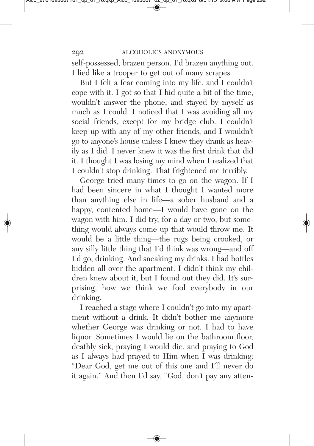self-possessed, brazen person. I'd brazen anything out. I lied like a trooper to get out of many scrapes.

But I felt a fear coming into my life, and I couldn't cope with it. I got so that I hid quite a bit of the time, wouldn't answer the phone, and stayed by myself as much as I could. I noticed that I was avoiding all my social friends, except for my bridge club. I couldn't keep up with any of my other friends, and I wouldn't go to anyone's house unless I knew they drank as heavily as I did. I never knew it was the first drink that did it. I thought I was losing my mind when I realized that I couldn't stop drinking. That frightened me terribly.

George tried many times to go on the wagon. If I had been sincere in what I thought I wanted more than anything else in life—a sober husband and a happy, contented home—I would have gone on the wagon with him. I did try, for a day or two, but something would always come up that would throw me. It would be a little thing—the rugs being crooked, or any silly little thing that I'd think was wrong—and off I'd go, drinking. And sneaking my drinks. I had bottles hidden all over the apartment. I didn't think my children knew about it, but I found out they did. It's surprising, how we think we fool everybody in our drinking.

I reached a stage where I couldn't go into my apartment without a drink. It didn't bother me anymore whether George was drinking or not. I had to have liquor. Sometimes I would lie on the bathroom floor, deathly sick, praying I would die, and praying to God as I always had prayed to Him when I was drinking: "Dear God, get me out of this one and I'll never do it again." And then I'd say, "God, don't pay any atten-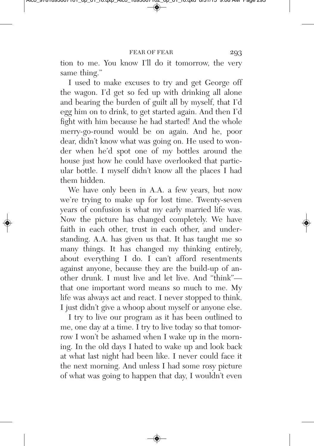tion to me. You know I'll do it tomorrow, the very same thing."

I used to make excuses to try and get George off the wagon. I'd get so fed up with drinking all alone and bearing the burden of guilt all by myself, that I'd egg him on to drink, to get started again. And then I'd fight with him because he had started! And the whole merry-go-round would be on again. And he, poor dear, didn't know what was going on. He used to wonder when he'd spot one of my bottles around the house just how he could have overlooked that particular bottle. I myself didn't know all the places I had them hidden.

We have only been in A.A. a few years, but now we're trying to make up for lost time. Twenty-seven years of confusion is what my early married life was. Now the picture has changed completely. We have faith in each other, trust in each other, and understanding. A.A. has given us that. It has taught me so many things. It has changed my thinking entirely, about everything I do. I can't afford resentments against anyone, because they are the build-up of another drunk. I must live and let live. And "think" that one important word means so much to me. My life was always act and react. I never stopped to think. I just didn't give a whoop about myself or anyone else.

I try to live our program as it has been outlined to me, one day at a time. I try to live today so that tomorrow I won't be ashamed when I wake up in the morning. In the old days I hated to wake up and look back at what last night had been like. I never could face it the next morning. And unless I had some rosy picture of what was going to happen that day, I wouldn't even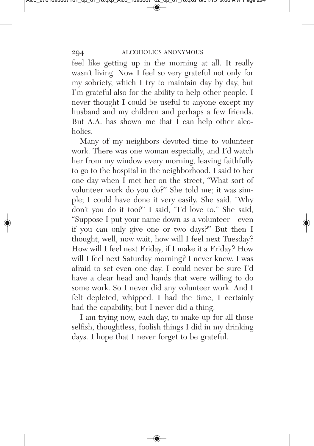feel like getting up in the morning at all. It really wasn't living. Now I feel so very grateful not only for my sobriety, which I try to maintain day by day, but I'm grateful also for the ability to help other people. I never thought I could be useful to anyone except my husband and my children and perhaps a few friends. But A.A. has shown me that  $\overline{I}$  can help other alcoholics.

Many of my neighbors devoted time to volunteer work. There was one woman especially, and I'd watch her from my window every morning, leaving faithfully to go to the hospital in the neighborhood. I said to her one day when I met her on the street, "What sort of volunteer work do you do?" She told me; it was simple; I could have done it very easily. She said, "Why don't you do it too?" I said, "I'd love to." She said, "Suppose I put your name down as a volunteer—even if you can only give one or two days?" But then I thought, well, now wait, how will I feel next Tuesday? How will I feel next Friday, if I make it a Friday? How will I feel next Saturday morning? I never knew. I was afraid to set even one day. I could never be sure I'd have a clear head and hands that were willing to do some work. So I never did any volunteer work. And I felt depleted, whipped. I had the time, I certainly had the capability, but I never did a thing.

I am trying now, each day, to make up for all those selfish, thoughtless, foolish things I did in my drinking days. I hope that I never forget to be grateful.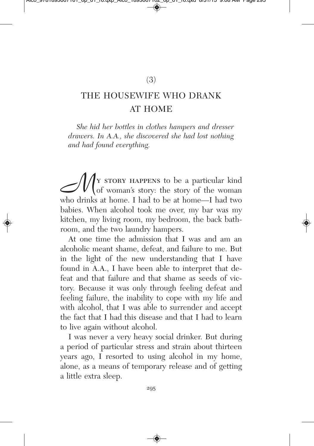# THE HOUSEWIFE WHO DRANK AT HOME

*She hid her bottles in clothes hampers and dresser drawers. In A.A., she discovered she had lost nothing and had found everything.*

**M**Y STORY HAPPENS to be a particular kind<br>who drinks at home. I had to be at home—I had two of woman's story: the story of the woman who drinks at home. I had to be at home—I had two babies. When alcohol took me over, my bar was my kitchen, my living room, my bedroom, the back bathroom, and the two laundry hampers.

At one time the admission that I was and am an alcoholic meant shame, defeat, and failure to me. But in the light of the new understanding that I have found in A.A., I have been able to interpret that defeat and that failure and that shame as seeds of victory. Because it was only through feeling defeat and feeling failure, the inability to cope with my life and with alcohol, that I was able to surrender and accept the fact that I had this disease and that I had to learn to live again without alcohol.

I was never a very heavy social drinker. But during a period of particular stress and strain about thirteen years ago, I resorted to using alcohol in my home, alone, as a means of temporary release and of getting a little extra sleep.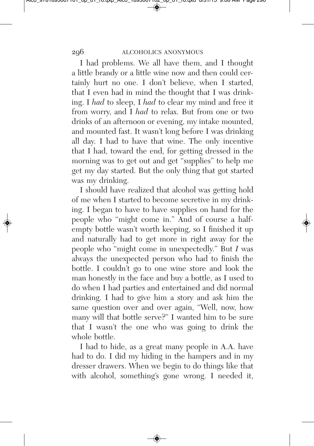I had problems. We all have them, and I thought a little brandy or a little wine now and then could certainly hurt no one. I don't believe, when I started, that I even had in mind the thought that I was drinking. I *had* to sleep, I *had* to clear my mind and free it from worry, and I *had* to relax. But from one or two drinks of an afternoon or evening, my intake mounted, and mounted fast. It wasn't long before I was drinking all day. I had to have that wine. The only incentive that I had, toward the end, for getting dressed in the morning was to get out and get "supplies" to help me get my day started. But the only thing that got started was my drinking.

I should have realized that alcohol was getting hold of me when I started to become secretive in my drinking. I began to have to have supplies on hand for the people who "might come in." And of course a halfempty bottle wasn't worth keeping, so I finished it up and naturally had to get more in right away for the people who "might come in unexpectedly." But *I* was always the unexpected person who had to finish the bottle. I couldn't go to one wine store and look the man honestly in the face and buy a bottle, as I used to do when I had parties and entertained and did normal drinking. I had to give him a story and ask him the same question over and over again, "Well, now, how many will that bottle serve?" I wanted him to be sure that I wasn't the one who was going to drink the whole bottle.

I had to hide, as a great many people in A.A. have had to do. I did my hiding in the hampers and in my dresser drawers. When we begin to do things like that with alcohol, something's gone wrong. I needed it,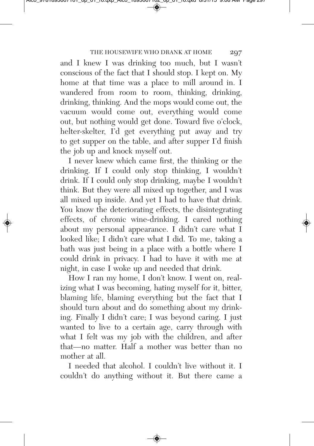and I knew I was drinking too much, but I wasn't conscious of the fact that I should stop. I kept on. My home at that time was a place to mill around in. I wandered from room to room, thinking, drinking, drinking, thinking. And the mops would come out, the vacuum would come out, everything would come out, but nothing would get done. Toward five o'clock, helter-skelter, I'd get everything put away and try to get supper on the table, and after supper I'd finish the job up and knock myself out.

I never knew which came first, the thinking or the drinking. If I could only stop thinking, I wouldn't drink. If I could only stop drinking, maybe I wouldn't think. But they were all mixed up together, and I was all mixed up inside. And yet I had to have that drink. You know the deteriorating effects, the disintegrating effects, of chronic wine-drinking. I cared nothing about my personal appearance. I didn't care what I looked like; I didn't care what I did. To me, taking a bath was just being in a place with a bottle where I could drink in privacy. I had to have it with me at night, in case I woke up and needed that drink.

How I ran my home, I don't know. I went on, realizing what I was becoming, hating myself for it, bitter, blaming life, blaming everything but the fact that I should turn about and do something about my drinking. Finally I didn't care; I was beyond caring. I just wanted to live to a certain age, carry through with what I felt was my job with the children, and after that—no matter. Half a mother was better than no mother at all.

I needed that alcohol. I couldn't live without it. I couldn't do anything without it. But there came a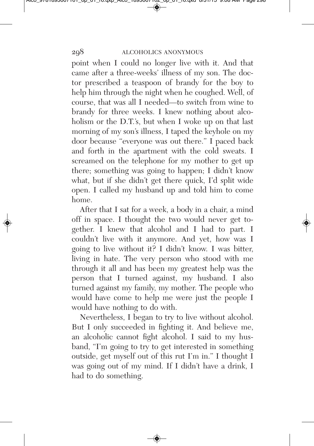point when I could no longer live with it. And that came after a three-weeks' illness of my son. The doctor prescribed a teaspoon of brandy for the boy to help him through the night when he coughed. Well, of course, that was all I needed—to switch from wine to brandy for three weeks. I knew nothing about alcoholism or the D.T.'s, but when I woke up on that last morning of my son's illness, I taped the keyhole on my door because "everyone was out there." I paced back and forth in the apartment with the cold sweats. I screamed on the telephone for my mother to get up there; something was going to happen; I didn't know what, but if she didn't get there quick, I'd split wide open. I called my husband up and told him to come home.

After that I sat for a week, a body in a chair, a mind off in space. I thought the two would never get together. I knew that alcohol and I had to part. I couldn't live with it anymore. And yet, how was I going to live without it? I didn't know. I was bitter, living in hate. The very person who stood with me through it all and has been my greatest help was the person that I turned against, my husband. I also turned against my family, my mother. The people who would have come to help me were just the people I would have nothing to do with.

Nevertheless, I began to try to live without alcohol. But I only succeeded in fighting it. And believe me, an alcoholic cannot fight alcohol. I said to my husband, "I'm going to try to get interested in something outside, get myself out of this rut I'm in." I thought I was going out of my mind. If I didn't have a drink, I had to do something.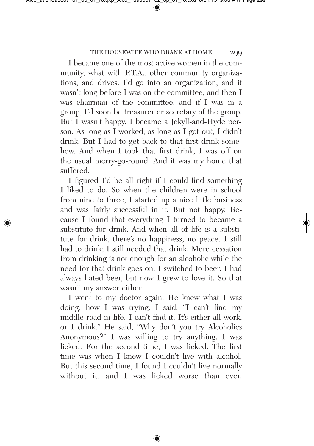I became one of the most active women in the community, what with P.T.A., other community organizations, and drives. I'd go into an organization, and it wasn't long before I was on the committee, and then I was chairman of the committee; and if I was in a group, I'd soon be treasurer or secretary of the group. But I wasn't happy. I became a Jekyll-and-Hyde person. As long as I worked, as long as I got out, I didn't drink. But I had to get back to that first drink somehow. And when I took that first drink, I was off on the usual merry-go-round. And it was my home that suffered.

I figured I'd be all right if I could find something I liked to do. So when the children were in school from nine to three, I started up a nice little business and was fairly successful in it. But not happy. Be cause I found that everything I turned to became a substitute for drink. And when all of life is a substitute for drink, there's no happiness, no peace. I still had to drink; I still needed that drink. Mere cessation from drinking is not enough for an alcoholic while the need for that drink goes on. I switched to beer. I had always hated beer, but now I grew to love it. So that wasn't my answer either.

I went to my doctor again. He knew what I was doing, how I was trying. I said, "I can't find my middle road in life. I can't find it. It's either all work, or I drink." He said, "Why don't you try Alcoholics Anonymous?" I was willing to try anything. I was licked. For the second time, I was licked. The first time was when I knew I couldn't live with alcohol. But this second time, I found I couldn't live normally without it, and I was licked worse than ever.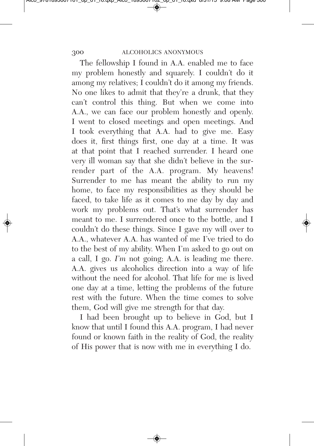The fellowship I found in A.A. enabled me to face my problem honestly and squarely. I couldn't do it among my relatives; I couldn't do it among my friends. No one likes to admit that they're a drunk, that they can't control this thing. But when we come into A.A., we can face our problem honestly and openly. I went to closed meetings and open meetings. And I took everything that A.A. had to give me. Easy does it, first things first, one day at a time. It was at that point that I reached surrender. I heard one very ill woman say that she didn't believe in the surrender part of the A.A. program. My heavens! Surrender to me has meant the ability to run my home, to face my responsibilities as they should be faced, to take life as it comes to me day by day and work my problems out. That's what surrender has meant to me. I surrendered once to the bottle, and I couldn't do these things. Since I gave my will over to A.A., whatever A.A. has wanted of me I've tried to do to the best of my ability. When I'm asked to go out on a call, I go. *I'm* not going; A.A. is leading me there. A.A. gives us alcoholics direction into a way of life without the need for alcohol. That life for me is lived one day at a time, letting the problems of the future rest with the future. When the time comes to solve them, God will give me strength for that day.

I had been brought up to believe in God, but I know that until I found this A.A. program, I had never found or known faith in the reality of God, the reality of His power that is now with me in everything I do.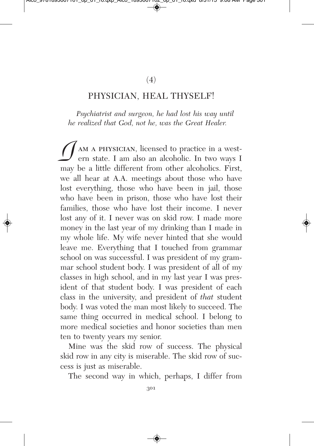#### (4)

#### PHYSICIAN, HEAL THYSELF!

*Psychiatrist and surgeon, he had lost his way until he realized that God, not he, was the Great Healer.*

*I* am a physician, licensed to practice in a western state. I am also an alcoholic. In two ways I may be a little different from other alcoholics. First, we all hear at A.A. meetings about those who have lost everything, those who have been in jail, those who have been in prison, those who have lost their families, those who have lost their income. I never lost any of it. I never was on skid row. I made more money in the last year of my drinking than I made in my whole life. My wife never hinted that she would leave me. Everything that I touched from grammar school on was successful. I was president of my grammar school student body. I was president of all of my classes in high school, and in my last year I was president of that student body. I was president of each class in the university, and president of *that* student body. I was voted the man most likely to succeed. The same thing occurred in medical school. I belong to more medical societies and honor societies than men ten to twenty years my senior.

Mine was the skid row of success. The physical skid row in any city is miserable. The skid row of success is just as miserable.

The second way in which, perhaps, I differ from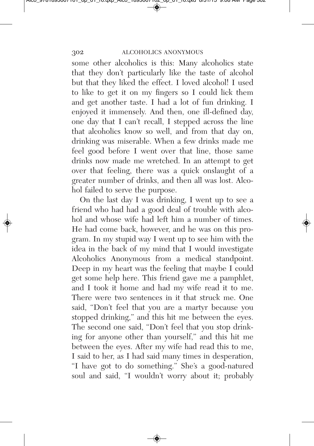some other alcoholics is this: Many alcoholics state that they don't particularly like the taste of alcohol but that they liked the effect. I loved alcohol! I used to like to get it on my fingers so I could lick them and get another taste. I had a lot of fun drinking. I enjoyed it immensely. And then, one ill-defined day, one day that I can't recall, I stepped across the line that alcoholics know so well, and from that day on, drinking was miserable. When a few drinks made me feel good before I went over that line, those same drinks now made me wretched. In an attempt to get over that feeling, there was a quick onslaught of a greater number of drinks, and then all was lost. Alcohol failed to serve the purpose.

On the last day I was drinking, I went up to see a friend who had had a good deal of trouble with alcohol and whose wife had left him a number of times. He had come back, however, and he was on this program. In my stupid way I went up to see him with the idea in the back of my mind that I would investigate Alcoholics Anonymous from a medical standpoint. Deep in my heart was the feeling that maybe I could get some help here. This friend gave me a pamphlet, and I took it home and had my wife read it to me. There were two sentences in it that struck me. One said, "Don't feel that you are a martyr because you stopped drinking," and this hit me between the eyes. The second one said, "Don't feel that you stop drinking for anyone other than yourself," and this hit me between the eyes. After my wife had read this to me, I said to her, as I had said many times in desperation, "I have got to do something." She's a good-natured soul and said, "I wouldn't worry about it; probably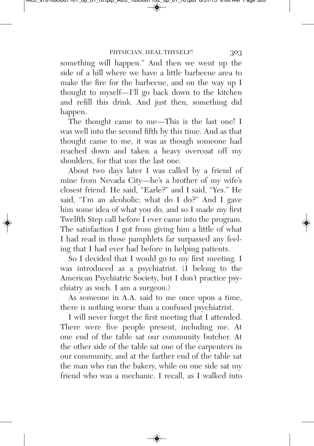something will happen." And then we went up the side of a hill where we have a little barbecue area to make the fire for the barbecue, and on the way up I thought to myself—I'll go back down to the kitchen and refill this drink. And just then, something did happen.

The thought came to me—This is the last one! I was well into the second fifth by this time. And as that thought came to me, it was as though someone had reached down and taken a heavy overcoat off my shoulders, for that *was* the last one.

About two days later I was called by a friend of mine from Nevada City—he's a brother of my wife's closest friend. He said, "Earle?" and I said, "Yes." He said, "I'm an alcoholic; what do I do?" And I gave him some idea of what you do, and so I made my first Twelfth Step call before I ever came into the program. The satisfaction I got from giving him a little of what I had read in those pamphlets far surpassed any feeling that I had ever had before in helping patients.

So I decided that I would go to my first meeting. I was introduced as a psychiatrist. (I belong to the American Psychiatric Society, but I don't practice psychiatry as such. I am a surgeon.)

As someone in A.A. said to me once upon a time, there is nothing worse than a confused psychiatrist.

I will never forget the first meeting that I attended. There were five people present, including me. At one end of the table sat our community butcher. At the other side of the table sat one of the carpenters in our community, and at the farther end of the table sat the man who ran the bakery, while on one side sat my friend who was a mechanic. I recall, as I walked into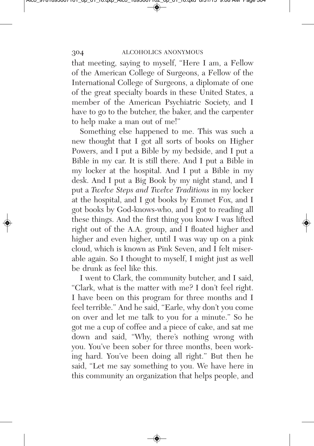that meeting, saying to myself, "Here I am, a Fellow of the American College of Surgeons, a Fellow of the International College of Surgeons, a diplomate of one of the great specialty boards in these United States, a member of the American Psychiatric Society, and I have to go to the butcher, the baker, and the carpenter to help make a man out of me!"

Something else happened to me. This was such a new thought that I got all sorts of books on Higher Powers, and I put a Bible by my bedside, and I put a Bible in my car. It is still there. And I put a Bible in my locker at the hospital. And I put a Bible in my desk. And I put a Big Book by my night stand, and I put a *Twelve Steps and Twelve Traditions* in my locker at the hospital, and I got books by Emmet Fox, and I got books by God-knows-who, and I got to reading all these things. And the first thing you know I was lifted right out of the A.A. group, and I floated higher and higher and even higher, until I was way up on a pink cloud, which is known as Pink Seven, and I felt miserable again. So I thought to myself, I might just as well be drunk as feel like this.

I went to Clark, the community butcher, and I said, "Clark, what is the matter with me? I don't feel right. I have been on this program for three months and I feel terrible." And he said, "Earle, why don't you come on over and let me talk to you for a minute." So he got me a cup of coffee and a piece of cake, and sat me down and said, "Why, there's nothing wrong with you. You've been sober for three months, been working hard. You've been doing all right." But then he said, "Let me say something to you. We have here in this community an organization that helps people, and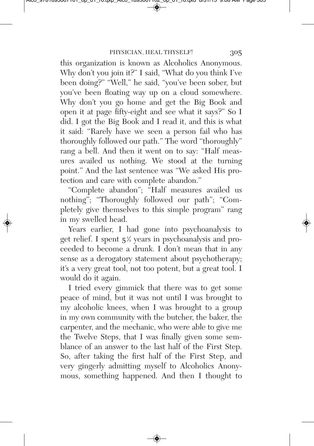this organization is known as Alcoholics Anonymous. Why don't you join it?" I said, "What do you think I've been doing?" "Well," he said, "you've been sober, but you've been floating way up on a cloud somewhere. Why don't you go home and get the Big Book and open it at page fifty-eight and see what it says?" So I did. I got the Big Book and I read it, and this is what it said: "Rarely have we seen a person fail who has thoroughly followed our path." The word "thoroughly" rang a bell. And then it went on to say: "Half measures availed us nothing. We stood at the turning point." And the last sentence was "We asked His protection and care with complete abandon."

"Complete abandon"; "Half measures availed us nothing"; "Thoroughly followed our path"; "Completely give themselves to this simple program" rang in my swelled head.

Years earlier, I had gone into psychoanalysis to get relief. I spent 51 ⁄<sup>2</sup> years in psychoanalysis and proceeded to become a drunk. I don't mean that in any sense as a derogatory statement about psychotherapy; it's a very great tool, not too potent, but a great tool. I would do it again.

I tried every gimmick that there was to get some peace of mind, but it was not until I was brought to my alcoholic knees, when I was brought to a group in my own community with the butcher, the baker, the carpenter, and the mechanic, who were able to give me the Twelve Steps, that I was finally given some semblance of an answer to the last half of the First Step. So, after taking the first half of the First Step, and very gingerly admitting myself to Alcoholics Anony mous, something happened. And then I thought to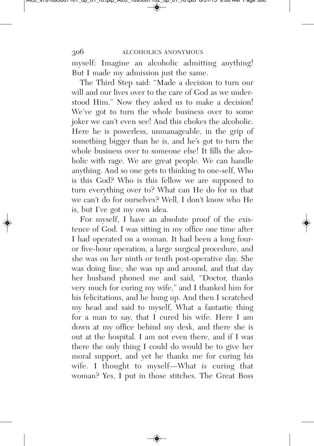myself: Imagine an alcoholic admitting anything! But I made my admission just the same.

The Third Step said: "Made a decision to turn our will and our lives over to the care of God as we understood Him." Now they asked us to make a decision! We've got to turn the whole business over to some joker we can't even see! And this chokes the alcoholic. Here he is powerless, unmanageable, in the grip of something bigger than he is, and he's got to turn the whole business over to someone else! It fills the alcoholic with rage. We are great people. We can handle anything. And so one gets to thinking to one-self, Who is this God? Who is this fellow we are supposed to turn everything over to? What can He do for us that we can't do for ourselves? Well, I don't know who He is, but I've got my own idea.

For myself, I have an absolute proof of the existence of God. I was sitting in my office one time after I had operated on a woman. It had been a long fouror five-hour operation, a large surgical procedure, and she was on her ninth or tenth post-operative day. She was doing fine, she was up and around, and that day her husband phoned me and said, "Doctor, thanks very much for curing my wife," and I thanked him for his felicitations, and he hung up. And then I scratched my head and said to myself, What a fantastic thing for a man to say, that I cured his wife. Here I am down at my office behind my desk, and there she is out at the hospital. I am not even there, and if I was there the only thing I could do would be to give her moral support, and yet he thanks me for curing his wife. I thought to myself—What *is* curing that woman? Yes, I put in those stitches. The Great Boss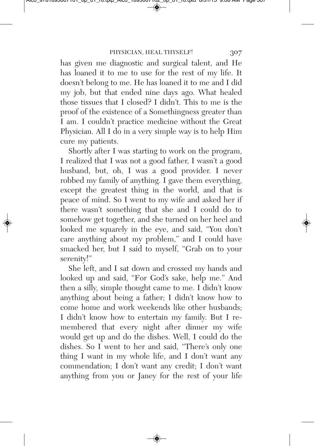has given me diagnostic and surgical talent, and He has loaned it to me to use for the rest of my life. It doesn't belong to me. He has loaned it to me and I did my job, but that ended nine days ago. What healed those tissues that I closed? I didn't. This to me is the proof of the existence of a Somethingness greater than I am. I couldn't practice medicine without the Great Physician. All I do in a very simple way is to help Him cure my patients.

Shortly after I was starting to work on the program, I realized that I was not a good father, I wasn't a good husband, but, oh, I was a good provider. I never robbed my family of anything. I gave them everything, except the greatest thing in the world, and that is peace of mind. So I went to my wife and asked her if there wasn't something that she and I could do to somehow get together, and she turned on her heel and looked me squarely in the eye, and said, "You don't care anything about my problem," and I could have smacked her, but I said to myself, "Grab on to your serenity!"

She left, and I sat down and crossed my hands and looked up and said, "For God's sake, help me." And then a silly, simple thought came to me. I didn't know anything about being a father; I didn't know how to come home and work weekends like other husbands; I didn't know how to entertain my family. But I remembered that every night after dinner my wife would get up and do the dishes. Well, I could do the dishes. So I went to her and said, "There's only one thing I want in my whole life, and I don't want any commendation; I don't want any credit; I don't want anything from you or Janey for the rest of your life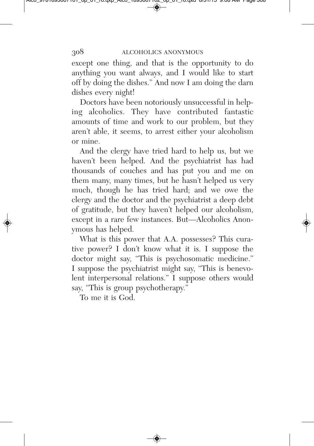except one thing, and that is the opportunity to do anything you want always, and I would like to start off by doing the dishes." And now I am doing the darn dishes every night!

Doctors have been notoriously unsuccessful in helping alcoholics. They have contributed fantastic amounts of time and work to our problem, but they aren't able, it seems, to arrest either your alcoholism or mine.

And the clergy have tried hard to help us, but we haven't been helped. And the psychiatrist has had thousands of couches and has put you and me on them many, many times, but he hasn't helped us very much, though he has tried hard; and we owe the clergy and the doctor and the psychiatrist a deep debt of gratitude, but they haven't helped our alcoholism, except in a rare few instances. But—Alcoholics Anonymous has helped.

What is this power that A.A. possesses? This curative power? I don't know what it is. I suppose the doctor might say, "This is psychosomatic medicine." I suppose the psychiatrist might say, "This is benevolent interpersonal relations." I suppose others would say, "This is group psychotherapy."

To me it is God.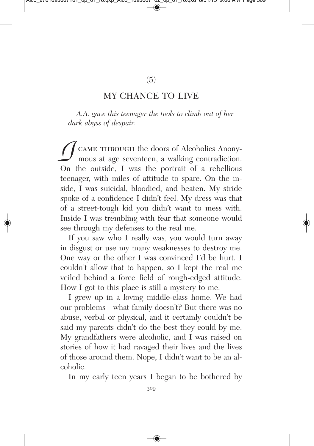### (5)

### MY CHANCE TO LIVE

*A.A. gave this teenager the tools to climb out of her dark abyss of despair.*

CAME THROUGH the doors of Alcoholics Anonymous at age seventeen, a walking contradiction. On the outside, I was the portrait of a rebellious teenager, with miles of attitude to spare. On the inside, I was suicidal, bloodied, and beaten. My stride spoke of a confidence I didn't feel. My dress was that of a street-tough kid you didn't want to mess with. Inside I was trembling with fear that someone would see through my defenses to the real me.

If you saw who I really was, you would turn away in disgust or use my many weaknesses to destroy me. One way or the other I was convinced I'd be hurt. I couldn't allow that to happen, so I kept the real me veiled behind a force field of rough-edged attitude. How I got to this place is still a mystery to me.

I grew up in a loving middle-class home. We had our problems—what family doesn't? But there was no abuse, verbal or physical, and it certainly couldn't be said my parents didn't do the best they could by me. My grandfathers were alcoholic, and I was raised on stories of how it had ravaged their lives and the lives of those around them. Nope, I didn't want to be an alcoholic.

In my early teen years I began to be bothered by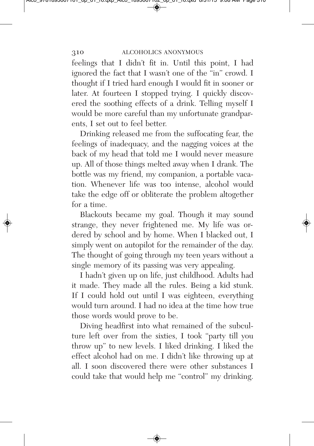feelings that I didn't fit in. Until this point, I had ignored the fact that I wasn't one of the "in" crowd. I thought if I tried hard enough I would fit in sooner or later. At fourteen I stopped trying. I quickly discovered the soothing effects of a drink. Telling myself I would be more careful than my unfortunate grandparents, I set out to feel better.

Drinking released me from the suffocating fear, the feelings of inadequacy, and the nagging voices at the back of my head that told me I would never measure up. All of those things melted away when I drank. The bottle was my friend, my companion, a portable vacation. Whenever life was too intense, alcohol would take the edge off or obliterate the problem altogether for a time.

Blackouts became my goal. Though it may sound strange, they never frightened me. My life was ordered by school and by home. When I blacked out, I simply went on autopilot for the remainder of the day. The thought of going through my teen years without a single memory of its passing was very appealing.

I hadn't given up on life, just childhood. Adults had it made. They made all the rules. Being a kid stunk. If I could hold out until I was eighteen, everything would turn around. I had no idea at the time how true those words would prove to be.

Diving headfirst into what remained of the subculture left over from the sixties, I took "party till you throw up" to new levels. I liked drinking. I liked the effect alcohol had on me. I didn't like throwing up at all. I soon discovered there were other substances I could take that would help me "control" my drinking.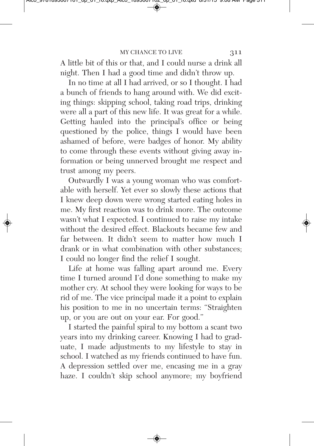A little bit of this or that, and I could nurse a drink all night. Then I had a good time and didn't throw up.

In no time at all I had arrived, or so I thought. I had a bunch of friends to hang around with. We did exciting things: skipping school, taking road trips, drinking were all a part of this new life. It was great for a while. Getting hauled into the principal's office or being questioned by the police, things I would have been ashamed of before, were badges of honor. My ability to come through these events without giving away information or being unnerved brought me respect and trust among my peers.

Outwardly I was a young woman who was comfortable with herself. Yet ever so slowly these actions that I knew deep down were wrong started eating holes in me. My first reaction was to drink more. The outcome wasn't what I expected. I continued to raise my intake without the desired effect. Blackouts became few and far between. It didn't seem to matter how much I drank or in what combination with other substances; I could no longer find the relief I sought.

Life at home was falling apart around me. Every time I turned around I'd done something to make my mother cry. At school they were looking for ways to be rid of me. The vice principal made it a point to explain his position to me in no uncertain terms: "Straighten up, or you are out on your ear. For good."

I started the painful spiral to my bottom a scant two years into my drinking career. Knowing I had to graduate, I made adjustments to my lifestyle to stay in school. I watched as my friends continued to have fun. A depression settled over me, encasing me in a gray haze. I couldn't skip school anymore; my boyfriend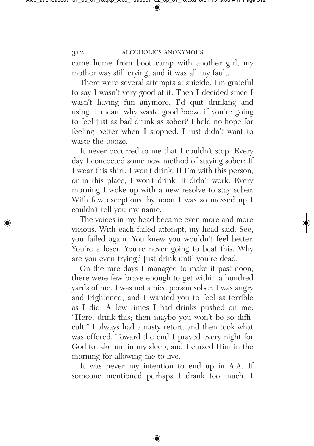came home from boot camp with another girl; my mother was still crying, and it was all my fault.

There were several attempts at suicide. I'm grateful to say I wasn't very good at it. Then I decided since I wasn't having fun anymore, I'd quit drinking and using. I mean, why waste good booze if you're going to feel just as bad drunk as sober? I held no hope for feeling better when I stopped. I just didn't want to waste the booze.

It never occurred to me that I couldn't stop. Every day I concocted some new method of staying sober: If I wear this shirt, I won't drink. If I'm with this person, or in this place, I won't drink. It didn't work. Every morning I woke up with a new resolve to stay sober. With few exceptions, by noon I was so messed up I couldn't tell you my name.

The voices in my head became even more and more vicious. With each failed attempt, my head said: See, you failed again. You knew you wouldn't feel better. You're a loser. You're never going to beat this. Why are you even trying? Just drink until you're dead.

On the rare days I managed to make it past noon, there were few brave enough to get within a hundred yards of me. I was not a nice person sober. I was angry and frightened, and I wanted you to feel as terrible as I did. A few times I had drinks pushed on me: "Here, drink this; then maybe you won't be so difficult." I always had a nasty retort, and then took what was offered. Toward the end I prayed every night for God to take me in my sleep, and I cursed Him in the morning for allowing me to live.

It was never my intention to end up in A.A. If someone mentioned perhaps I drank too much, I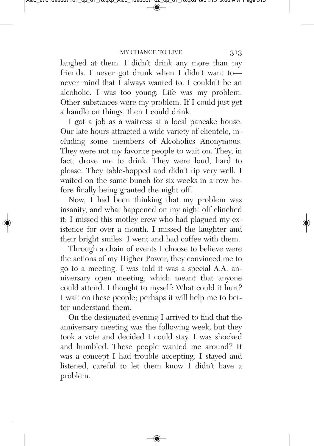laughed at them. I didn't drink any more than my friends. I never got drunk when I didn't want to never mind that I always wanted to. I couldn't be an alcoholic. I was too young. Life was my problem. Other substances were my problem. If I could just get a handle on things, then I could drink.

I got a job as a waitress at a local pancake house. Our late hours attracted a wide variety of clientele, including some members of Alcoholics Anonymous. They were not my favorite people to wait on. They, in fact, drove me to drink. They were loud, hard to please. They table-hopped and didn't tip very well. I waited on the same bunch for six weeks in a row before finally being granted the night off.

Now, I had been thinking that my problem was insanity, and what happened on my night off clinched it: I missed this motley crew who had plagued my existence for over a month. I missed the laughter and their bright smiles. I went and had coffee with them.

Through a chain of events I choose to believe were the actions of my Higher Power, they convinced me to go to a meeting. I was told it was a special A.A. anniversary open meeting, which meant that anyone could attend. I thought to myself: What could it hurt? I wait on these people; perhaps it will help me to better understand them.

On the designated evening I arrived to find that the anniversary meeting was the following week, but they took a vote and decided I could stay. I was shocked and humbled. These people wanted me around? It was a concept I had trouble accepting. I stayed and listened, careful to let them know I didn't have a problem.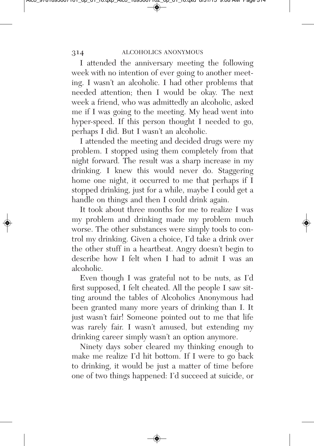I attended the anniversary meeting the following week with no intention of ever going to another meeting. I wasn't an alcoholic. I had other problems that needed attention; then I would be okay. The next week a friend, who was admittedly an alcoholic, asked me if I was going to the meeting. My head went into hyper-speed. If this person thought I needed to go, perhaps I did. But I wasn't an alcoholic.

I attended the meeting and decided drugs were my problem. I stopped using them completely from that night forward. The result was a sharp increase in my drinking. I knew this would never do. Staggering home one night, it occurred to me that perhaps if I stopped drinking, just for a while, maybe I could get a handle on things and then I could drink again.

It took about three months for me to realize I was my problem and drinking made my problem much worse. The other substances were simply tools to control my drinking. Given a choice, I'd take a drink over the other stuff in a heartbeat. Angry doesn't begin to describe how I felt when I had to admit I was an alcoholic.

Even though I was grateful not to be nuts, as I'd first supposed, I felt cheated. All the people I saw sitting around the tables of Alcoholics Anonymous had been granted many more years of drinking than I. It just wasn't fair! Someone pointed out to me that life was rarely fair. I wasn't amused, but extending my drinking career simply wasn't an option anymore.

Ninety days sober cleared my thinking enough to make me realize I'd hit bottom. If I were to go back to drinking, it would be just a matter of time before one of two things happened: I'd succeed at suicide, or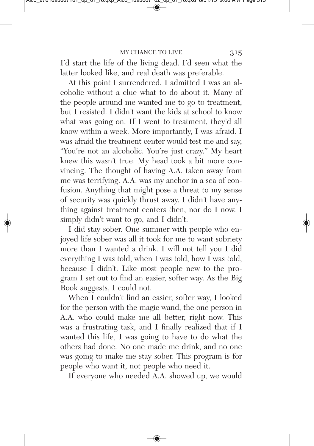I'd start the life of the living dead. I'd seen what the latter looked like, and real death was preferable.

At this point I surrendered. I admitted I was an alcoholic without a clue what to do about it. Many of the people around me wanted me to go to treatment, but I resisted. I didn't want the kids at school to know what was going on. If I went to treatment, they'd all know within a week. More importantly, I was afraid. I was afraid the treatment center would test me and say, "You're not an alcoholic. You're just crazy." My heart knew this wasn't true. My head took a bit more convincing. The thought of having A.A. taken away from me was terrifying. A.A. was my anchor in a sea of confusion. Anything that might pose a threat to my sense of security was quickly thrust away. I didn't have anything against treatment centers then, nor do I now. I simply didn't want to go, and I didn't.

I did stay sober. One summer with people who enjoyed life sober was all it took for me to want sobriety more than I wanted a drink. I will not tell you I did everything I was told, when I was told, how I was told, because I didn't. Like most people new to the program I set out to find an easier, softer way. As the Big Book suggests, I could not.

When I couldn't find an easier, softer way, I looked for the person with the magic wand, the one person in A.A. who could make me all better, right now. This was a frustrating task, and I finally realized that if I wanted this life, I was going to have to do what the others had done. No one made me drink, and no one was going to make me stay sober. This program is for people who want it, not people who need it.

If everyone who needed A.A. showed up, we would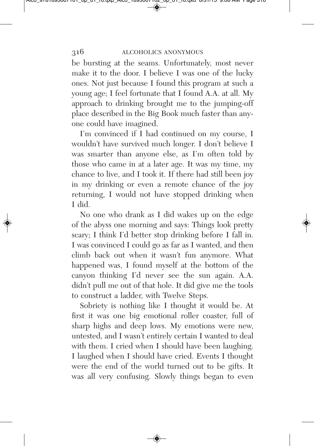be bursting at the seams. Unfortunately, most never make it to the door. I believe I was one of the lucky ones. Not just because I found this program at such a young age; I feel fortunate that I found A.A. at all. My approach to drinking brought me to the jumping-off place described in the Big Book much faster than anyone could have imagined.

I'm convinced if I had continued on my course, I wouldn't have survived much longer. I don't believe I was smarter than anyone else, as I'm often told by those who came in at a later age. It was my time, my chance to live, and I took it. If there had still been joy in my drinking or even a remote chance of the joy returning, I would not have stopped drinking when I did.

No one who drank as I did wakes up on the edge of the abyss one morning and says: Things look pretty scary; I think I'd better stop drinking before I fall in. I was convinced I could go as far as I wanted, and then climb back out when it wasn't fun anymore. What happened was, I found myself at the bottom of the canyon thinking I'd never see the sun again. A.A. didn't pull me out of that hole. It did give me the tools to construct a ladder, with Twelve Steps.

Sobriety is nothing like I thought it would be. At first it was one big emotional roller coaster, full of sharp highs and deep lows. My emotions were new, untested, and I wasn't entirely certain I wanted to deal with them. I cried when I should have been laughing. I laughed when I should have cried. Events I thought were the end of the world turned out to be gifts. It was all very confusing. Slowly things began to even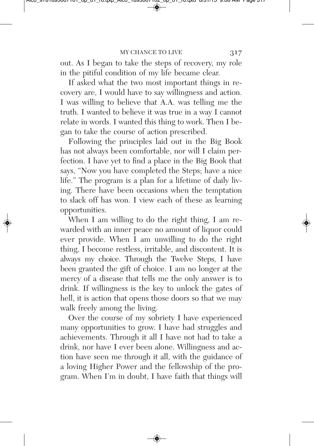out. As I began to take the steps of recovery, my role in the pitiful condition of my life became clear.

If asked what the two most important things in recovery are, I would have to say willingness and action. I was willing to believe that A.A. was telling me the truth. I wanted to believe it was true in a way I cannot relate in words. I wanted this thing to work. Then I be gan to take the course of action prescribed.

Following the principles laid out in the Big Book has not always been comfortable, nor will I claim perfection. I have yet to find a place in the Big Book that says, "Now you have completed the Steps; have a nice life." The program is a plan for a lifetime of daily living. There have been occasions when the temptation to slack off has won. I view each of these as learning opportunities.

When I am willing to do the right thing, I am rewarded with an inner peace no amount of liquor could ever provide. When I am unwilling to do the right thing, I become restless, irritable, and discontent. It is always my choice. Through the Twelve Steps, I have been granted the gift of choice. I am no longer at the mercy of a disease that tells me the only answer is to drink. If willingness is the key to unlock the gates of hell, it is action that opens those doors so that we may walk freely among the living.

Over the course of my sobriety I have experienced many opportunities to grow. I have had struggles and achievements. Through it all I have not had to take a drink, nor have I ever been alone. Willingness and action have seen me through it all, with the guidance of a loving Higher Power and the fellowship of the program. When I'm in doubt, I have faith that things will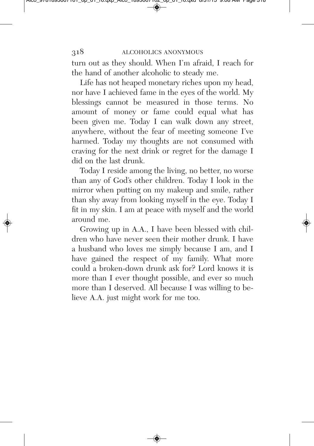turn out as they should. When I'm afraid, I reach for the hand of another alcoholic to steady me.

Life has not heaped monetary riches upon my head, nor have I achieved fame in the eyes of the world. My blessings cannot be measured in those terms. No amount of money or fame could equal what has been given me. Today I can walk down any street, anywhere, without the fear of meeting someone I've harmed. Today my thoughts are not consumed with craving for the next drink or regret for the damage I did on the last drunk.

Today I reside among the living, no better, no worse than any of God's other children. Today I look in the mirror when putting on my makeup and smile, rather than shy away from looking myself in the eye. Today I fit in my skin. I am at peace with myself and the world around me.

Growing up in A.A., I have been blessed with children who have never seen their mother drunk. I have a husband who loves me simply because I am, and I have gained the respect of my family. What more could a broken-down drunk ask for? Lord knows it is more than I ever thought possible, and ever so much more than I deserved. All because I was willing to believe A.A. just might work for me too.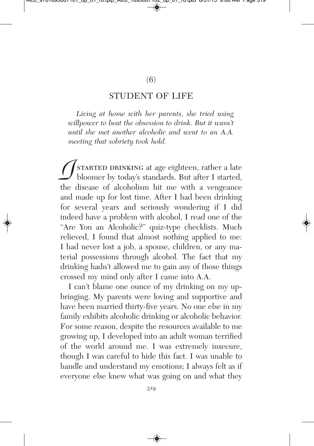## (6)

#### STUDENT OF LIFE

*Living at home with her parents, she tried using willpower to beat the obsession to drink. But it wasn't until she met another alcoholic and went to an A.A. meeting that sobriety took hold.*

IF STARTED DRINKING at age eighteen, rather a late bloomer by today's standards. But after I started, the disease of alcoholism hit me with a vengeance and made up for lost time. After I had been drinking for several years and seriously wondering if I did indeed have a problem with alcohol, I read one of the "Are You an Alcoholic?" quiz-type checklists. Much relieved, I found that almost nothing applied to me: I had never lost a job, a spouse, children, or any material possessions through alcohol. The fact that my drinking hadn't allowed me to gain any of those things crossed my mind only after I came into A.A.

I can't blame one ounce of my drinking on my upbringing. My parents were loving and supportive and have been married thirty-five years. No one else in my family exhibits alcoholic drinking or alcoholic behavior. For some reason, despite the resources available to me growing up, I developed into an adult woman terrified of the world around me. I was extremely insecure, though I was careful to hide this fact. I was unable to handle and understand my emotions; I always felt as if everyone else knew what was going on and what they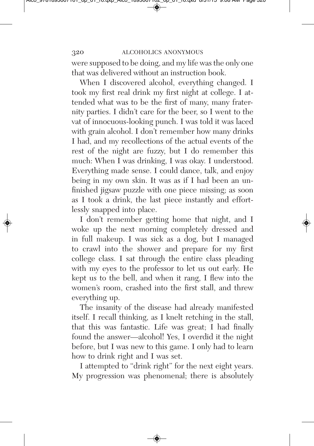were supposed to be doing, and my life was the only one that was delivered without an instruction book.

When I discovered alcohol, everything changed. I took my first real drink my first night at college. I attended what was to be the first of many, many fraternity parties. I didn't care for the beer, so I went to the vat of innocuous-looking punch. I was told it was laced with grain alcohol. I don't remember how many drinks I had, and my recollections of the actual events of the rest of the night are fuzzy, but I do remember this much: When I was drinking, I was okay. I understood. Everything made sense. I could dance, talk, and enjoy being in my own skin. It was as if I had been an unfinished jigsaw puzzle with one piece missing; as soon as I took a drink, the last piece instantly and effortlessly snapped into place.

I don't remember getting home that night, and I woke up the next morning completely dressed and in full makeup. I was sick as a dog, but I managed to crawl into the shower and prepare for my first college class. I sat through the entire class pleading with my eyes to the professor to let us out early. He kept us to the bell, and when it rang, I flew into the women's room, crashed into the first stall, and threw everything up.

The insanity of the disease had already manifested itself. I recall thinking, as I knelt retching in the stall, that this was fantastic. Life was great; I had finally found the answer—alcohol! Yes, I overdid it the night before, but I was new to this game. I only had to learn how to drink right and I was set.

I attempted to "drink right" for the next eight years. My progression was phenomenal; there is absolutely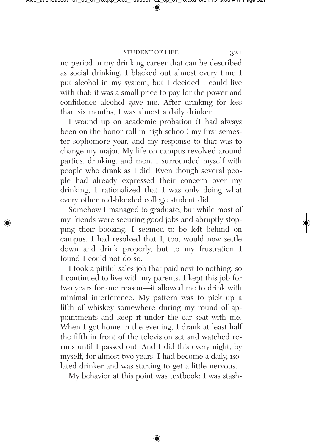no period in my drinking career that can be described as social drinking. I blacked out almost every time I put alcohol in my system, but I decided I could live with that; it was a small price to pay for the power and confidence alcohol gave me. After drinking for less than six months, I was almost a daily drinker.

I wound up on academic probation (I had always been on the honor roll in high school) my first semester sophomore year, and my response to that was to change my major. My life on campus revolved around parties, drinking, and men. I surrounded myself with people who drank as I did. Even though several people had already expressed their concern over my drinking, I rationalized that I was only doing what every other red-blooded college student did.

Somehow I managed to graduate, but while most of my friends were securing good jobs and abruptly stopping their boozing, I seemed to be left behind on campus. I had resolved that I, too, would now settle down and drink properly, but to my frustration I found I could not do so.

I took a pitiful sales job that paid next to nothing, so I continued to live with my parents. I kept this job for two years for one reason—it allowed me to drink with minimal interference. My pattern was to pick up a fifth of whiskey somewhere during my round of appointments and keep it under the car seat with me. When I got home in the evening, I drank at least half the fifth in front of the television set and watched reruns until I passed out. And I did this every night, by myself, for almost two years. I had become a daily, isolated drinker and was starting to get a little nervous.

My behavior at this point was textbook: I was stash-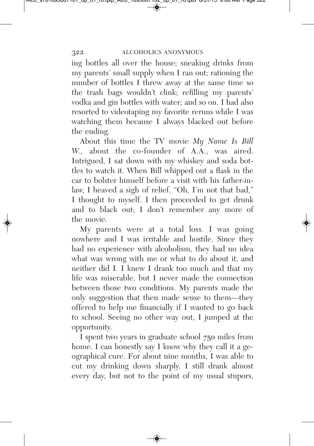ing bottles all over the house; sneaking drinks from my parents' small supply when I ran out; rationing the number of bottles I threw away at the same time so the trash bags wouldn't clink; refilling my parents' vodka and gin bottles with water; and so on. I had also resorted to videotaping my favorite reruns while I was watching them because I always blacked out before the ending.

About this time the TV movie *My Name Is Bill W.,* about the co-founder of A.A., was aired. Intrigued, I sat down with my whiskey and soda bottles to watch it. When Bill whipped out a flask in the car to bolster himself before a visit with his father-inlaw, I heaved a sigh of relief. "Oh, I'm not that bad," I thought to myself. I then proceeded to get drunk and to black out; I don't remember any more of the movie.

My parents were at a total loss. I was going nowhere and I was irritable and hostile. Since they had no experience with alcoholism, they had no idea what was wrong with me or what to do about it, and neither did I. I knew I drank too much and that my life was miserable, but I never made the connection between those two conditions. My parents made the only suggestion that then made sense to them—they offered to help me financially if I wanted to go back to school. Seeing no other way out, I jumped at the opportunity.

I spent two years in graduate school 750 miles from home. I can honestly say I know why they call it a geographical cure. For about nine months, I was able to cut my drinking down sharply. I still drank almost every day, but not to the point of my usual stupors,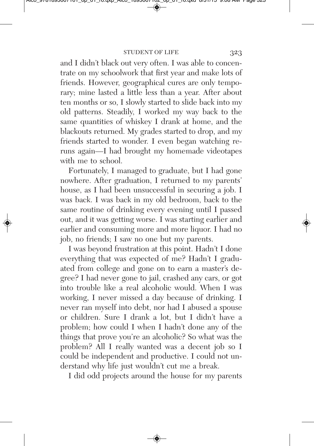and I didn't black out very often. I was able to concentrate on my schoolwork that first year and make lots of friends. However, geographical cures are only temporary; mine lasted a little less than a year. After about ten months or so, I slowly started to slide back into my old patterns. Steadily, I worked my way back to the same quantities of whiskey I drank at home, and the blackouts returned. My grades started to drop, and my friends started to wonder. I even began watching reruns again—I had brought my homemade videotapes with me to school.

Fortunately, I managed to graduate, but I had gone nowhere. After graduation, I returned to my parents' house, as I had been unsuccessful in securing a job. I was back. I was back in my old bedroom, back to the same routine of drinking every evening until I passed out, and it was getting worse. I was starting earlier and earlier and consuming more and more liquor. I had no job, no friends; I saw no one but my parents.

I was beyond frustration at this point. Hadn't I done everything that was expected of me? Hadn't I graduated from college and gone on to earn a master's degree? I had never gone to jail, crashed any cars, or got into trouble like a real alcoholic would. When I was working, I never missed a day because of drinking. I never ran myself into debt, nor had I abused a spouse or children. Sure I drank a lot, but I didn't have a problem; how could I when I hadn't done any of the things that prove you're an alcoholic? So what was the problem? All I really wanted was a decent job so I could be independent and productive. I could not understand why life just wouldn't cut me a break.

I did odd projects around the house for my parents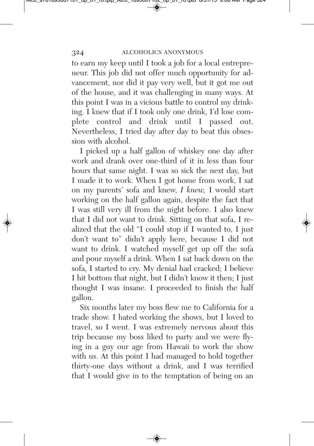to earn my keep until I took a job for a local entrepreneur. This job did not offer much opportunity for advancement, nor did it pay very well, but it got me out of the house, and it was challenging in many ways. At this point I was in a vicious battle to control my drinking. I knew that if I took only one drink, I'd lose complete control and drink until I passed out. Nevertheless, I tried day after day to beat this obsession with alcohol.

I picked up a half gallon of whiskey one day after work and drank over one-third of it in less than four hours that same night. I was so sick the next day, but I made it to work. When I got home from work, I sat on my parents' sofa and knew, *I knew,* I would start working on the half gallon again, despite the fact that I was still very ill from the night before. I also knew that I did not want to drink. Sitting on that sofa, I realized that the old "I could stop if I wanted to, I just don't want to" didn't apply here, because I did not want to drink. I watched myself get up off the sofa and pour myself a drink. When I sat back down on the sofa, I started to cry. My denial had cracked; I believe I hit bottom that night, but I didn't know it then; I just thought I was insane. I proceeded to finish the half gallon.

Six months later my boss flew me to California for a trade show. I hated working the shows, but I loved to travel, so I went. I was extremely nervous about this trip because my boss liked to party and we were flying in a guy our age from Hawaii to work the show with us. At this point I had managed to hold together thirty-one days without a drink, and I was terrified that I would give in to the temptation of being on an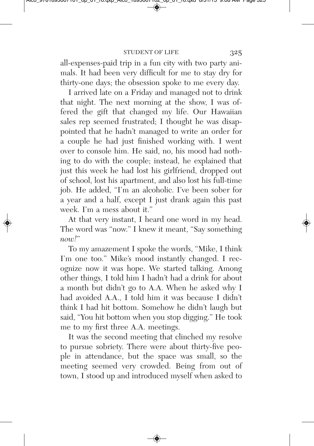all-expenses-paid trip in a fun city with two party animals. It had been very difficult for me to stay dry for thirty-one days; the obsession spoke to me every day.

I arrived late on a Friday and managed not to drink that night. The next morning at the show, I was offered the gift that changed my life. Our Hawaiian sales rep seemed frustrated; I thought he was disappointed that he hadn't managed to write an order for a couple he had just finished working with. I went over to console him. He said, no, his mood had nothing to do with the couple; instead, he explained that just this week he had lost his girlfriend, dropped out of school, lost his apartment, and also lost his full-time job. He added, "I'm an alcoholic. I've been sober for a year and a half, except I just drank again this past week. I'm a mess about it."

At that very instant, I heard one word in my head. The word was "now." I knew it meant, "Say something *now!*"

To my amazement I spoke the words, "Mike, I think I'm one too." Mike's mood instantly changed. I recognize now it was hope. We started talking. Among other things, I told him I hadn't had a drink for about a month but didn't go to A.A. When he asked why I had avoided A.A., I told him it was because I didn't think I had hit bottom. Somehow he didn't laugh but said, "You hit bottom when you stop digging." He took me to my first three A.A. meetings.

It was the second meeting that clinched my resolve to pursue sobriety. There were about thirty-five people in attendance, but the space was small, so the meeting seemed very crowded. Being from out of town, I stood up and introduced myself when asked to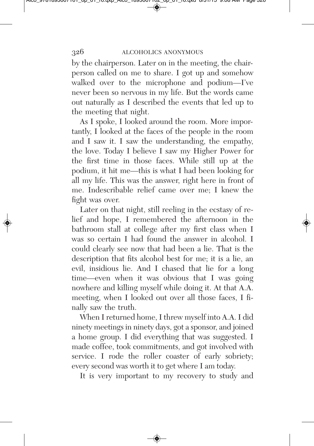by the chairperson. Later on in the meeting, the chairperson called on me to share. I got up and somehow walked over to the microphone and podium—I've never been so nervous in my life. But the words came out naturally as I described the events that led up to the meeting that night.

As I spoke, I looked around the room. More importantly, I looked at the faces of the people in the room and I saw it. I saw the understanding, the empathy, the love. Today I believe I saw my Higher Power for the first time in those faces. While still up at the podium, it hit me—this is what I had been looking for all my life. This was the answer, right here in front of me. Indescribable relief came over me; I knew the fight was over.

Later on that night, still reeling in the ecstasy of relief and hope, I remembered the afternoon in the bathroom stall at college after my first class when I was so certain I had found the answer in alcohol. I could clearly see now that had been a lie. That is the description that fits alcohol best for me; it is a lie, an evil, insidious lie. And I chased that lie for a long time—even when it was obvious that I was going nowhere and killing myself while doing it. At that A.A. meeting, when I looked out over all those faces, I finally saw the truth.

When I returned home, I threw myself into A.A. I did ninety meetings in ninety days, got a sponsor, and joined a home group. I did everything that was suggested. I made coffee, took commitments, and got involved with service. I rode the roller coaster of early sobriety; every second was worth it to get where I am today.

It is very important to my recovery to study and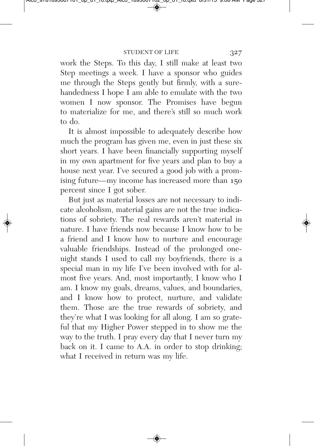work the Steps. To this day, I still make at least two Step meetings a week. I have a sponsor who guides me through the Steps gently but firmly, with a surehandedness I hope I am able to emulate with the two women I now sponsor. The Promises have begun to materialize for me, and there's still so much work to do.

It is almost impossible to adequately describe how much the program has given me, even in just these six short years. I have been financially supporting myself in my own apartment for five years and plan to buy a house next year. I've secured a good job with a promising future—my income has increased more than 150 percent since I got sober.

But just as material losses are not necessary to indicate alcoholism, material gains are not the true indications of sobriety. The real rewards aren't material in nature. I have friends now because I know how to be a friend and I know how to nurture and encourage valuable friendships. Instead of the prolonged onenight stands I used to call my boyfriends, there is a special man in my life I've been involved with for almost five years. And, most importantly, I know who I am. I know my goals, dreams, values, and boundaries, and I know how to protect, nurture, and validate them. Those are the true rewards of sobriety, and they're what I was looking for all along. I am so grateful that my Higher Power stepped in to show me the way to the truth. I pray every day that I never turn my back on it. I came to A.A. in order to stop drinking; what I received in return was my life.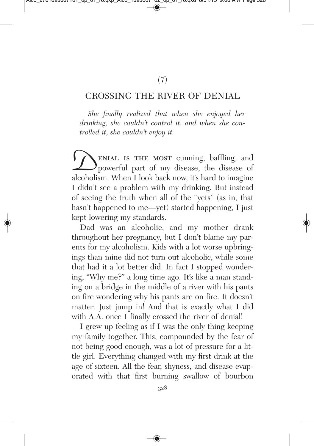### CROSSING THE RIVER OF DENIAL

*She finally realized that when she enjoyed her drinking, she couldn't control it, and when she controlled it, she couldn't enjoy it.*

**DENIAL IS THE MOST cunning, baffling, and** powerful part of my disease, the disease of alcoholism. When I look back now, it's hard to imagine I didn't see a problem with my drinking. But instead of seeing the truth when all of the "yets" (as in, that hasn't happened to me—yet) started happening, I just kept lowering my standards.

Dad was an alcoholic, and my mother drank throughout her pregnancy, but I don't blame my parents for my alcoholism. Kids with a lot worse upbringings than mine did not turn out alcoholic, while some that had it a lot better did. In fact I stopped wondering, "Why me?" a long time ago. It's like a man standing on a bridge in the middle of a river with his pants on fire wondering why his pants are on fire. It doesn't matter. Just jump in! And that is exactly what I did with A.A. once I finally crossed the river of denial!

I grew up feeling as if I was the only thing keeping my family together. This, compounded by the fear of not being good enough, was a lot of pressure for a little girl. Everything changed with my first drink at the age of sixteen. All the fear, shyness, and disease evaporated with that first burning swallow of bourbon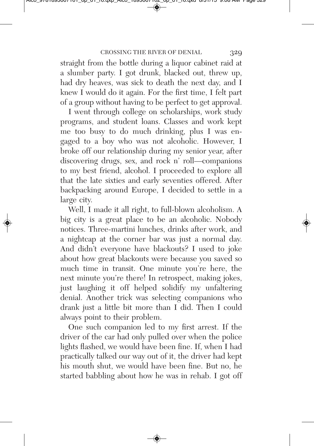straight from the bottle during a liquor cabinet raid at a slumber party. I got drunk, blacked out, threw up, had dry heaves, was sick to death the next day, and I knew I would do it again. For the first time, I felt part of a group without having to be perfect to get approval.

I went through college on scholarships, work study programs, and student loans. Classes and work kept me too busy to do much drinking, plus I was engaged to a boy who was not alcoholic. However, I broke off our relationship during my senior year, after discovering drugs, sex, and rock n' roll—companions to my best friend, alcohol. I proceeded to explore all that the late sixties and early seventies offered. After backpacking around Europe, I decided to settle in a large city.

Well, I made it all right, to full-blown alcoholism. A big city is a great place to be an alcoholic. Nobody notices. Three-martini lunches, drinks after work, and a nightcap at the corner bar was just a normal day. And didn't everyone have blackouts? I used to joke about how great blackouts were because you saved so much time in transit. One minute you're here, the next minute you're there! In retrospect, making jokes, just laughing it off helped solidify my unfaltering denial. Another trick was selecting companions who drank just a little bit more than I did. Then I could always point to their problem.

One such companion led to my first arrest. If the driver of the car had only pulled over when the police lights flashed, we would have been fine. If, when I had practically talked our way out of it, the driver had kept his mouth shut, we would have been fine. But no, he started babbling about how he was in rehab. I got off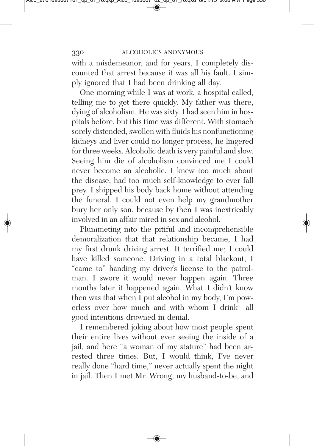with a misdemeanor, and for years, I completely discounted that arrest because it was all his fault. I simply ignored that I had been drinking all day.

One morning while I was at work, a hospital called, telling me to get there quickly. My father was there, dying of alcoholism. He was sixty. I had seen him in hospitals before, but this time was different. With stomach sorely distended, swollen with fluids his nonfunctioning kidneys and liver could no longer process, he lingered for three weeks. Alcoholic death is very painful and slow. Seeing him die of alcoholism convinced me I could never become an alcoholic. I knew too much about the disease, had too much self-knowledge to ever fall prey. I shipped his body back home without attending the funeral. I could not even help my grandmother bury her only son, because by then I was inextricably involved in an affair mired in sex and alcohol.

Plummeting into the pitiful and incomprehensible demoralization that that relationship became, I had my first drunk driving arrest. It terrified me; I could have killed someone. Driving in a total blackout, I "came to" handing my driver's license to the patrolman. I swore it would never happen again. Three months later it happened again. What I didn't know then was that when I put alcohol in my body, I'm powerless over how much and with whom I drink—all good intentions drowned in denial.

I remembered joking about how most people spent their entire lives without ever seeing the inside of a jail, and here "a woman of my stature" had been arrested three times. But, I would think, I've never really done "hard time," never actually spent the night in jail. Then I met Mr. Wrong, my husband-to-be, and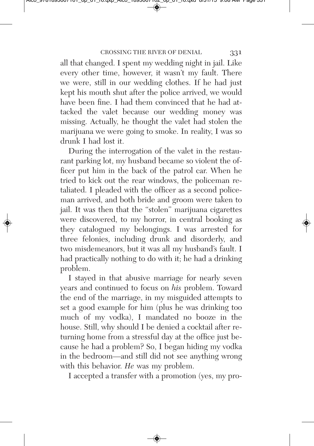all that changed. I spent my wedding night in jail. Like every other time, however, it wasn't my fault. There we were, still in our wedding clothes. If he had just kept his mouth shut after the police arrived, we would have been fine. I had them convinced that he had attacked the valet because our wedding money was missing. Actually, he thought the valet had stolen the marijuana we were going to smoke. In reality, I was so drunk I had lost it.

During the interrogation of the valet in the restaurant parking lot, my husband became so violent the officer put him in the back of the patrol car. When he tried to kick out the rear windows, the policeman retaliated. I pleaded with the officer as a second policeman arrived, and both bride and groom were taken to jail. It was then that the "stolen" marijuana cigarettes were discovered, to my horror, in central booking as they catalogued my belongings. I was arrested for three felonies, including drunk and disorderly, and two misdemeanors, but it was all my husband's fault. I had practically nothing to do with it; he had a drinking problem.

I stayed in that abusive marriage for nearly seven years and continued to focus on *his* problem. Toward the end of the marriage, in my misguided attempts to set a good example for him (plus he was drinking too much of my vodka), I mandated no booze in the house. Still, why should I be denied a cocktail after returning home from a stressful day at the office just because he had a problem? So, I began hiding my vodka in the bedroom—and still did not see anything wrong with this behavior. *He* was my problem.

I accepted a transfer with a promotion (yes, my pro-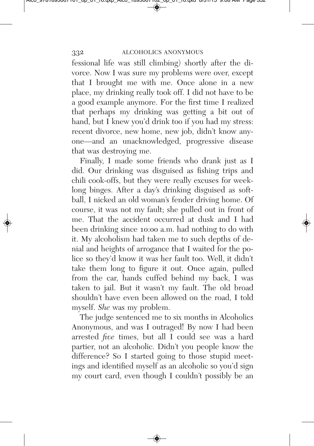fessional life was still climbing) shortly after the divorce. Now I was sure my problems were over, except that I brought me with me. Once alone in a new place, my drinking really took off. I did not have to be a good example anymore. For the first time I realized that perhaps my drinking was getting a bit out of hand, but I knew you'd drink too if you had my stress: recent divorce, new home, new job, didn't know anyone—and an unacknowledged, progressive disease that was destroying me.

Finally, I made some friends who drank just as I did. Our drinking was disguised as fishing trips and chili cook-offs, but they were really excuses for weeklong binges. After a day's drinking disguised as softball, I nicked an old woman's fender driving home. Of course, it was not my fault; she pulled out in front of me. That the accident occurred at dusk and I had been drinking since 10:00 a.m. had nothing to do with it. My alcoholism had taken me to such depths of denial and heights of arrogance that I waited for the police so they'd know it was her fault too. Well, it didn't take them long to figure it out. Once again, pulled from the car, hands cuffed behind my back, I was taken to jail. But it wasn't my fault. The old broad shouldn't have even been allowed on the road, I told myself. *She* was my problem.

The judge sentenced me to six months in Alcoholics Anonymous, and was I outraged! By now I had been arrested *five* times, but all I could see was a hard partier, not an alcoholic. Didn't you people know the difference? So I started going to those stupid meetings and identified myself as an alcoholic so you'd sign my court card, even though I couldn't possibly be an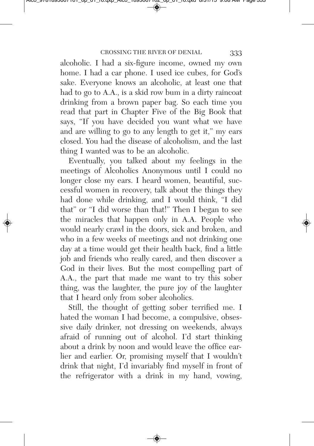alcoholic. I had a six-figure income, owned my own home. I had a car phone. I used ice cubes, for God's sake. Everyone knows an alcoholic, at least one that had to go to A.A., is a skid row bum in a dirty raincoat drinking from a brown paper bag. So each time you read that part in Chapter Five of the Big Book that says, "If you have decided you want what we have and are willing to go to any length to get it," my ears closed. You had the disease of alcoholism, and the last thing I wanted was to be an alcoholic.

Eventually, you talked about my feelings in the meetings of Alcoholics Anonymous until I could no longer close my ears. I heard women, beautiful, successful women in recovery, talk about the things they had done while drinking, and I would think, "I did that" or "I did worse than that!" Then I began to see the miracles that happen only in A.A. People who would nearly crawl in the doors, sick and broken, and who in a few weeks of meetings and not drinking one day at a time would get their health back, find a little job and friends who really cared, and then discover a God in their lives. But the most compelling part of A.A., the part that made me want to try this sober thing, was the laughter, the pure joy of the laughter that I heard only from sober alcoholics.

Still, the thought of getting sober terrified me. I hated the woman I had become, a compulsive, obsessive daily drinker, not dressing on weekends, always afraid of running out of alcohol. I'd start thinking about a drink by noon and would leave the office earlier and earlier. Or, promising myself that I wouldn't drink that night, I'd invariably find myself in front of the refrigerator with a drink in my hand, vowing,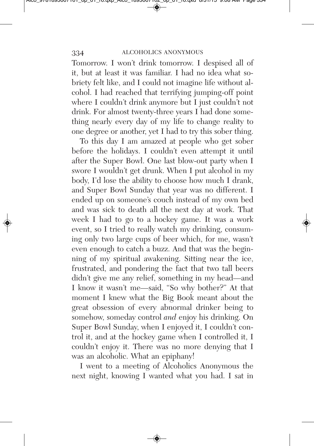Tomorrow. I won't drink tomorrow. I despised all of it, but at least it was familiar. I had no idea what sobriety felt like, and I could not imagine life without alcohol. I had reached that terrifying jumping-off point where I couldn't drink anymore but I just couldn't not drink. For almost twenty-three years I had done something nearly every day of my life to change reality to one degree or another, yet I had to try this sober thing.

To this day I am amazed at people who get sober before the holidays. I couldn't even attempt it until after the Super Bowl. One last blow-out party when I swore I wouldn't get drunk. When I put alcohol in my body, I'd lose the ability to choose how much I drank, and Super Bowl Sunday that year was no different. I ended up on someone's couch instead of my own bed and was sick to death all the next day at work. That week I had to go to a hockey game. It was a work event, so I tried to really watch my drinking, consuming only two large cups of beer which, for me, wasn't even enough to catch a buzz. And that was the beginning of my spiritual awakening. Sitting near the ice, frustrated, and pondering the fact that two tall beers didn't give me any relief, something in my head—and I know it wasn't me—said, "So why bother?" At that moment I knew what the Big Book meant about the great obsession of every abnormal drinker being to somehow, someday control *and* enjoy his drinking. On Super Bowl Sunday, when I enjoyed it, I couldn't control it, and at the hockey game when I controlled it, I couldn't enjoy it. There was no more denying that I was an alcoholic. What an epiphany!

I went to a meeting of Alcoholics Anonymous the next night, knowing I wanted what you had. I sat in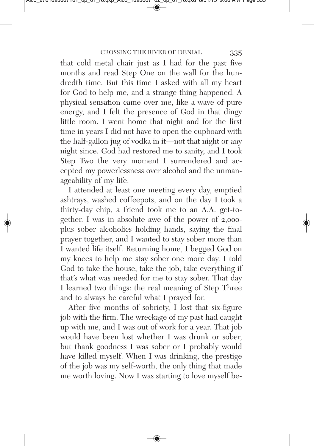that cold metal chair just as I had for the past five months and read Step One on the wall for the hundredth time. But this time I asked with all my heart for God to help me, and a strange thing happened. A physical sensation came over me, like a wave of pure energy, and I felt the presence of God in that dingy little room. I went home that night and for the first time in years I did not have to open the cupboard with the half-gallon jug of vodka in it—not that night or any night since. God had restored me to sanity, and I took Step Two the very moment I surrendered and accepted my powerlessness over alcohol and the unmanageability of my life.

I attended at least one meeting every day, emptied ashtrays, washed coffeepots, and on the day I took a thirty-day chip, a friend took me to an A.A. get-together. I was in absolute awe of the power of 2,000 plus sober alcoholics holding hands, saying the final prayer together, and I wanted to stay sober more than I wanted life itself. Returning home, I begged God on my knees to help me stay sober one more day. I told God to take the house, take the job, take everything if that's what was needed for me to stay sober. That day I learned two things: the real meaning of Step Three and to always be careful what I prayed for.

After five months of sobriety, I lost that six-figure job with the firm. The wreckage of my past had caught up with me, and I was out of work for a year. That job would have been lost whether I was drunk or sober, but thank goodness I was sober or I probably would have killed myself. When I was drinking, the prestige of the job was my self-worth, the only thing that made me worth loving. Now I was starting to love myself be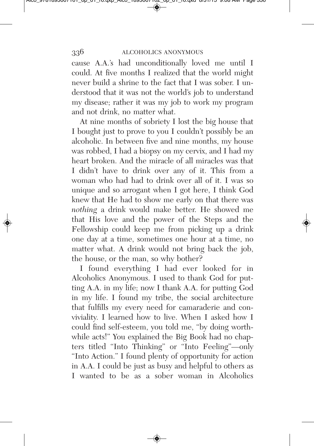cause A.A.'s had unconditionally loved me until I could. At five months I realized that the world might never build a shrine to the fact that I was sober. I understood that it was not the world's job to understand my disease; rather it was my job to work my program and not drink, no matter what.

At nine months of sobriety I lost the big house that I bought just to prove to you I couldn't possibly be an alcoholic. In between five and nine months, my house was robbed, I had a biopsy on my cervix, and I had my heart broken. And the miracle of all miracles was that I didn't have to drink over any of it. This from a woman who had had to drink over all of it. I was so unique and so arrogant when I got here, I think God knew that He had to show me early on that there was *nothing* a drink would make better. He showed me that His love and the power of the Steps and the Fellowship could keep me from picking up a drink one day at a time, sometimes one hour at a time, no matter what. A drink would not bring back the job, the house, or the man, so why bother?

I found everything I had ever looked for in Alcoholics Anonymous. I used to thank God for putting A.A. in my life; now I thank A.A. for putting God in my life. I found my tribe, the social architecture that fulfills my every need for camaraderie and conviviality. I learned how to live. When I asked how I could find self-esteem, you told me, "by doing worthwhile acts!" You explained the Big Book had no chapters titled "Into Thinking" or "Into Feeling"—only "Into Action." I found plenty of opportunity for action in A.A. I could be just as busy and helpful to others as I wanted to be as a sober woman in Alcoholics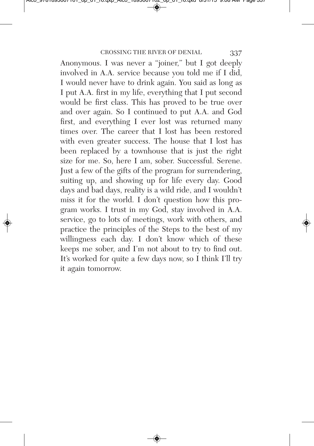Anonymous. I was never a "joiner," but I got deeply involved in A.A. service because you told me if I did, I would never have to drink again. You said as long as I put A.A. first in my life, everything that I put second would be first class. This has proved to be true over and over again. So I continued to put A.A. and God first, and everything I ever lost was returned many times over. The career that I lost has been restored with even greater success. The house that I lost has been replaced by a townhouse that is just the right size for me. So, here I am, sober. Successful. Serene. Just a few of the gifts of the program for surrendering, suiting up, and showing up for life every day. Good days and bad days, reality is a wild ride, and I wouldn't miss it for the world. I don't question how this program works. I trust in my God, stay involved in A.A. service, go to lots of meetings, work with others, and practice the principles of the Steps to the best of my willingness each day. I don't know which of these keeps me sober, and I'm not about to try to find out. It's worked for quite a few days now, so I think I'll try it again tomorrow.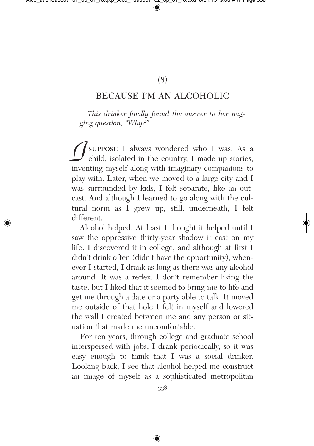## BECAUSE I'M AN ALCOHOLIC

*This drinker finally found the answer to her nagging question, "Why?"*

*I* suppose I always wondered who I was. As a child, isolated in the country, I made up stories, inventing myself along with imaginary companions to play with. Later, when we moved to a large city and I was surrounded by kids, I felt separate, like an outcast. And although I learned to go along with the cultural norm as I grew up, still, underneath, I felt different.

Alcohol helped. At least I thought it helped until I saw the oppressive thirty-year shadow it cast on my life. I discovered it in college, and although at first I didn't drink often (didn't have the opportunity), whenever I started, I drank as long as there was any alcohol around. It was a reflex. I don't remember liking the taste, but I liked that it seemed to bring me to life and get me through a date or a party able to talk. It moved me outside of that hole I felt in myself and lowered the wall I created between me and any person or situation that made me uncomfortable.

For ten years, through college and graduate school interspersed with jobs, I drank periodically, so it was easy enough to think that I was a social drinker. Looking back, I see that alcohol helped me construct an image of myself as a sophisticated metropolitan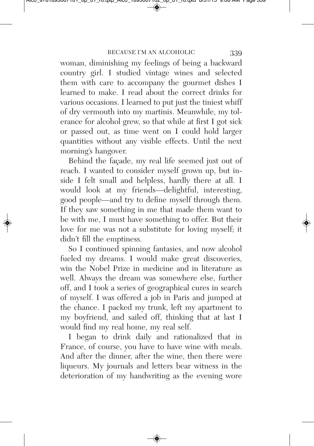woman, diminishing my feelings of being a backward country girl. I studied vintage wines and selected them with care to accompany the gourmet dishes I learned to make. I read about the correct drinks for various occasions. I learned to put just the tiniest whiff of dry vermouth into my martinis. Meanwhile, my tolerance for alcohol grew, so that while at first I got sick or passed out, as time went on I could hold larger quantities without any visible effects. Until the next morning's hangover.

Behind the façade, my real life seemed just out of reach. I wanted to consider myself grown up, but inside I felt small and helpless, hardly there at all. I would look at my friends—delightful, interesting, good people—and try to define myself through them. If they saw something in me that made them want to be with me, I must have something to offer. But their love for me was not a substitute for loving myself; it didn't fill the emptiness.

So I continued spinning fantasies, and now alcohol fueled my dreams. I would make great discoveries, win the Nobel Prize in medicine and in literature as well. Always the dream was somewhere else, further off, and I took a series of geographical cures in search of myself. I was offered a job in Paris and jumped at the chance. I packed my trunk, left my apartment to my boyfriend, and sailed off, thinking that at last I would find my real home, my real self.

I began to drink daily and rationalized that in France, of course, you have to have wine with meals. And after the dinner, after the wine, then there were liqueurs. My journals and letters bear witness in the deterioration of my handwriting as the evening wore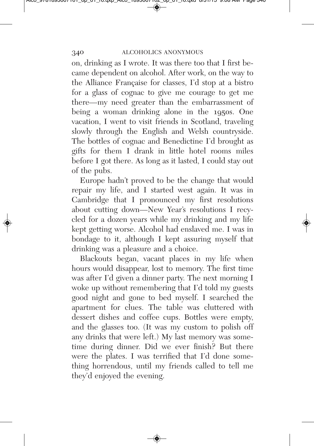on, drinking as I wrote. It was there too that I first became dependent on alcohol. After work, on the way to the Alliance Française for classes, I'd stop at a bistro for a glass of cognac to give me courage to get me there—my need greater than the embarrassment of being a woman drinking alone in the 1950s. One vacation, I went to visit friends in Scotland, traveling slowly through the English and Welsh countryside. The bottles of cognac and Benedictine I'd brought as gifts for them I drank in little hotel rooms miles before I got there. As long as it lasted, I could stay out of the pubs.

Europe hadn't proved to be the change that would repair my life, and I started west again. It was in Cambridge that I pronounced my first resolutions about cutting down—New Year's resolutions I recycled for a dozen years while my drinking and my life kept getting worse. Alcohol had enslaved me. I was in bondage to it, although I kept assuring myself that drinking was a pleasure and a choice.

Blackouts began, vacant places in my life when hours would disappear, lost to memory. The first time was after I'd given a dinner party. The next morning I woke up without remembering that I'd told my guests good night and gone to bed myself. I searched the apartment for clues. The table was cluttered with dessert dishes and coffee cups. Bottles were empty, and the glasses too. (It was my custom to polish off any drinks that were left.) My last memory was sometime during dinner. Did we ever finish? But there were the plates. I was terrified that I'd done something horrendous, until my friends called to tell me they'd enjoyed the evening.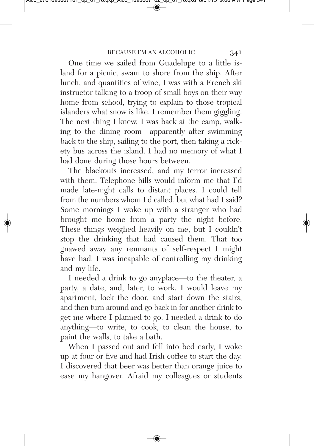One time we sailed from Guadelupe to a little island for a picnic, swam to shore from the ship. After lunch, and quantities of wine, I was with a French ski instructor talking to a troop of small boys on their way home from school, trying to explain to those tropical islanders what snow is like. I remember them giggling. The next thing I knew, I was back at the camp, walking to the dining room—apparently after swimming back to the ship, sailing to the port, then taking a rickety bus across the island. I had no memory of what I had done during those hours between.

The blackouts increased, and my terror increased with them. Telephone bills would inform me that I'd made late-night calls to distant places. I could tell from the numbers whom I'd called, but what had I said? Some mornings I woke up with a stranger who had brought me home from a party the night before. These things weighed heavily on me, but I couldn't stop the drinking that had caused them. That too gnawed away any remnants of self-respect I might have had. I was incapable of controlling my drinking and my life.

I needed a drink to go anyplace—to the theater, a party, a date, and, later, to work. I would leave my apartment, lock the door, and start down the stairs, and then turn around and go back in for another drink to get me where I planned to go. I needed a drink to do anything—to write, to cook, to clean the house, to paint the walls, to take a bath.

When I passed out and fell into bed early, I woke up at four or five and had Irish coffee to start the day. I discovered that beer was better than orange juice to ease my hangover. Afraid my colleagues or students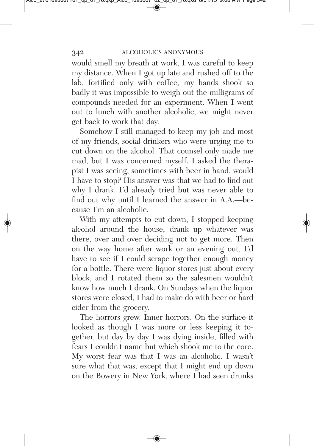would smell my breath at work, I was careful to keep my distance. When I got up late and rushed off to the lab, fortified only with coffee, my hands shook so badly it was impossible to weigh out the milligrams of compounds needed for an experiment. When I went out to lunch with another alcoholic, we might never get back to work that day.

Somehow I still managed to keep my job and most of my friends, social drinkers who were urging me to cut down on the alcohol. That counsel only made me mad, but I was concerned myself. I asked the therapist I was seeing, sometimes with beer in hand, would I have to stop? His answer was that we had to find out why I drank. I'd already tried but was never able to find out why until I learned the answer in A.A.—because I'm an alcoholic.

With my attempts to cut down, I stopped keeping alcohol around the house, drank up whatever was there, over and over deciding not to get more. Then on the way home after work or an evening out, I'd have to see if I could scrape together enough money for a bottle. There were liquor stores just about every block, and I rotated them so the salesmen wouldn't know how much I drank. On Sundays when the liquor stores were closed, I had to make do with beer or hard cider from the grocery.

The horrors grew. Inner horrors. On the surface it looked as though I was more or less keeping it together, but day by day I was dying inside, filled with fears I couldn't name but which shook me to the core. My worst fear was that I was an alcoholic. I wasn't sure what that was, except that I might end up down on the Bowery in New York, where I had seen drunks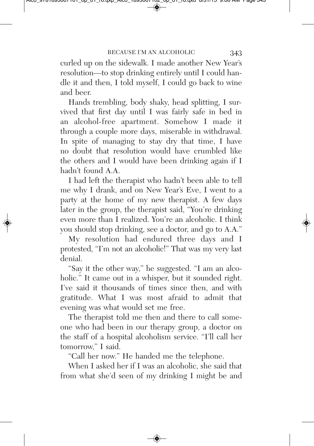curled up on the sidewalk. I made another New Year's resolution—to stop drinking entirely until I could handle it and then, I told myself, I could go back to wine and beer.

Hands trembling, body shaky, head splitting, I survived that first day until I was fairly safe in bed in an alcohol-free apartment. Somehow I made it through a couple more days, miserable in withdrawal. In spite of managing to stay dry that time, I have no doubt that resolution would have crumbled like the others and I would have been drinking again if I hadn't found A.A.

I had left the therapist who hadn't been able to tell me why I drank, and on New Year's Eve, I went to a party at the home of my new therapist. A few days later in the group, the therapist said, "You're drinking even more than I realized. You're an alcoholic. I think you should stop drinking, see a doctor, and go to A.A."

My resolution had endured three days and I protested, "I'm not an alcoholic!" That was my very last denial.

"Say it the other way," he suggested. "I am an alcoholic." It came out in a whisper, but it sounded right. I've said it thousands of times since then, and with gratitude. What I was most afraid to admit that evening was what would set me free.

The therapist told me then and there to call someone who had been in our therapy group, a doctor on the staff of a hospital alcoholism service. "I'll call her tomorrow," I said.

"Call her now." He handed me the telephone.

When I asked her if I was an alcoholic, she said that from what she'd seen of my drinking I might be and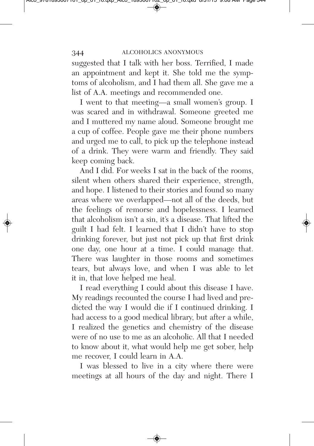suggested that I talk with her boss. Terrified, I made an appointment and kept it. She told me the symptoms of alcoholism, and I had them all. She gave me a list of A.A. meetings and recommended one.

I went to that meeting—a small women's group. I was scared and in withdrawal. Someone greeted me and I muttered my name aloud. Someone brought me a cup of coffee. People gave me their phone numbers and urged me to call, to pick up the telephone instead of a drink. They were warm and friendly. They said keep coming back.

And I did. For weeks I sat in the back of the rooms, silent when others shared their experience, strength, and hope. I listened to their stories and found so many areas where we overlapped—not all of the deeds, but the feelings of remorse and hopelessness. I learned that alcoholism isn't a sin, it's a disease. That lifted the guilt I had felt. I learned that I didn't have to stop drinking forever, but just not pick up that first drink one day, one hour at a time. I could manage that. There was laughter in those rooms and sometimes tears, but always love, and when I was able to let it in, that love helped me heal.

I read everything I could about this disease I have. My readings recounted the course I had lived and predicted the way I would die if I continued drinking. I had access to a good medical library, but after a while, I realized the genetics and chemistry of the disease were of no use to me as an alcoholic. All that I needed to know about it, what would help me get sober, help me recover, I could learn in A.A.

I was blessed to live in a city where there were meetings at all hours of the day and night. There I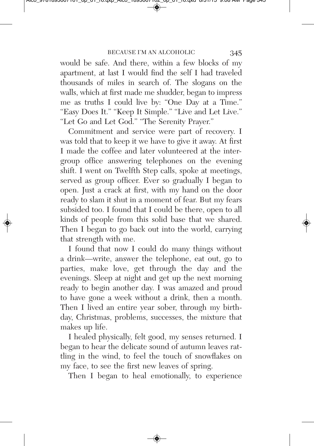would be safe. And there, within a few blocks of my apartment, at last I would find the self I had traveled thousands of miles in search of. The slogans on the walls, which at first made me shudder, began to impress me as truths I could live by: "One Day at a Time." "Easy Does It." "Keep It Simple." "Live and Let Live." "Let Go and Let God." "The Serenity Prayer."

Commitment and service were part of recovery. I was told that to keep it we have to give it away. At first I made the coffee and later volunteered at the intergroup office answering telephones on the evening shift. I went on Twelfth Step calls, spoke at meetings, served as group officer. Ever so gradually I began to open. Just a crack at first, with my hand on the door ready to slam it shut in a moment of fear. But my fears subsided too. I found that I could be there, open to all kinds of people from this solid base that we shared. Then I began to go back out into the world, carrying that strength with me.

I found that now I could do many things without a drink—write, answer the telephone, eat out, go to parties, make love, get through the day and the evenings. Sleep at night and get up the next morning ready to begin another day. I was amazed and proud to have gone a week without a drink, then a month. Then I lived an entire year sober, through my birthday, Christmas, problems, successes, the mixture that makes up life.

I healed physically, felt good, my senses returned. I began to hear the delicate sound of autumn leaves rattling in the wind, to feel the touch of snowflakes on my face, to see the first new leaves of spring.

Then I began to heal emotionally, to experience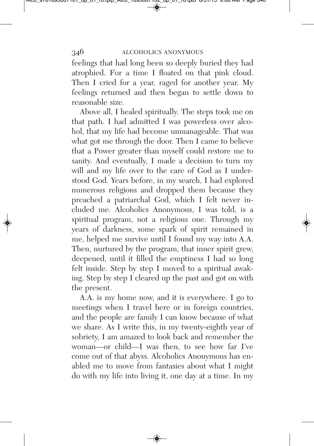feelings that had long been so deeply buried they had atrophied. For a time I floated on that pink cloud. Then I cried for a year, raged for another year. My feelings returned and then began to settle down to reasonable size.

Above all, I healed spiritually. The steps took me on that path. I had admitted I was powerless over alcohol, that my life had become unmanageable. That was what got me through the door. Then I came to believe that a Power greater than myself could restore me to sanity. And eventually, I made a decision to turn my will and my life over to the care of God as I understood God. Years before, in my search, I had explored numerous religions and dropped them because they preached a patriarchal God, which I felt never included me. Alcoholics Anonymous, I was told, is a spiritual program, not a religious one. Through my years of darkness, some spark of spirit remained in me, helped me survive until I found my way into A.A. Then, nurtured by the program, that inner spirit grew, deepened, until it filled the emptiness I had so long felt inside. Step by step I moved to a spiritual awaking. Step by step I cleared up the past and got on with the present.

A.A. is my home now, and it is everywhere. I go to meetings when I travel here or in foreign countries, and the people are family I can know because of what we share. As I write this, in my twenty-eighth year of sobriety, I am amazed to look back and remember the woman—or child—I was then, to see how far I've come out of that abyss. Alcoholics Anonymous has enabled me to move from fantasies about what I might do with my life into living it, one day at a time. In my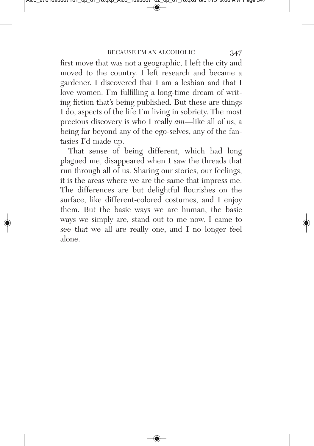first move that was not a geographic, I left the city and moved to the country. I left research and became a gardener. I discovered that I am a lesbian and that I love women. I'm fulfilling a long-time dream of writing fiction that's being published. But these are things I do, aspects of the life I'm living in sobriety. The most precious discovery is who I really *am*—like all of us, a being far beyond any of the ego-selves, any of the fantasies I'd made up.

That sense of being different, which had long plagued me, disappeared when I saw the threads that run through all of us. Sharing our stories, our feelings, it is the areas where we are the same that impress me. The differences are but delightful flourishes on the surface, like different-colored costumes, and I enjoy them. But the basic ways we are human, the basic ways we simply are, stand out to me now. I came to see that we all are really one, and I no longer feel alone.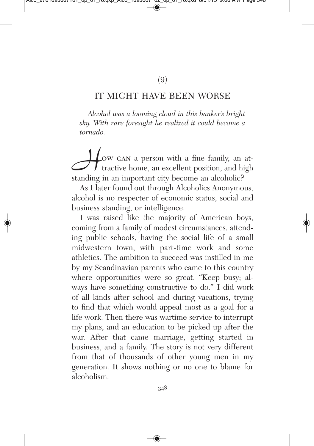# IT MIGHT HAVE BEEN WORSE

*Alcohol was a looming cloud in this banker's bright sky. With rare foresight he realized it could become a tornado.*

**How can a person with a fine family, an at-**<br>tractive home, an excellent position, and high<br>standing in an important city become an alcoholic? tractive home, an excellent position, and high standing in an important city become an alcoholic?

As I later found out through Alcoholics Anonymous, alcohol is no respecter of economic status, social and business standing, or intelligence.

I was raised like the majority of American boys, coming from a family of modest circumstances, attending public schools, having the social life of a small midwestern town, with part-time work and some athletics. The ambition to succeed was instilled in me by my Scandinavian parents who came to this country where opportunities were so great. "Keep busy; always have something constructive to do." I did work of all kinds after school and during vacations, trying to find that which would appeal most as a goal for a life work. Then there was wartime service to interrupt my plans, and an education to be picked up after the war. After that came marriage, getting started in business, and a family. The story is not very different from that of thousands of other young men in my generation. It shows nothing or no one to blame for alcoholism.

(9)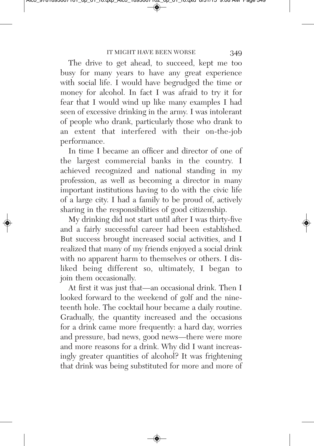The drive to get ahead, to succeed, kept me too busy for many years to have any great experience with social life. I would have begrudged the time or money for alcohol. In fact I was afraid to try it for fear that I would wind up like many examples I had seen of excessive drinking in the army. I was intolerant of people who drank, particularly those who drank to an extent that interfered with their on-the-job performance.

In time I became an officer and director of one of the largest commercial banks in the country. I achieved recognized and national standing in my profession, as well as becoming a director in many im portant institutions having to do with the civic life of a large city. I had a family to be proud of, actively sharing in the responsibilities of good citizenship.

My drinking did not start until after I was thirty-five and a fairly successful career had been established. But success brought increased social activities, and I realized that many of my friends enjoyed a social drink with no apparent harm to themselves or others. I disliked being different so, ultimately, I began to join them occasionally.

At first it was just that—an occasional drink. Then I looked forward to the weekend of golf and the nineteenth hole. The cocktail hour became a daily routine. Gradually, the quantity increased and the occasions for a drink came more frequently: a hard day, worries and pressure, bad news, good news—there were more and more reasons for a drink. Why did I want increasingly greater quantities of alcohol? It was frightening that drink was being substituted for more and more of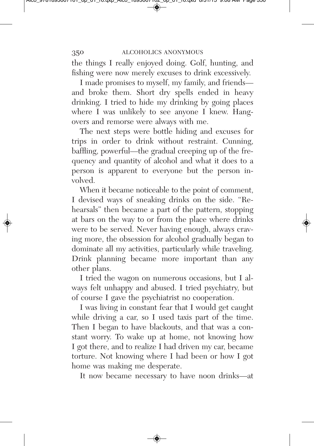the things I really enjoyed doing. Golf, hunting, and fishing were now merely excuses to drink excessively.

I made promises to myself, my family, and friends and broke them. Short dry spells ended in heavy drinking. I tried to hide my drinking by going places where I was unlikely to see anyone I knew. Hangovers and remorse were always with me.

The next steps were bottle hiding and excuses for trips in order to drink without restraint. Cunning, baffling, powerful—the gradual creeping up of the frequency and quantity of alcohol and what it does to a person is apparent to everyone but the person involved.

When it became noticeable to the point of comment, I devised ways of sneaking drinks on the side. "Rehearsals" then became a part of the pattern, stopping at bars on the way to or from the place where drinks were to be served. Never having enough, always craving more, the obsession for alcohol gradually began to dominate all my activities, particularly while traveling. Drink planning became more important than any other plans.

I tried the wagon on numerous occasions, but I always felt unhappy and abused. I tried psychiatry, but of course I gave the psychiatrist no cooperation.

I was living in constant fear that I would get caught while driving a car, so I used taxis part of the time. Then I began to have blackouts, and that was a constant worry. To wake up at home, not knowing how I got there, and to realize I had driven my car, became torture. Not knowing where I had been or how I got home was making me desperate.

It now became necessary to have noon drinks—at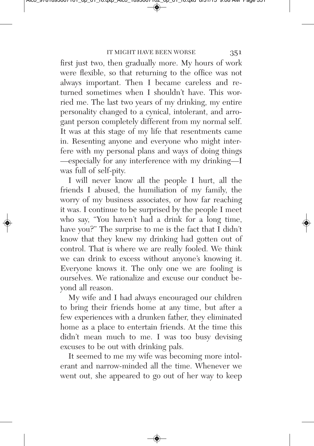first just two, then gradually more. My hours of work were flexible, so that returning to the office was not always important. Then I became careless and returned sometimes when I shouldn't have. This worried me. The last two years of my drinking, my entire personality changed to a cynical, intolerant, and arrogant person completely different from my normal self. It was at this stage of my life that resentments came in. Resenting anyone and everyone who might interfere with my personal plans and ways of doing things —especially for any interference with my drinking—I was full of self-pity.

I will never know all the people I hurt, all the friends I abused, the humiliation of my family, the worry of my business associates, or how far reaching it was. I continue to be surprised by the people I meet who say, "You haven't had a drink for a long time, have you?" The surprise to me is the fact that I didn't know that they knew my drinking had gotten out of control. That is where we are really fooled. We think we can drink to excess without anyone's knowing it. Everyone knows it. The only one we are fooling is ourselves. We rationalize and excuse our conduct beyond all reason.

My wife and I had always encouraged our children to bring their friends home at any time, but after a few experiences with a drunken father, they eliminated home as a place to entertain friends. At the time this didn't mean much to me. I was too busy devising excuses to be out with drinking pals.

It seemed to me my wife was becoming more intolerant and narrow-minded all the time. Whenever we went out, she appeared to go out of her way to keep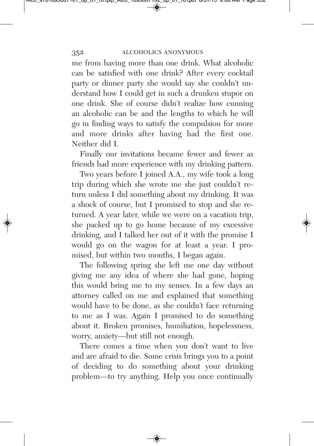me from having more than one drink. What alcoholic can be satisfied with one drink? After every cocktail party or dinner party she would say she couldn't understand how I could get in such a drunken stupor on one drink. She of course didn't realize how cunning an alcoholic can be and the lengths to which he will go in finding ways to satisfy the compulsion for more and more drinks after having had the first one. Neither did I.

Finally our invitations became fewer and fewer as friends had more experience with my drinking pattern.

Two years before I joined A.A., my wife took a long trip during which she wrote me she just couldn't return unless I did something about my drinking. It was a shock of course, but I promised to stop and she returned. A year later, while we were on a vacation trip, she packed up to go home because of my excessive drinking, and I talked her out of it with the promise I would go on the wagon for at least a year. I promised, but within two months, I began again.

The following spring she left me one day without giving me any idea of where she had gone, hoping this would bring me to my senses. In a few days an attorney called on me and explained that something would have to be done, as she couldn't face returning to me as I was. Again I promised to do something about it. Broken promises, humiliation, hopelessness, worry, anxiety—but still not enough.

There comes a time when you don't want to live and are afraid to die. Some crisis brings you to a point of deciding to do something about your drinking problem—to try anything. Help you once continually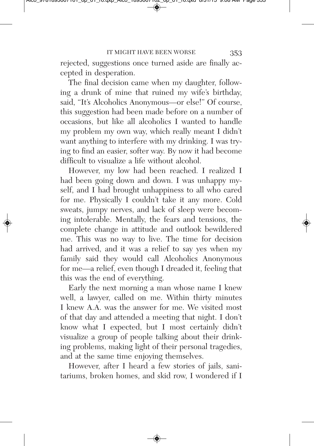rejected, suggestions once turned aside are finally accepted in desperation.

The final decision came when my daughter, following a drunk of mine that ruined my wife's birthday, said, "It's Alcoholics Anonymous—or else!" Of course, this suggestion had been made before on a number of occasions, but like all alcoholics I wanted to handle my problem my own way, which really meant I didn't want anything to interfere with my drinking. I was trying to find an easier, softer way. By now it had become difficult to visualize a life without alcohol.

However, my low had been reached. I realized I had been going down and down. I was unhappy myself, and I had brought unhappiness to all who cared for me. Physically I couldn't take it any more. Cold sweats, jumpy nerves, and lack of sleep were becoming intolerable. Mentally, the fears and tensions, the complete change in attitude and outlook bewildered me. This was no way to live. The time for decision had arrived, and it was a relief to say yes when my family said they would call Alcoholics Anonymous for me—a relief, even though I dreaded it, feeling that this was the end of everything.

Early the next morning a man whose name I knew well, a lawyer, called on me. Within thirty minutes I knew A.A. was the answer for me. We visited most of that day and attended a meeting that night. I don't know what I expected, but I most certainly didn't visualize a group of people talking about their drinking problems, making light of their personal tragedies, and at the same time enjoying themselves.

However, after I heard a few stories of jails, sanitariums, broken homes, and skid row, I wondered if I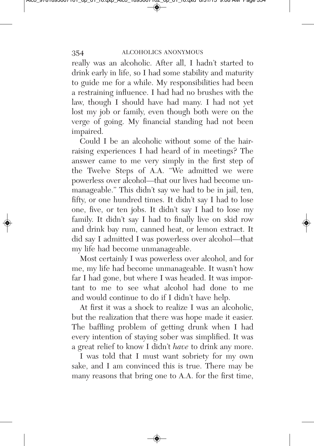really was an alcoholic. After all, I hadn't started to drink early in life, so I had some stability and maturity to guide me for a while. My responsibilities had been a restraining influence. I had had no brushes with the law, though I should have had many. I had not yet lost my job or family, even though both were on the verge of going. My financial standing had not been impaired.

Could I be an alcoholic without some of the hairraising experiences I had heard of in meetings? The answer came to me very simply in the first step of the Twelve Steps of A.A. "We admitted we were powerless over alcohol—that our lives had become unmanageable." This didn't say we had to be in jail, ten, fifty, or one hundred times. It didn't say I had to lose one, five, or ten jobs. It didn't say I had to lose my family. It didn't say I had to finally live on skid row and drink bay rum, canned heat, or lemon extract. It did say I admitted I was powerless over alcohol—that my life had become unmanageable.

Most certainly I was powerless over alcohol, and for me, my life had become unmanageable. It wasn't how far I had gone, but where I was headed. It was important to me to see what alcohol had done to me and would continue to do if I didn't have help.

At first it was a shock to realize I was an alcoholic, but the realization that there was hope made it easier. The baffling problem of getting drunk when I had every intention of staying sober was simplified. It was a great relief to know I didn't *have* to drink any more.

I was told that I must want sobriety for my own sake, and I am convinced this is true. There may be many reasons that bring one to A.A. for the first time,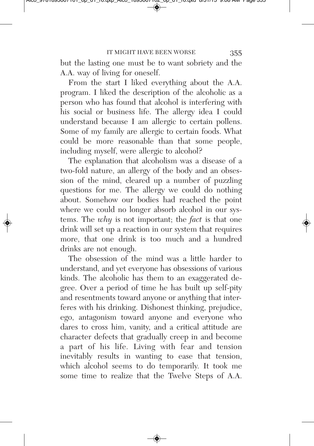but the lasting one must be to want sobriety and the A.A. way of living for oneself.

From the start I liked everything about the A.A. program. I liked the description of the alcoholic as a person who has found that alcohol is interfering with his social or business life. The allergy idea I could understand because I am allergic to certain pollens. Some of my family are allergic to certain foods. What could be more reasonable than that some people, including myself, were allergic to alcohol?

The explanation that alcoholism was a disease of a two-fold nature, an allergy of the body and an obsession of the mind, cleared up a number of puzzling questions for me. The allergy we could do nothing about. Somehow our bodies had reached the point where we could no longer absorb alcohol in our systems. The *why* is not important; the *fact* is that one drink will set up a reaction in our system that requires more, that one drink is too much and a hundred drinks are not enough.

The obsession of the mind was a little harder to understand, and yet everyone has obsessions of various kinds. The alcoholic has them to an exaggerated degree. Over a period of time he has built up self-pity and resentments toward anyone or anything that interferes with his drinking. Dishonest thinking, prejudice, ego, antagonism toward anyone and everyone who dares to cross him, vanity, and a critical attitude are character defects that gradually creep in and become a part of his life. Living with fear and tension inevitably results in wanting to ease that tension, which alcohol seems to do temporarily. It took me some time to realize that the Twelve Steps of A.A.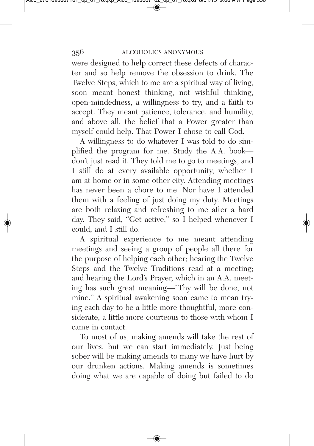were designed to help correct these defects of character and so help remove the obsession to drink. The Twelve Steps, which to me are a spiritual way of living, soon meant honest thinking, not wishful thinking, open-mindedness, a willingness to try, and a faith to accept. They meant patience, tolerance, and humility, and above all, the belief that a Power greater than myself could help. That Power I chose to call God.

A willingness to do whatever I was told to do simplified the program for me. Study the A.A. book don't just read it. They told me to go to meetings, and I still do at every available opportunity, whether I am at home or in some other city. Attending meetings has never been a chore to me. Nor have I attended them with a feeling of just doing my duty. Meetings are both relaxing and refreshing to me after a hard day. They said, "Get active," so I helped whenever I could, and I still do.

A spiritual experience to me meant attending meetings and seeing a group of people all there for the purpose of helping each other; hearing the Twelve Steps and the Twelve Traditions read at a meeting; and hearing the Lord's Prayer, which in an A.A. meeting has such great meaning—"Thy will be done, not mine." A spiritual awakening soon came to mean trying each day to be a little more thoughtful, more considerate, a little more courteous to those with whom I came in contact.

To most of us, making amends will take the rest of our lives, but we can start immediately. Just being sober will be making amends to many we have hurt by our drunken actions. Making amends is sometimes doing what we are capable of doing but failed to do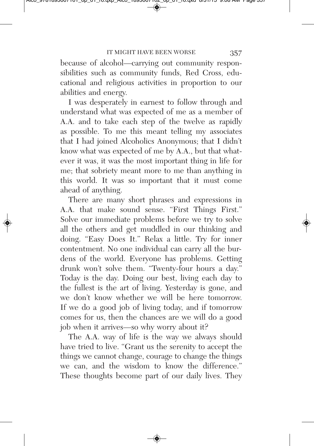because of alcohol—carrying out community responsibilities such as community funds, Red Cross, educational and religious activities in proportion to our abilities and energy.

I was desperately in earnest to follow through and understand what was expected of me as a member of A.A. and to take each step of the twelve as rapidly as possible. To me this meant telling my associates that I had joined Alcoholics Anonymous; that I didn't know what was expected of me by A.A., but that whatever it was, it was the most important thing in life for me; that sobriety meant more to me than anything in this world. It was so important that it must come ahead of anything.

There are many short phrases and expressions in A.A. that make sound sense. "First Things First." Solve our immediate problems before we try to solve all the others and get muddled in our thinking and doing. "Easy Does It." Relax a little. Try for inner contentment. No one individual can carry all the burdens of the world. Everyone has problems. Getting drunk won't solve them. "Twenty-four hours a day." Today is the day. Doing our best, living each day to the fullest is the art of living. Yesterday is gone, and we don't know whether we will be here tomorrow. If we do a good job of living today, and if tomorrow comes for us, then the chances are we will do a good job when it arrives—so why worry about it?

The A.A. way of life is the way we always should have tried to live. "Grant us the serenity to accept the things we cannot change, courage to change the things we can, and the wisdom to know the difference." These thoughts become part of our daily lives. They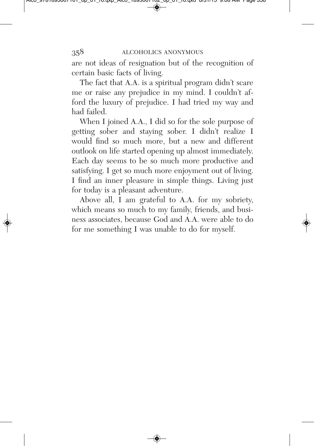are not ideas of resignation but of the recognition of certain basic facts of living.

The fact that A.A. is a spiritual program didn't scare me or raise any prejudice in my mind. I couldn't afford the luxury of prejudice. I had tried my way and had failed.

When I joined A.A., I did so for the sole purpose of getting sober and staying sober. I didn't realize I would find so much more, but a new and different outlook on life started opening up almost immediately. Each day seems to be so much more productive and satisfying. I get so much more enjoyment out of living. I find an inner pleasure in simple things. Living just for today is a pleasant adventure.

Above all, I am grateful to A.A. for my sobriety, which means so much to my family, friends, and business associates, because God and A.A. were able to do for me something I was unable to do for myself.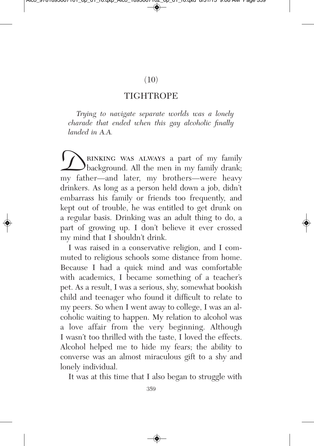## (10)

## TIGHTROPE

*Trying to navigate separate worlds was a lonely charade that ended when this gay alcoholic finally landed in A.A.*

**D**RINKING WAS ALWAYS a part of my family background. All the men in my family drank; my father—and later, my brothers—were heavy  $\sum$ background. All the men in my family drank; drinkers. As long as a person held down a job, didn't embarrass his family or friends too frequently, and kept out of trouble, he was entitled to get drunk on a regular basis. Drinking was an adult thing to do, a part of growing up. I don't believe it ever crossed my mind that I shouldn't drink.

I was raised in a conservative religion, and I commuted to religious schools some distance from home. Because I had a quick mind and was comfortable with academics, I became something of a teacher's pet. As a result, I was a serious, shy, somewhat bookish child and teenager who found it difficult to relate to my peers. So when I went away to college, I was an alcoholic waiting to happen. My relation to alcohol was a love affair from the very beginning. Although I wasn't too thrilled with the taste, I loved the effects. Alcohol helped me to hide my fears; the ability to converse was an almost miraculous gift to a shy and lonely individual.

It was at this time that I also began to struggle with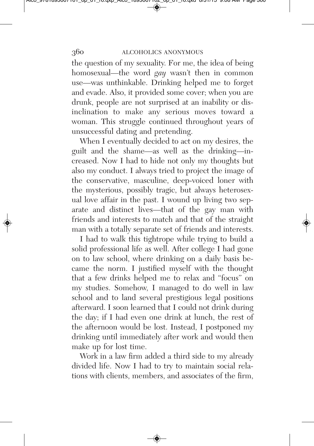the question of my sexuality. For me, the idea of being homosexual—the word *gay* wasn't then in common use—was unthinkable. Drinking helped me to forget and evade. Also, it provided some cover; when you are drunk, people are not surprised at an inability or disinclination to make any serious moves toward a woman. This struggle continued throughout years of unsuccessful dating and pretending.

When I eventually decided to act on my desires, the guilt and the shame—as well as the drinking—increased. Now I had to hide not only my thoughts but also my conduct. I always tried to project the image of the conservative, masculine, deep-voiced loner with the mysterious, possibly tragic, but always heterosexual love affair in the past. I wound up living two separate and distinct lives—that of the gay man with friends and interests to match and that of the straight man with a totally separate set of friends and interests.

I had to walk this tightrope while trying to build a solid professional life as well. After college I had gone on to law school, where drinking on a daily basis became the norm. I justified myself with the thought that a few drinks helped me to relax and "focus" on my studies. Somehow, I managed to do well in law school and to land several prestigious legal positions afterward. I soon learned that I could not drink during the day; if I had even one drink at lunch, the rest of the afternoon would be lost. Instead, I postponed my drinking until immediately after work and would then make up for lost time.

Work in a law firm added a third side to my already divided life. Now I had to try to maintain social relations with clients, members, and associates of the firm,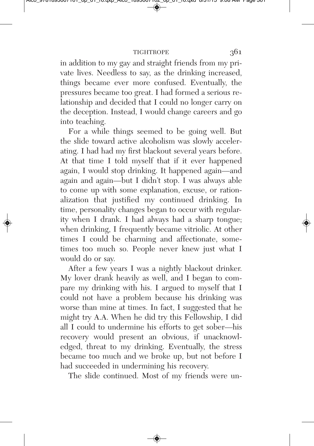#### TIGHTROPE 361

in addition to my gay and straight friends from my private lives. Needless to say, as the drinking increased, things became ever more confused. Eventually, the pressures became too great. I had formed a serious relationship and decided that I could no longer carry on the deception. Instead, I would change careers and go into teaching.

For a while things seemed to be going well. But the slide toward active alcoholism was slowly accelerating. I had had my first blackout several years before. At that time I told myself that if it ever happened again, I would stop drinking. It happened again—and again and again—but I didn't stop. I was always able to come up with some explanation, excuse, or rationalization that justified my continued drinking. In time, personality changes began to occur with regularity when I drank. I had always had a sharp tongue; when drinking, I frequently became vitriolic. At other times I could be charming and affectionate, sometimes too much so. People never knew just what I would do or say.

After a few years I was a nightly blackout drinker. My lover drank heavily as well, and I began to compare my drinking with his. I argued to myself that I could not have a problem because his drinking was worse than mine at times. In fact, I suggested that he might try A.A. When he did try this Fellowship, I did all I could to undermine his efforts to get sober—his recovery would present an obvious, if unacknowledged, threat to my drinking. Eventually, the stress became too much and we broke up, but not before I had succeeded in undermining his recovery.

The slide continued. Most of my friends were un-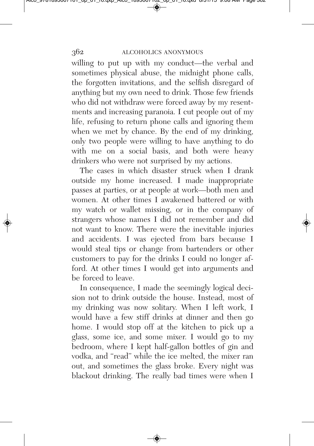willing to put up with my conduct—the verbal and sometimes physical abuse, the midnight phone calls, the forgotten invitations, and the selfish disregard of anything but my own need to drink. Those few friends who did not withdraw were forced away by my resentments and increasing paranoia. I cut people out of my life, refusing to return phone calls and ignoring them when we met by chance. By the end of my drinking, only two people were willing to have anything to do with me on a social basis, and both were heavy drinkers who were not surprised by my actions.

The cases in which disaster struck when I drank outside my home increased. I made inappropriate passes at parties, or at people at work—both men and women. At other times I awakened battered or with my watch or wallet missing, or in the company of strangers whose names I did not remember and did not want to know. There were the inevitable injuries and accidents. I was ejected from bars because I would steal tips or change from bartenders or other customers to pay for the drinks I could no longer afford. At other times I would get into arguments and be forced to leave.

In consequence, I made the seemingly logical decision not to drink outside the house. Instead, most of my drinking was now solitary. When I left work, I would have a few stiff drinks at dinner and then go home. I would stop off at the kitchen to pick up a glass, some ice, and some mixer. I would go to my bedroom, where I kept half-gallon bottles of gin and vodka, and "read" while the ice melted, the mixer ran out, and sometimes the glass broke. Every night was blackout drinking. The really bad times were when I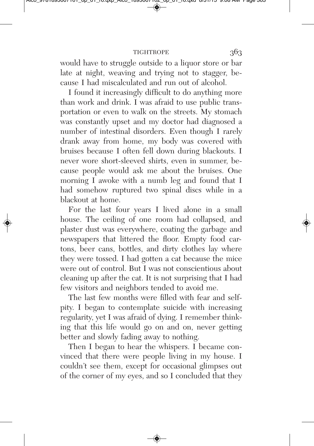### TIGHTROPE 363

would have to struggle outside to a liquor store or bar late at night, weaving and trying not to stagger, because I had miscalculated and run out of alcohol.

I found it increasingly difficult to do anything more than work and drink. I was afraid to use public transportation or even to walk on the streets. My stomach was constantly upset and my doctor had diagnosed a number of intestinal disorders. Even though I rarely drank away from home, my body was covered with bruises because I often fell down during blackouts. I never wore short-sleeved shirts, even in summer, because people would ask me about the bruises. One morning I awoke with a numb leg and found that I had somehow ruptured two spinal discs while in a blackout at home.

For the last four years I lived alone in a small house. The ceiling of one room had collapsed, and plaster dust was everywhere, coating the garbage and newspapers that littered the floor. Empty food cartons, beer cans, bottles, and dirty clothes lay where they were tossed. I had gotten a cat because the mice were out of control. But I was not conscientious about cleaning up after the cat. It is not surprising that I had few visitors and neighbors tended to avoid me.

The last few months were filled with fear and selfpity. I began to contemplate suicide with increasing regularity, yet I was afraid of dying. I remember thinking that this life would go on and on, never getting better and slowly fading away to nothing.

Then I began to hear the whispers. I became convinced that there were people living in my house. I couldn't see them, except for occasional glimpses out of the corner of my eyes, and so I concluded that they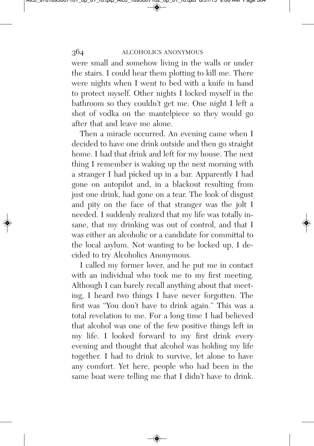### 364 ALCOHOLICS ANONYMOUS

were small and somehow living in the walls or under the stairs. I could hear them plotting to kill me. There were nights when I went to bed with a knife in hand to protect myself. Other nights I locked myself in the bathroom so they couldn't get me. One night I left a shot of vodka on the mantelpiece so they would go after that and leave me alone.

Then a miracle occurred. An evening came when I decided to have one drink outside and then go straight home. I had that drink and left for my house. The next thing I remember is waking up the next morning with a stranger I had picked up in a bar. Apparently I had gone on autopilot and, in a blackout resulting from just one drink, had gone on a tear. The look of disgust and pity on the face of that stranger was the jolt I needed. I suddenly realized that my life was totally insane, that my drinking was out of control, and that I was either an alcoholic or a candidate for committal to the local asylum. Not wanting to be locked up, I decided to try Alcoholics Anonymous.

I called my former lover, and he put me in contact with an individual who took me to my first meeting. Although I can barely recall anything about that meeting, I heard two things I have never forgotten. The first was "You don't have to drink again." This was a total revelation to me. For a long time I had believed that alcohol was one of the few positive things left in my life. I looked forward to my first drink every evening and thought that alcohol was holding my life together. I had to drink to survive, let alone to have any comfort. Yet here, people who had been in the same boat were telling me that I didn't have to drink.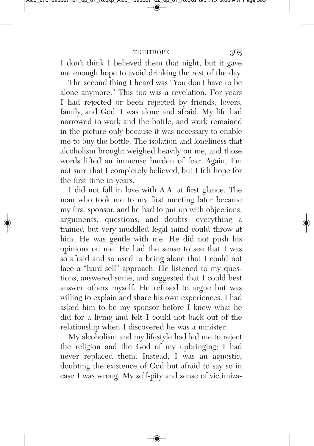I don't think I believed them that night, but it gave me enough hope to avoid drinking the rest of the day.

The second thing I heard was "You don't have to be alone anymore." This too was a revelation. For years I had rejected or been rejected by friends, lovers, family, and God. I was alone and afraid. My life had narrowed to work and the bottle, and work remained in the picture only because it was necessary to enable me to buy the bottle. The isolation and loneliness that alcoholism brought weighed heavily on me, and those words lifted an immense burden of fear. Again, I'm not sure that I completely believed, but I felt hope for the first time in years.

I did not fall in love with A.A. at first glance. The man who took me to my first meeting later became my first sponsor, and he had to put up with objections, arguments, questions, and doubts—everything a trained but very muddled legal mind could throw at him. He was gentle with me. He did not push his opinions on me. He had the sense to see that I was so afraid and so used to being alone that I could not face a "hard sell" approach. He listened to my questions, answered some, and suggested that I could best answer others myself. He refused to argue but was willing to explain and share his own experiences. I had asked him to be my sponsor before I knew what he did for a living and felt I could not back out of the relationship when I discovered he was a minister.

My alcoholism and my lifestyle had led me to reject the religion and the God of my upbringing; I had never replaced them. Instead, I was an agnostic, doubting the existence of God but afraid to say so in case I was wrong. My self-pity and sense of victimiza-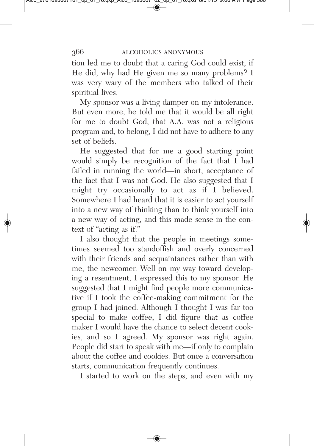tion led me to doubt that a caring God could exist; if He did, why had He given me so many problems? I was very wary of the members who talked of their spiritual lives.

My sponsor was a living damper on my intolerance. But even more, he told me that it would be all right for me to doubt God, that A.A. was not a religious program and, to belong, I did not have to adhere to any set of beliefs.

He suggested that for me a good starting point would simply be recognition of the fact that I had failed in running the world—in short, acceptance of the fact that I was not God. He also suggested that I might try occasionally to act as if I believed. Somewhere I had heard that it is easier to act yourself into a new way of thinking than to think yourself into a new way of acting, and this made sense in the context of "acting as if."

I also thought that the people in meetings sometimes seemed too standoffish and overly concerned with their friends and acquaintances rather than with me, the newcomer. Well on my way toward developing a resentment, I expressed this to my sponsor. He suggested that I might find people more communicative if I took the coffee-making commitment for the group I had joined. Although I thought I was far too special to make coffee, I did figure that as coffee maker I would have the chance to select decent cookies, and so I agreed. My sponsor was right again. People did start to speak with me—if only to complain about the coffee and cookies. But once a conversation starts, communication frequently continues.

I started to work on the steps, and even with my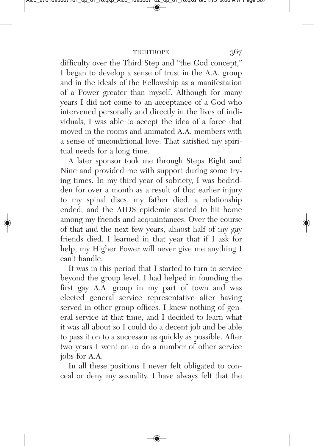### TIGHTROPE 367

difficulty over the Third Step and "the God concept," I began to develop a sense of trust in the A.A. group and in the ideals of the Fellowship as a manifestation of a Power greater than myself. Although for many years I did not come to an acceptance of a God who intervened personally and directly in the lives of individuals, I was able to accept the idea of a force that moved in the rooms and animated A.A. members with a sense of unconditional love. That satisfied my spiritual needs for a long time.

A later sponsor took me through Steps Eight and Nine and provided me with support during some trying times. In my third year of sobriety, I was bedridden for over a month as a result of that earlier injury to my spinal discs, my father died, a relationship ended, and the AIDS epidemic started to hit home among my friends and acquaintances. Over the course of that and the next few years, almost half of my gay friends died. I learned in that year that if I ask for help, my Higher Power will never give me anything I can't handle.

It was in this period that I started to turn to service beyond the group level. I had helped in founding the first gay A.A. group in my part of town and was elected general service representative after having served in other group offices. I knew nothing of general service at that time, and I decided to learn what it was all about so I could do a decent job and be able to pass it on to a successor as quickly as possible. After two years I went on to do a number of other service jobs for A.A.

In all these positions I never felt obligated to conceal or deny my sexuality. I have always felt that the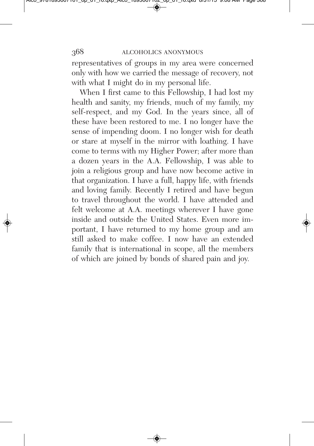representatives of groups in my area were concerned only with how we carried the message of recovery, not with what I might do in my personal life.

When I first came to this Fellowship, I had lost my health and sanity, my friends, much of my family, my self-respect, and my God. In the years since, all of these have been restored to me. I no longer have the sense of impending doom. I no longer wish for death or stare at myself in the mirror with loathing. I have come to terms with my Higher Power; after more than a dozen years in the A.A. Fellowship, I was able to join a religious group and have now become active in that organization. I have a full, happy life, with friends and loving family. Recently I retired and have begun to travel throughout the world. I have attended and felt welcome at A.A. meetings wherever I have gone inside and outside the United States. Even more important, I have returned to my home group and am still asked to make coffee. I now have an extended family that is international in scope, all the members of which are joined by bonds of shared pain and joy.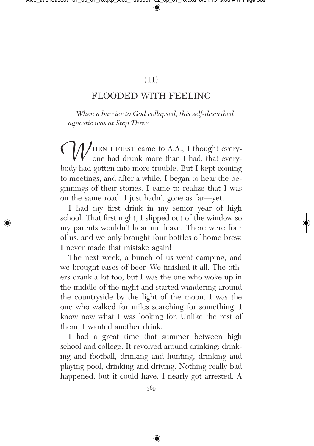# (11)

## FLOODED WITH FEELING

*When a barrier to God collapsed, this self- described agnostic was at Step Three.*

WHEN I FIRST came to A.A., I thought every-<br>body had gotten into more trouble. But I kept coming one had drunk more than I had, that everybody had gotten into more trouble. But I kept coming to meetings, and after a while, I began to hear the beginnings of their stories. I came to realize that I was on the same road. I just hadn't gone as far—yet.

I had my first drink in my senior year of high school. That first night, I slipped out of the window so my parents wouldn't hear me leave. There were four of us, and we only brought four bottles of home brew. I never made that mistake again!

The next week, a bunch of us went camping, and we brought cases of beer. We finished it all. The others drank a lot too, but I was the one who woke up in the middle of the night and started wandering around the countryside by the light of the moon. I was the one who walked for miles searching for something. I know now what I was looking for. Unlike the rest of them, I wanted another drink.

I had a great time that summer between high school and college. It revolved around drinking: drinking and football, drinking and hunting, drinking and playing pool, drinking and driving. Nothing really bad happened, but it could have. I nearly got arrested. A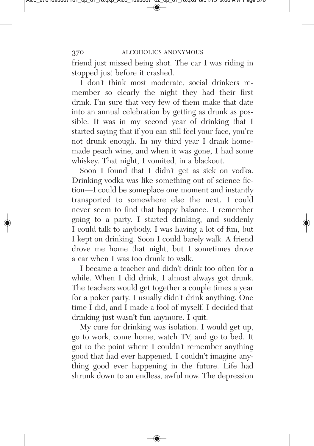friend just missed being shot. The car I was riding in stopped just before it crashed.

I don't think most moderate, social drinkers remember so clearly the night they had their first drink. I'm sure that very few of them make that date into an annual celebration by getting as drunk as possible. It was in my second year of drinking that I started saying that if you can still feel your face, you're not drunk enough. In my third year I drank homemade peach wine, and when it was gone, I had some whiskey. That night, I vomited, in a blackout.

Soon I found that I didn't get as sick on vodka. Drinking vodka was like something out of science fiction—I could be someplace one moment and instantly transported to somewhere else the next. I could never seem to find that happy balance. I remember going to a party. I started drinking, and suddenly I could talk to anybody. I was having a lot of fun, but I kept on drinking. Soon I could barely walk. A friend drove me home that night, but I sometimes drove a car when I was too drunk to walk.

I became a teacher and didn't drink too often for a while. When I did drink, I almost always got drunk. The teachers would get together a couple times a year for a poker party. I usually didn't drink anything. One time I did, and I made a fool of myself. I decided that drinking just wasn't fun anymore. I quit.

My cure for drinking was isolation. I would get up, go to work, come home, watch TV, and go to bed. It got to the point where I couldn't remember anything good that had ever happened. I couldn't imagine anything good ever happening in the future. Life had shrunk down to an endless, awful now. The depression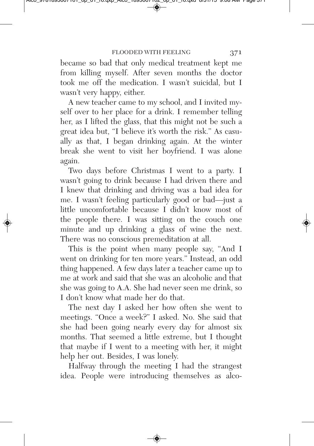became so bad that only medical treatment kept me from killing myself. After seven months the doctor took me off the medication. I wasn't suicidal, but I wasn't very happy, either.

A new teacher came to my school, and I invited myself over to her place for a drink. I remember telling her, as I lifted the glass, that this might not be such a great idea but, "I believe it's worth the risk." As casually as that, I began drinking again. At the winter break she went to visit her boyfriend. I was alone again.

Two days before Christmas I went to a party. I wasn't going to drink because I had driven there and I knew that drinking and driving was a bad idea for me. I wasn't feeling particularly good or bad—just a little uncomfortable because I didn't know most of the people there. I was sitting on the couch one minute and up drinking a glass of wine the next. There was no conscious premeditation at all.

This is the point when many people say, "And I went on drinking for ten more years." Instead, an odd thing happened. A few days later a teacher came up to me at work and said that she was an alcoholic and that she was going to A.A. She had never seen me drink, so I don't know what made her do that.

The next day I asked her how often she went to meetings. "Once a week?" I asked. No. She said that she had been going nearly every day for almost six months. That seemed a little extreme, but I thought that maybe if I went to a meeting with her, it might help her out. Besides, I was lonely.

Halfway through the meeting I had the strangest idea. People were introducing themselves as alco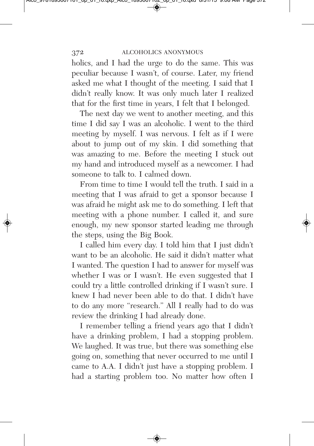holics, and I had the urge to do the same. This was peculiar because I wasn't, of course. Later, my friend asked me what I thought of the meeting. I said that I didn't really know. It was only much later I realized that for the first time in years, I felt that I belonged.

The next day we went to another meeting, and this time I did say I was an alcoholic. I went to the third meeting by myself. I was nervous. I felt as if I were about to jump out of my skin. I did something that was amazing to me. Before the meeting I stuck out my hand and introduced myself as a newcomer. I had someone to talk to. I calmed down.

From time to time I would tell the truth. I said in a meeting that I was afraid to get a sponsor because I was afraid he might ask me to do something. I left that meeting with a phone number. I called it, and sure enough, my new sponsor started leading me through the steps, using the Big Book.

I called him every day. I told him that I just didn't want to be an alcoholic. He said it didn't matter what I wanted. The question I had to answer for myself was whether I was or I wasn't. He even suggested that I could try a little controlled drinking if I wasn't sure. I knew I had never been able to do that. I didn't have to do any more "research." All I really had to do was review the drinking I had already done.

I remember telling a friend years ago that I didn't have a drinking problem, I had a stopping problem. We laughed. It was true, but there was something else going on, something that never occurred to me until I came to A.A. I didn't just have a stopping problem. I had a starting problem too. No matter how often I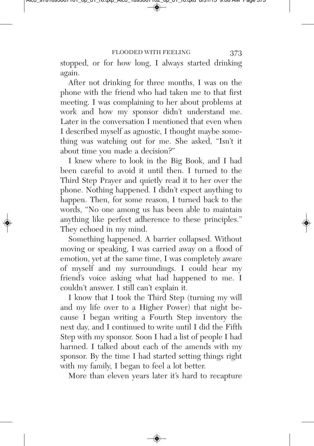stopped, or for how long, I always started drinking again.

After not drinking for three months, I was on the phone with the friend who had taken me to that first meeting. I was complaining to her about problems at work and how my sponsor didn't understand me. Later in the conversation I mentioned that even when I described myself as agnostic, I thought maybe something was watching out for me. She asked, "Isn't it about time you made a decision?"

I knew where to look in the Big Book, and I had been careful to avoid it until then. I turned to the Third Step Prayer and quietly read it to her over the phone. Nothing happened. I didn't expect anything to happen. Then, for some reason, I turned back to the words, "No one among us has been able to maintain anything like perfect adherence to these principles." They echoed in my mind.

Something happened. A barrier collapsed. Without moving or speaking, I was carried away on a flood of emotion, yet at the same time, I was completely aware of myself and my surroundings. I could hear my friend's voice asking what had happened to me. I couldn't answer. I still can't explain it.

I know that I took the Third Step (turning my will and my life over to a Higher Power) that night because I began writing a Fourth Step inventory the next day, and I continued to write until I did the Fifth Step with my sponsor. Soon I had a list of people I had harmed. I talked about each of the amends with my sponsor. By the time I had started setting things right with my family, I began to feel a lot better.

More than eleven years later it's hard to recapture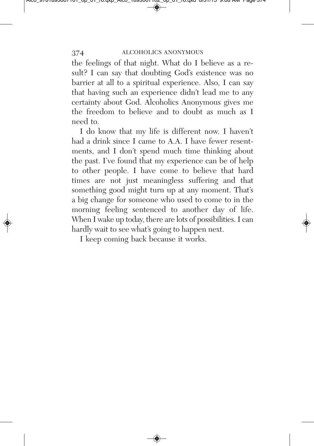the feelings of that night. What do I believe as a result? I can say that doubting God's existence was no barrier at all to a spiritual experience. Also, I can say that having such an experience didn't lead me to any certainty about God. Alcoholics Anonymous gives me the freedom to believe and to doubt as much as I need to.

I do know that my life is different now. I haven't had a drink since I came to A.A. I have fewer resentments, and I don't spend much time thinking about the past. I've found that my experience can be of help to other people. I have come to believe that hard times are not just meaningless suffering and that something good might turn up at any moment. That's a big change for someone who used to come to in the morning feeling sentenced to another day of life. When I wake up today, there are lots of possibilities. I can hardly wait to see what's going to happen next.

I keep coming back because it works.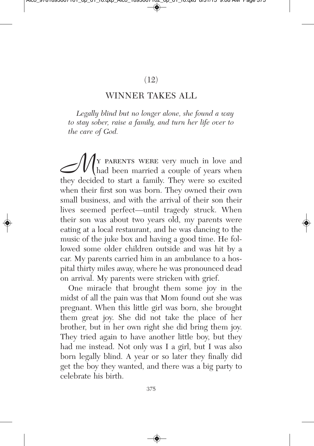## $(12)$

## WINNER TAKES ALL

*Legally blind but no longer alone, she found a way to stay sober, raise a family, and turn her life over to the care of God.*

*M*<sup>Y</sup> PARENTS WERE very much in love and that had been married a couple of years when they decided to start a family. They were so excited had been married a couple of years when they decided to start a family. They were so excited when their first son was born. They owned their own small business, and with the arrival of their son their lives seemed perfect—until tragedy struck. When their son was about two years old, my parents were eating at a local restaurant, and he was dancing to the music of the juke box and having a good time. He followed some older children outside and was hit by a car. My parents carried him in an ambulance to a hospital thirty miles away, where he was pronounced dead on arrival. My parents were stricken with grief.

One miracle that brought them some joy in the midst of all the pain was that Mom found out she was pregnant. When this little girl was born, she brought them great joy. She did not take the place of her brother, but in her own right she did bring them joy. They tried again to have another little boy, but they had me instead. Not only was I a girl, but I was also born legally blind. A year or so later they finally did get the boy they wanted, and there was a big party to celebrate his birth.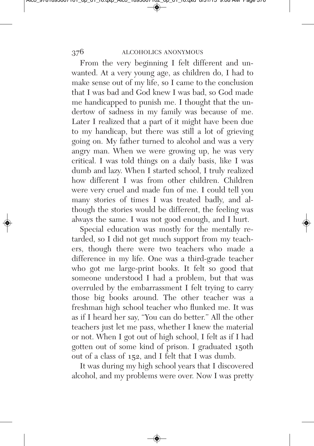From the very beginning I felt different and unwanted. At a very young age, as children do, I had to make sense out of my life, so I came to the conclusion that I was bad and God knew I was bad, so God made me handicapped to punish me. I thought that the undertow of sadness in my family was because of me. Later I realized that a part of it might have been due to my handicap, but there was still a lot of grieving going on. My father turned to alcohol and was a very angry man. When we were growing up, he was very critical. I was told things on a daily basis, like I was dumb and lazy. When I started school, I truly realized how different I was from other children. Children were very cruel and made fun of me. I could tell you many stories of times I was treated badly, and although the stories would be different, the feeling was always the same. I was not good enough, and I hurt.

Special education was mostly for the mentally retarded, so I did not get much support from my teachers, though there were two teachers who made a difference in my life. One was a third-grade teacher who got me large-print books. It felt so good that someone understood I had a problem, but that was overruled by the embarrassment I felt trying to carry those big books around. The other teacher was a freshman high school teacher who flunked me. It was as if I heard her say, "You can do better." All the other teachers just let me pass, whether I knew the material or not. When I got out of high school, I felt as if I had gotten out of some kind of prison. I graduated 150th out of a class of 152, and I felt that I was dumb.

It was during my high school years that I discovered alcohol, and my problems were over. Now I was pretty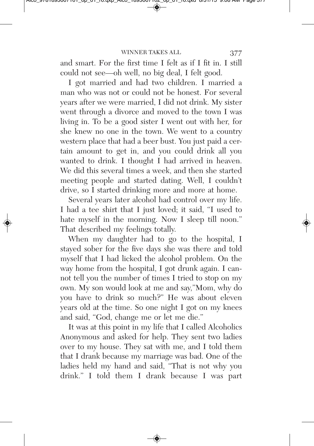and smart. For the first time I felt as if I fit in. I still could not see—oh well, no big deal, I felt good.

I got married and had two children. I married a man who was not or could not be honest. For several years after we were married, I did not drink. My sister went through a divorce and moved to the town I was living in. To be a good sister I went out with her, for she knew no one in the town. We went to a country western place that had a beer bust. You just paid a certain amount to get in, and you could drink all you wanted to drink. I thought I had arrived in heaven. We did this several times a week, and then she started meeting people and started dating. Well, I couldn't drive, so I started drinking more and more at home.

Several years later alcohol had control over my life. I had a tee shirt that I just loved; it said, "I used to hate myself in the morning. Now I sleep till noon." That described my feelings totally.

When my daughter had to go to the hospital, I stayed sober for the five days she was there and told myself that I had licked the alcohol problem. On the way home from the hospital, I got drunk again. I cannot tell you the number of times I tried to stop on my own. My son would look at me and say,"Mom, why do you have to drink so much?" He was about eleven years old at the time. So one night I got on my knees and said, "God, change me or let me die."

It was at this point in my life that I called Alcoholics Anonymous and asked for help. They sent two ladies over to my house. They sat with me, and I told them that I drank because my marriage was bad. One of the ladies held my hand and said, "That is not why you drink." I told them I drank because I was part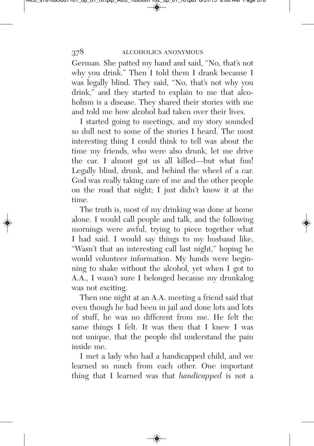German. She patted my hand and said, "No, that's not why you drink." Then I told them I drank because I was legally blind. They said, "No, that's not why you drink," and they started to explain to me that alcoholism is a disease. They shared their stories with me and told me how alcohol had taken over their lives.

I started going to meetings, and my story sounded so dull next to some of the stories I heard. The most interesting thing I could think to tell was about the time my friends, who were also drunk, let me drive the car. I almost got us all killed—but what fun! Legally blind, drunk, and behind the wheel of a car. God was really taking care of me and the other people on the road that night; I just didn't know it at the time.

The truth is, most of my drinking was done at home alone. I would call people and talk, and the following mornings were awful, trying to piece together what I had said. I would say things to my husband like, "Wasn't that an interesting call last night," hoping he would volunteer information. My hands were beginning to shake without the alcohol, yet when I got to A.A., I wasn't sure I belonged because my drunkalog was not exciting.

Then one night at an A.A. meeting a friend said that even though he had been in jail and done lots and lots of stuff, he was no different from me. He felt the same things I felt. It was then that I knew I was not unique, that the people did understand the pain inside me.

I met a lady who had a handicapped child, and we learned so much from each other. One important thing that I learned was that *handicapped* is not a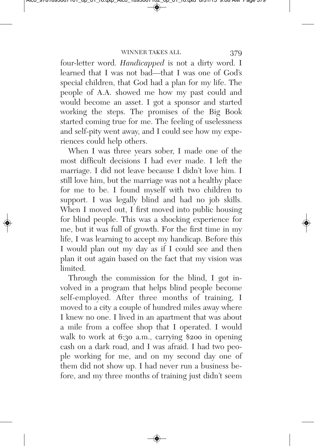four-letter word. *Handicapped* is not a dirty word. I learned that I was not bad—that I was one of God's special children, that God had a plan for my life. The people of A.A. showed me how my past could and would become an asset. I got a sponsor and started working the steps. The promises of the Big Book started coming true for me. The feeling of uselessness and self-pity went away, and I could see how my experiences could help others.

When I was three years sober, I made one of the most difficult decisions I had ever made. I left the marriage. I did not leave because I didn't love him. I still love him, but the marriage was not a healthy place for me to be. I found myself with two children to support. I was legally blind and had no job skills. When I moved out, I first moved into public housing for blind people. This was a shocking experience for me, but it was full of growth. For the first time in my life, I was learning to accept my handicap. Before this I would plan out my day as if I could see and then plan it out again based on the fact that my vision was limited.

Through the commission for the blind, I got involved in a program that helps blind people become self-employed. After three months of training, I moved to a city a couple of hundred miles away where I knew no one. I lived in an apartment that was about a mile from a coffee shop that I operated. I would walk to work at 6:30 a.m., carrying \$200 in opening cash on a dark road, and I was afraid. I had two people working for me, and on my second day one of them did not show up. I had never run a business before, and my three months of training just didn't seem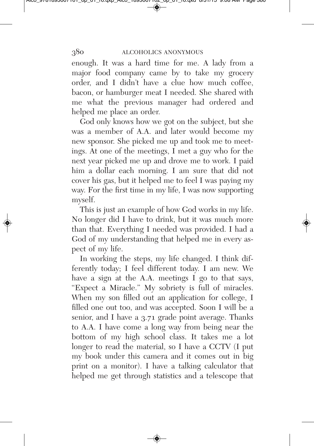enough. It was a hard time for me. A lady from a major food company came by to take my grocery order, and I didn't have a clue how much coffee, bacon, or hamburger meat I needed. She shared with me what the previous manager had ordered and helped me place an order.

God only knows how we got on the subject, but she was a member of A.A. and later would become my new sponsor. She picked me up and took me to meetings. At one of the meetings, I met a guy who for the next year picked me up and drove me to work. I paid him a dollar each morning. I am sure that did not cover his gas, but it helped me to feel I was paying my way. For the first time in my life, I was now supporting myself.

This is just an example of how God works in my life. No longer did I have to drink, but it was much more than that. Everything I needed was provided. I had a God of my understanding that helped me in every aspect of my life.

In working the steps, my life changed. I think differently today; I feel different today. I am new. We have a sign at the A.A. meetings I go to that says, "Expect a Miracle." My sobriety is full of miracles. When my son filled out an application for college, I filled one out too, and was accepted. Soon I will be a senior, and I have a 3.71 grade point average. Thanks to A.A. I have come a long way from being near the bottom of my high school class. It takes me a lot longer to read the material, so I have a CCTV (I put my book under this camera and it comes out in big print on a monitor). I have a talking calculator that helped me get through statistics and a telescope that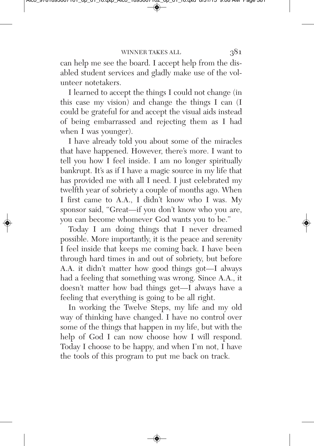can help me see the board. I accept help from the disabled student services and gladly make use of the volunteer notetakers.

I learned to accept the things I could not change (in this case my vision) and change the things I can (I could be grateful for and accept the visual aids instead of being embarrassed and rejecting them as I had when I was younger).

I have already told you about some of the miracles that have happened. However, there's more. I want to tell you how I feel inside. I am no longer spiritually bankrupt. It's as if I have a magic source in my life that has provided me with all I need. I just celebrated my twelfth year of sobriety a couple of months ago. When I first came to A.A., I didn't know who I was. My sponsor said, "Great—if you don't know who you are, you can become whomever God wants you to be."

Today I am doing things that I never dreamed possible. More importantly, it is the peace and serenity I feel inside that keeps me coming back. I have been through hard times in and out of sobriety, but before A.A. it didn't matter how good things got—I always had a feeling that something was wrong. Since A.A., it doesn't matter how bad things get—I always have a feeling that everything is going to be all right.

In working the Twelve Steps, my life and my old way of thinking have changed. I have no control over some of the things that happen in my life, but with the help of God I can now choose how I will respond. Today I choose to be happy, and when I'm not, I have the tools of this program to put me back on track.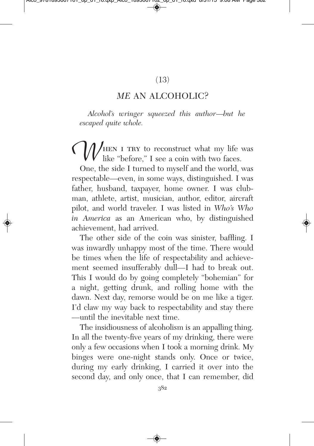## (13)

## *ME* AN ALCOHOLIC?

*Alcohol's wringer squeezed this author—but he escaped quite whole.*

WHEN I TRY to reconstruct what my life was<br>like "before," I see a coin with two faces.<br>One, the side I turned to myself and the world, was like "before," I see a coin with two faces.

One, the side I turned to myself and the world, was respectable—even, in some ways, distinguished. I was father, husband, taxpayer, home owner. I was clubman, athlete, artist, musician, author, editor, aircraft pilot, and world traveler. I was listed in *Who's Who in America* as an American who, by distinguished achievement, had arrived.

The other side of the coin was sinister, baffling. I was inwardly unhappy most of the time. There would be times when the life of respectability and achievement seemed insufferably dull—I had to break out. This I would do by going completely "bohemian" for a night, getting drunk, and rolling home with the dawn. Next day, remorse would be on me like a tiger. I'd claw my way back to respectability and stay there —until the inevitable next time.

The insidiousness of alcoholism is an appalling thing. In all the twenty-five years of my drinking, there were only a few occasions when I took a morning drink. My binges were one-night stands only. Once or twice, during my early drinking, I carried it over into the second day, and only once, that I can remember, did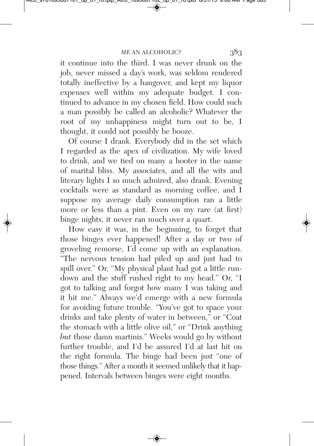it continue into the third. I was never drunk on the job, never missed a day's work, was seldom rendered totally ineffective by a hangover, and kept my liquor expenses well within my adequate budget. I continued to advance in my chosen field. How could such a man possibly be called an alcoholic? Whatever the root of my unhappiness might turn out to be, I thought, it could not possibly be booze.

Of course I drank. Everybody did in the set which I regarded as the apex of civilization. My wife loved to drink, and we tied on many a hooter in the name of marital bliss. My associates, and all the wits and literary lights I so much admired, also drank. Evening cocktails were as standard as morning coffee, and I suppose my average daily consumption ran a little more or less than a pint. Even on my rare (at first) binge nights, it never ran much over a quart.

How easy it was, in the beginning, to forget that those binges ever happened! After a day or two of groveling remorse, I'd come up with an explanation. "The nervous tension had piled up and just had to spill over." Or, "My physical plant had got a little rundown and the stuff rushed right to my head." Or, "I got to talking and forgot how many I was taking and it hit me." Always we'd emerge with a new formula for avoiding future trouble. "You've got to space your drinks and take plenty of water in between," or "Coat the stomach with a little olive oil," or "Drink anything *but* those damn martinis." Weeks would go by without further trouble, and I'd be assured I'd at last hit on the right formula. The binge had been just "one of those things." After a month it seemed unlikely that it happened. Intervals between binges were eight months.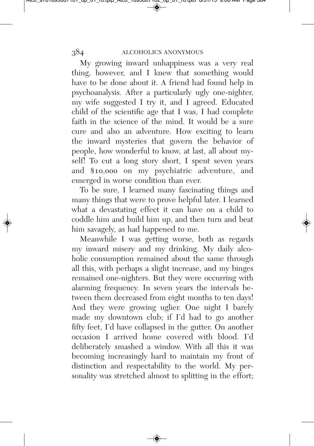My growing inward unhappiness was a very real thing, however, and I knew that something would have to be done about it. A friend had found help in psychoanalysis. After a particularly ugly one-nighter, my wife suggested I try it, and I agreed. Educated child of the scientific age that I was, I had complete faith in the science of the mind. It would be a sure cure and also an adventure. How exciting to learn the inward mysteries that govern the behavior of people, how wonderful to know, at last, all about myself! To cut a long story short, I spent seven years and \$10,000 on my psychiatric adventure, and emerged in worse condition than ever.

To be sure, I learned many fascinating things and many things that were to prove helpful later. I learned what a devastating effect it can have on a child to coddle him and build him up, and then turn and beat him savagely, as had happened to me.

Meanwhile I was getting worse, both as regards my inward misery and my drinking. My daily alcoholic consumption remained about the same through all this, with perhaps a slight increase, and my binges remained one-nighters. But they were occurring with alarming frequency. In seven years the intervals between them decreased from eight months to ten days! And they were growing uglier. One night I barely made my downtown club; if I'd had to go another fifty feet, I'd have collapsed in the gutter. On another occasion I arrived home covered with blood. I'd deliberately smashed a window. With all this it was becoming increasingly hard to maintain my front of distinction and respectability to the world. My personality was stretched almost to splitting in the effort;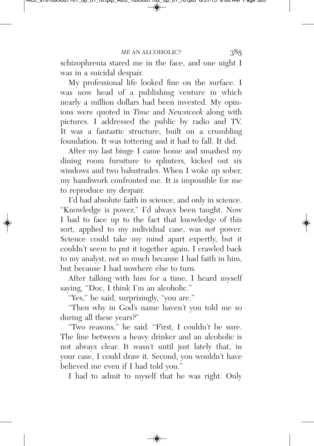schizophrenia stared me in the face, and one night I was in a suicidal despair.

My professional life looked fine on the surface. I was now head of a publishing venture in which nearly a million dollars had been invested. My opinions were quoted in *Time* and *Newsweek* along with pictures. I addressed the public by radio and TV. It was a fantastic structure, built on a crumbling foundation. It was tottering and it had to fall. It did.

After my last binge I came home and smashed my dining room furniture to splinters, kicked out six windows and two balustrades. When I woke up sober, my handiwork confronted me. It is impossible for me to reproduce my despair.

I'd had absolute faith in science, and only in science. "Knowledge is power," I'd always been taught. Now I had to face up to the fact that knowledge of this sort, applied to my individual case, was *not* power. Science could take my mind apart expertly, but it couldn't seem to put it together again. I crawled back to my analyst, not so much because I had faith in him, but because I had nowhere else to turn.

After talking with him for a time, I heard myself saying, "Doc, I think I'm an alcoholic."

"Yes," he said, surprisingly, "you are."

"Then why in God's name haven't you told me so during all these years?"

"Two reasons," he said. "First, I couldn't be sure. The line between a heavy drinker and an alcoholic is not always clear. It wasn't until just lately that, in your case, I could draw it. Second, you wouldn't have believed me even if I had told you."

I had to admit to myself that he was right. Only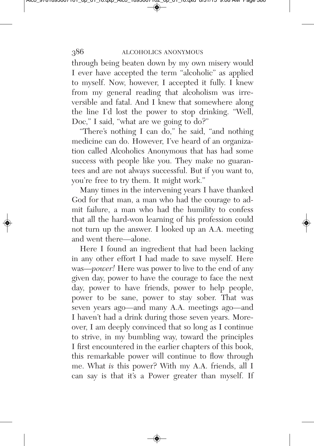through being beaten down by my own misery would I ever have accepted the term "alcoholic" as applied to myself. Now, however, I accepted it fully.  $I$  knew from my general reading that alcoholism was irreversible and fatal. And I knew that somewhere along the line I'd lost the power to stop drinking. "Well, Doc," I said, "what are we going to do?"

"There's nothing I can do," he said, "and nothing medicine can do. However, I've heard of an organization called Alcoholics Anonymous that has had some success with people like you. They make no guarantees and are not always successful. But if you want to, you're free to try them. It might work."

Many times in the intervening years I have thanked God for that man, a man who had the courage to admit failure, a man who had the humility to confess that all the hard-won learning of his profession could not turn up the answer. I looked up an A.A. meeting and went there—alone.

Here I found an ingredient that had been lacking in any other effort I had made to save myself. Here was*—power!* Here was power to live to the end of any given day, power to have the courage to face the next day, power to have friends, power to help people, power to be sane, power to stay sober. That was seven years ago—and many A.A. meetings ago—and I haven't had a drink during those seven years. Moreover, I am deeply convinced that so long as I continue to strive, in my bumbling way, toward the principles I first encountered in the earlier chapters of this book, this remarkable power will continue to flow through me. What *is* this power? With my A.A. friends, all I can say is that it's a Power greater than myself. If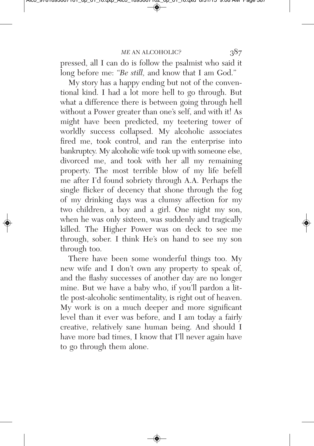pressed, all I can do is follow the psalmist who said it long before me: *"Be still*, and know that I am God."

My story has a happy ending but not of the conventional kind. I had a lot more hell to go through. But what a difference there is between going through hell without a Power greater than one's self, and with it! As might have been predicted, my teetering tower of worldly success collapsed. My alcoholic associates fired me, took control, and ran the enterprise into bankruptcy. My alcoholic wife took up with someone else, divorced me, and took with her all my remaining property. The most terrible blow of my life befell me after I'd found sobriety through A.A. Perhaps the single flicker of decency that shone through the fog of my drinking days was a clumsy affection for my two children, a boy and a girl. One night my son, when he was only sixteen, was suddenly and tragically killed. The Higher Power was on deck to see me through, sober. I think He's on hand to see my son through too.

There have been some wonderful things too. My new wife and I don't own any property to speak of, and the flashy successes of another day are no longer mine. But we have a baby who, if you'll pardon a little post-alcoholic sentimentality, is right out of heaven. My work is on a much deeper and more significant level than it ever was before, and I am today a fairly creative, relatively sane human being. And should I have more bad times, I know that I'll never again have to go through them alone.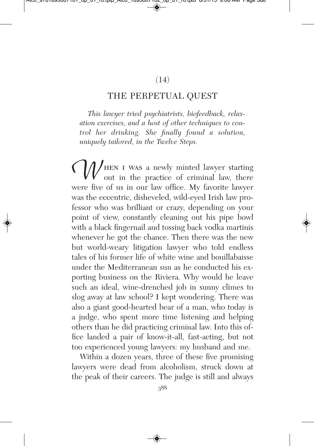## $(14)$

## THE PERPETUAL QUEST

*This lawyer tried psychiatrists, biofeedback, relaxation exercises, and a host of other techniques to control her drinking. She finally found a solution, uniquely tailored, in the Twelve Steps.*

WHEN I WAS a newly minted lawyer starting<br>were five of us in our law office. My favorite lawyer out in the practice of criminal law, there were five of us in our law office. My favorite lawyer was the eccentric, disheveled, wild-eyed Irish law professor who was brilliant or crazy, depending on your point of view, constantly cleaning out his pipe bowl with a black fingernail and tossing back vodka martinis whenever he got the chance. Then there was the new but world-weary litigation lawyer who told endless tales of his former life of white wine and bouillabaisse under the Mediterranean sun as he conducted his exporting business on the Riviera. Why would he leave such an ideal, wine-drenched job in sunny climes to slog away at law school? I kept wondering. There was also a giant good-hearted bear of a man, who today is a judge, who spent more time listening and helping others than he did practicing criminal law. Into this office landed a pair of know-it-all, fast-acting, but not too experienced young lawyers: my husband and me.

Within a dozen years, three of these five promising lawyers were dead from alcoholism, struck down at the peak of their careers. The judge is still and always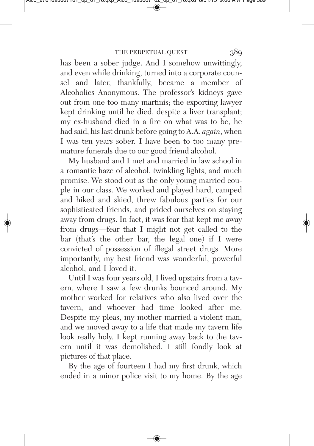has been a sober judge. And I somehow unwittingly, and even while drinking, turned into a corporate counsel and later, thankfully, became a member of Alcoholics Anonymous. The professor's kidneys gave out from one too many martinis; the exporting lawyer kept drinking until he died, despite a liver transplant; my ex-husband died in a fire on what was to be, he had said, his last drunk before going to A.A. *again*, when I was ten years sober. I have been to too many premature funerals due to our good friend alcohol.

My husband and I met and married in law school in a romantic haze of alcohol, twinkling lights, and much promise. We stood out as the only young married couple in our class. We worked and played hard, camped and hiked and skied, threw fabulous parties for our sophisticated friends, and prided ourselves on staying away from drugs. In fact, it was fear that kept me away from drugs—fear that I might not get called to the bar (that's the other bar, the legal one) if I were convicted of possession of illegal street drugs. More importantly, my best friend was wonderful, powerful alcohol, and I loved it.

Until I was four years old, I lived upstairs from a tavern, where I saw a few drunks bounced around. My mother worked for relatives who also lived over the tavern, and whoever had time looked after me. Despite my pleas, my mother married a violent man, and we moved away to a life that made my tavern life look really holy. I kept running away back to the tavern until it was demolished. I still fondly look at pictures of that place.

By the age of fourteen I had my first drunk, which ended in a minor police visit to my home. By the age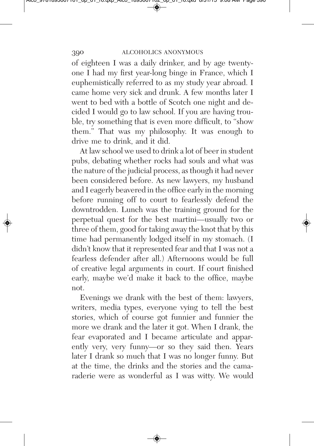of eighteen I was a daily drinker, and by age twentyone I had my first year-long binge in France, which I euphemistically referred to as my study year abroad. I came home very sick and drunk. A few months later I went to bed with a bottle of Scotch one night and decided I would go to law school. If you are having trouble, try something that is even more difficult, to "show them." That was my philosophy. It was enough to drive me to drink, and it did.

At law school we used to drink a lot of beer in student pubs, debating whether rocks had souls and what was the nature of the judicial process, as though it had never been considered before. As new lawyers, my husband and I eagerly beavered in the office early in the morning before running off to court to fearlessly defend the downtrodden. Lunch was the training ground for the perpetual quest for the best martini—usually two or three of them, good for taking away the knot that by this time had permanently lodged itself in my stomach. (I didn't know that it represented fear and that I was not a fearless defender after all.) Afternoons would be full of creative legal arguments in court. If court finished early, maybe we'd make it back to the office, maybe not.

Evenings we drank with the best of them: lawyers, writers, media types, everyone vying to tell the best stories, which of course got funnier and funnier the more we drank and the later it got. When I drank, the fear evaporated and I became articulate and apparently very, very funny—or so they said then. Years later I drank so much that I was no longer funny. But at the time, the drinks and the stories and the camaraderie were as wonderful as I was witty. We would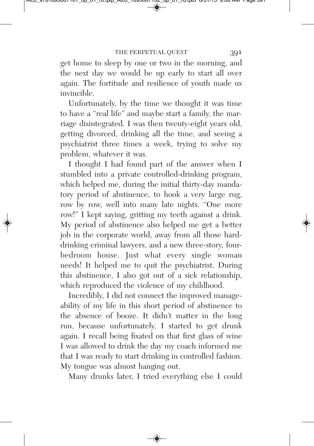get home to sleep by one or two in the morning, and the next day we would be up early to start all over again. The fortitude and resilience of youth made us invincible.

Unfortunately, by the time we thought it was time to have a "real life" and maybe start a family, the marriage disintegrated. I was then twenty-eight years old, getting divorced, drinking all the time, and seeing a psychiatrist three times a week, trying to solve my problem, whatever it was.

I thought I had found part of the answer when I stumbled into a private controlled-drinking program, which helped me, during the initial thirty-day mandatory period of abstinence, to hook a very large rug, row by row, well into many late nights. "One more row!" I kept saying, gritting my teeth against a drink. My period of abstinence also helped me get a better job in the corporate world, away from all those harddrinking criminal lawyers, and a new three-story, fourbedroom house. Just what every single woman needs! It helped me to quit the psychiatrist. During this abstinence, I also got out of a sick relationship, which reproduced the violence of my childhood.

Incredibly, I did not connect the improved manageability of my life in this short period of abstinence to the absence of booze. It didn't matter in the long run, because unfortunately, I started to get drunk again. I recall being fixated on that first glass of wine I was allowed to drink the day my coach informed me that I was ready to start drinking in controlled fashion. My tongue was almost hanging out.

Many drunks later, I tried everything else I could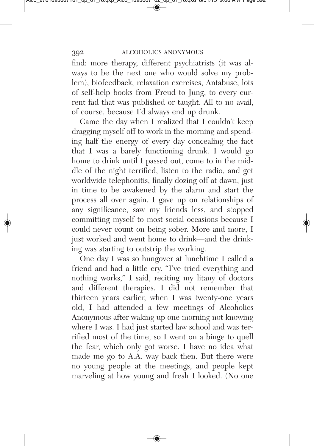find: more therapy, different psychiatrists (it was always to be the next one who would solve my problem), biofeedback, relaxation exercises, Antabuse, lots of self-help books from Freud to Jung, to every current fad that was published or taught. All to no avail, of course, because I'd always end up drunk.

Came the day when I realized that I couldn't keep dragging myself off to work in the morning and spending half the energy of every day concealing the fact that I was a barely functioning drunk. I would go home to drink until I passed out, come to in the middle of the night terrified, listen to the radio, and get worldwide telephonitis, finally dozing off at dawn, just in time to be awakened by the alarm and start the process all over again. I gave up on relationships of any significance, saw my friends less, and stopped committing myself to most social occasions because I could never count on being sober. More and more, I just worked and went home to drink—and the drinking was starting to outstrip the working.

One day I was so hungover at lunchtime I called a friend and had a little cry. "I've tried everything and nothing works," I said, reciting my litany of doctors and different therapies. I did not remember that thirteen years earlier, when I was twenty-one years old, I had attended a few meetings of Alcoholics Anonymous after waking up one morning not knowing where I was. I had just started law school and was terrified most of the time, so I went on a binge to quell the fear, which only got worse. I have no idea what made me go to A.A. way back then. But there were no young people at the meetings, and people kept marveling at how young and fresh I looked. (No one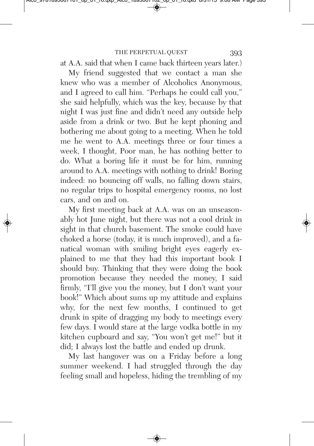at A.A. said that when I came back thirteen years later.)

My friend suggested that we contact a man she knew who was a member of Alcoholics Anonymous, and I agreed to call him. "Perhaps he could call you," she said helpfully, which was the key, because by that night I was just fine and didn't need any outside help aside from a drink or two. But he kept phoning and bothering me about going to a meeting. When he told me he went to A.A. meetings three or four times a week, I thought, Poor man, he has nothing better to do. What a boring life it must be for him, running around to A.A. meetings with nothing to drink! Boring indeed: no bouncing off walls, no falling down stairs, no regular trips to hospital emergency rooms, no lost cars, and on and on.

My first meeting back at A.A. was on an unseasonably hot June night, but there was not a cool drink in sight in that church basement. The smoke could have choked a horse (today, it is much improved), and a fanatical woman with smiling bright eyes eagerly explained to me that they had this important book I should buy. Thinking that they were doing the book promotion because they needed the money, I said firmly, "I'll give you the money, but I don't want your book!" Which about sums up my attitude and explains why, for the next few months, I continued to get drunk in spite of dragging my body to meetings every few days. I would stare at the large vodka bottle in my kitchen cupboard and say, "You won't get me!" but it did; I always lost the battle and ended up drunk.

My last hangover was on a Friday before a long summer weekend. I had struggled through the day feeling small and hopeless, hiding the trembling of my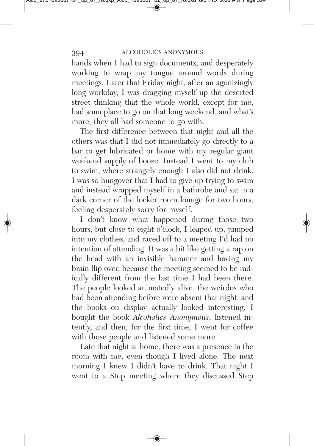hands when I had to sign documents, and desperately working to wrap my tongue around words during meetings. Later that Friday night, after an agonizingly long workday, I was dragging myself up the deserted street thinking that the whole world, except for me, had someplace to go on that long weekend, and what's more, they all had someone to go with.

The first difference between that night and all the others was that I did not immediately go directly to a bar to get lubricated or home with my regular giant weekend supply of booze. Instead I went to my club to swim, where strangely enough I also did not drink. I was so hungover that I had to give up trying to swim and instead wrapped myself in a bathrobe and sat in a dark corner of the locker room lounge for two hours, feeling desperately sorry for myself.

I don't know what happened during those two hours, but close to eight o'clock, I leaped up, jumped into my clothes, and raced off to a meeting I'd had no intention of attending. It was a bit like getting a rap on the head with an invisible hammer and having my brain flip over, because the meeting seemed to be radically different from the last time I had been there. The people looked animatedly alive, the weirdos who had been attending before were absent that night, and the books on display actually looked interesting. I bought the book *Alcoholics Anonymous*, listened intently, and then, for the first time, I went for coffee with those people and listened some more.

Late that night at home, there was a presence in the room with me, even though I lived alone. The next morning I knew I didn't have to drink. That night I went to a Step meeting where they discussed Step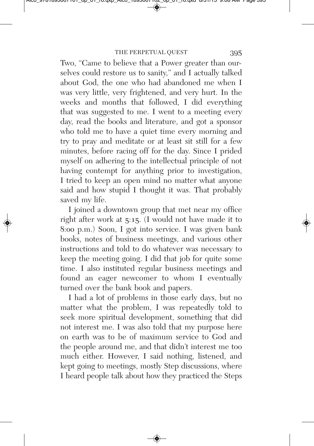Two, "Came to believe that a Power greater than ourselves could restore us to sanity," and I actually talked about God, the one who had abandoned me when I was very little, very frightened, and very hurt. In the weeks and months that followed, I did everything that was suggested to me. I went to a meeting every day, read the books and literature, and got a sponsor who told me to have a quiet time every morning and try to pray and meditate or at least sit still for a few minutes, before racing off for the day. Since I prided myself on adhering to the intellectual principle of not having contempt for anything prior to investigation, I tried to keep an open mind no matter what anyone said and how stupid I thought it was. That probably saved my life.

I joined a downtown group that met near my office right after work at 5:15. (I would not have made it to 8:00 p.m.) Soon, I got into service. I was given bank books, notes of business meetings, and various other instructions and told to do whatever was necessary to keep the meeting going. I did that job for quite some time. I also instituted regular business meetings and found an eager newcomer to whom I eventually turned over the bank book and papers.

I had a lot of problems in those early days, but no matter what the problem, I was repeatedly told to seek more spiritual development, something that did not interest me. I was also told that my purpose here on earth was to be of maximum service to God and the people around me, and that didn't interest me too much either. However, I said nothing, listened, and kept going to meetings, mostly Step discussions, where I heard people talk about how they practiced the Steps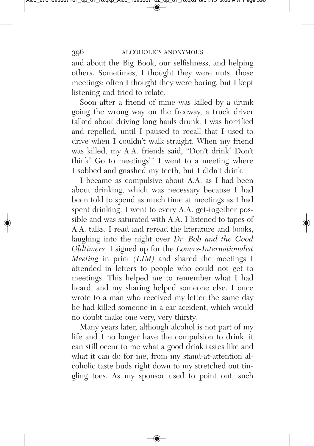and about the Big Book, our selfishness, and helping others. Sometimes, I thought they were nuts, those meetings; often I thought they were boring, but I kept listening and tried to relate.

Soon after a friend of mine was killed by a drunk going the wrong way on the freeway, a truck driver talked about driving long hauls drunk. I was horrified and repelled, until I paused to recall that I used to drive when I couldn't walk straight. When my friend was killed, my A.A. friends said, "Don't drink! Don't think! Go to meetings!" I went to a meeting where I sobbed and gnashed my teeth, but I didn't drink.

I became as compulsive about A.A. as I had been about drinking, which was necessary because I had been told to spend as much time at meetings as I had spent drinking. I went to every A.A. get-together possible and was saturated with A.A. I listened to tapes of A.A. talks. I read and reread the literature and books, laughing into the night over *Dr. Bob and the Good Oldtimers*. I signed up for the *Loners-Internationalist Meeting* in print *(LIM)* and shared the meetings I attended in letters to people who could not get to meetings. This helped me to remember what I had heard, and my sharing helped someone else. I once wrote to a man who received my letter the same day he had killed someone in a car accident, which would no doubt make one very, very thirsty.

Many years later, although alcohol is not part of my life and I no longer have the compulsion to drink, it can still occur to me what a good drink tastes like and what it can do for me, from my stand-at-attention alcoholic taste buds right down to my stretched out tingling toes. As my sponsor used to point out, such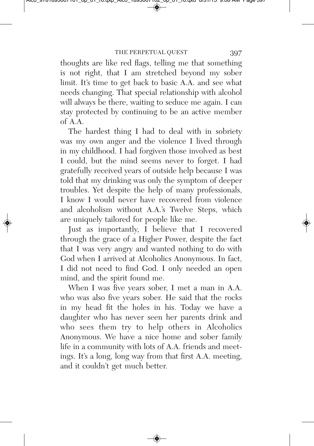thoughts are like red flags, telling me that something is not right, that I am stretched beyond my sober limit. It's time to get back to basic A.A. and see what needs changing. That special relationship with alcohol will always be there, waiting to seduce me again. I can stay protected by continuing to be an active member of A.A.

The hardest thing I had to deal with in sobriety was my own anger and the violence I lived through in my childhood. I had forgiven those involved as best I could, but the mind seems never to forget. I had gratefully received years of outside help because I was told that my drinking was only the symptom of deeper troubles. Yet despite the help of many professionals, I know I would never have recovered from violence and alcoholism without A.A.'s Twelve Steps, which are uniquely tailored for people like me.

Just as importantly, I believe that I recovered through the grace of a Higher Power, despite the fact that I was very angry and wanted nothing to do with God when I arrived at Alcoholics Anonymous. In fact, I did not need to find God. I only needed an open mind, and the spirit found me.

When I was five years sober, I met a man in A.A. who was also five years sober. He said that the rocks in my head fit the holes in his. Today we have a daughter who has never seen her parents drink and who sees them try to help others in Alcoholics Anonymous. We have a nice home and sober family life in a community with lots of A.A. friends and meetings. It's a long, long way from that first A.A. meeting, and it couldn't get much better.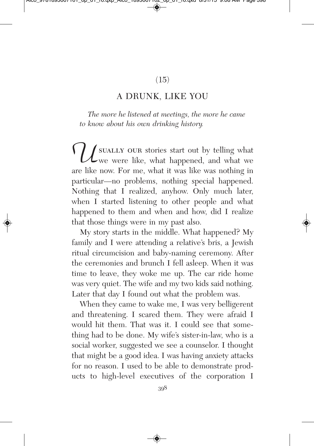## $(15)$

# A DRUNK, LIKE YOU

*The more he listened at meetings, the more he came to know about his own drinking history.*

V sually our stories start out by telling what we were like, what happened, and what we are like now. For me, what it was like was nothing in we were like, what happened, and what we are like now. For me, what it was like was nothing in particular—no problems, nothing special happened. Nothing that I realized, anyhow. Only much later, when I started listening to other people and what happened to them and when and how, did I realize that those things were in my past also.

My story starts in the middle. What happened? My family and I were attending a relative's bris, a Jewish ritual circumcision and baby-naming ceremony. After the ceremonies and brunch I fell asleep. When it was time to leave, they woke me up. The car ride home was very quiet. The wife and my two kids said nothing. Later that day I found out what the problem was.

When they came to wake me, I was very belligerent and threatening. I scared them. They were afraid I would hit them. That was it. I could see that something had to be done. My wife's sister-in-law, who is a social worker, suggested we see a counselor. I thought that might be a good idea. I was having anxiety attacks for no reason. I used to be able to demonstrate products to high-level executives of the corporation I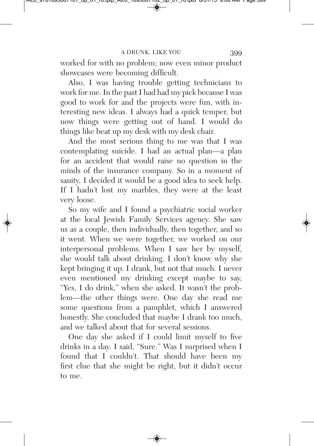worked for with no problem; now even minor product showcases were becoming difficult.

Also, I was having trouble getting technicians to work for me. In the past I had had my pick because I was good to work for and the projects were fun, with interesting new ideas. I always had a quick temper, but now things were getting out of hand. I would do things like beat up my desk with my desk chair.

And the most serious thing to me was that I was contemplating suicide. I had an actual plan—a plan for an accident that would raise no question in the minds of the insurance company. So in a moment of sanity, I decided it would be a good idea to seek help. If I hadn't lost my marbles, they were at the least very loose.

So my wife and I found a psychiatric social worker at the local Jewish Family Services agency. She saw us as a couple, then individually, then together, and so it went. When we were together, we worked on our interpersonal problems. When I saw her by myself, she would talk about drinking. I don't know why she kept bringing it up. I drank, but not that much. I never even mentioned my drinking except maybe to say, "Yes, I do drink," when she asked. It wasn't the problem—the other things were. One day she read me some questions from a pamphlet, which I answered honestly. She concluded that maybe I drank too much, and we talked about that for several sessions.

One day she asked if I could limit myself to five drinks in a day. I said, "Sure." Was I surprised when I found that I couldn't. That should have been my first clue that she might be right, but it didn't occur to me.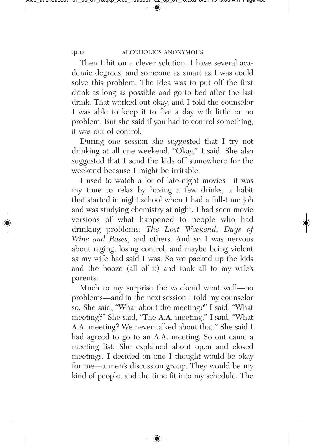Then I hit on a clever solution. I have several academic degrees, and someone as smart as I was could solve this problem. The idea was to put off the first drink as long as possible and go to bed after the last drink. That worked out okay, and I told the counselor I was able to keep it to five a day with little or no problem. But she said if you had to control something, it was out of control.

During one session she suggested that I try not drinking at all one weekend. "Okay," I said. She also suggested that I send the kids off somewhere for the weekend because I might be irritable.

I used to watch a lot of late-night movies—it was my time to relax by having a few drinks, a habit that started in night school when I had a full-time job and was studying chemistry at night. I had seen movie versions of what happened to people who had drinking problems: *The Lost Weekend, Days of Wine and Roses*, and others. And so I was nervous about raging, losing control, and maybe being violent as my wife had said I was. So we packed up the kids and the booze (all of it) and took all to my wife's parents.

Much to my surprise the weekend went well—no problems—and in the next session I told my counselor so. She said, "What about the meeting?" I said, "What meeting?" She said, "The A.A. meeting." I said, "What A.A. meeting? We never talked about that." She said I had agreed to go to an A.A. meeting. So out came a meeting list. She explained about open and closed meetings. I decided on one I thought would be okay for me—a men's discussion group. They would be my kind of people, and the time fit into my schedule. The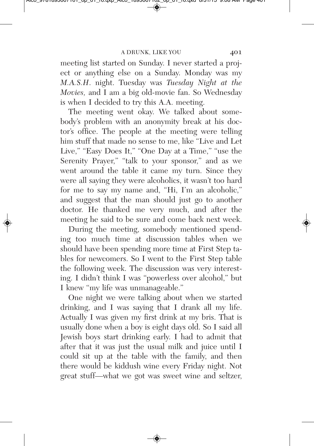meeting list started on Sunday. I never started a project or anything else on a Sunday. Monday was my *M.A.S.H*. night. Tuesday was *Tuesday Night at the Movies,* and I am a big old-movie fan. So Wednesday is when I decided to try this A.A. meeting.

The meeting went okay. We talked about somebody's problem with an anonymity break at his doctor's office. The people at the meeting were telling him stuff that made no sense to me, like "Live and Let Live," "Easy Does It," "One Day at a Time," "use the Serenity Prayer," "talk to your sponsor," and as we went around the table it came my turn. Since they were all saying they were alcoholics, it wasn't too hard for me to say my name and, "Hi, I'm an alcoholic," and suggest that the man should just go to another doctor. He thanked me very much, and after the meeting he said to be sure and come back next week.

During the meeting, somebody mentioned spending too much time at discussion tables when we should have been spending more time at First Step tables for newcomers. So I went to the First Step table the following week. The discussion was very interesting. I didn't think I was "powerless over alcohol," but I knew "my life was unmanageable."

One night we were talking about when we started drinking, and I was saying that I drank all my life. Actually I was given my first drink at my bris. That is usually done when a boy is eight days old. So I said all Jewish boys start drinking early. I had to admit that after that it was just the usual milk and juice until I could sit up at the table with the family, and then there would be kiddush wine every Friday night. Not great stuff—what we got was sweet wine and seltzer,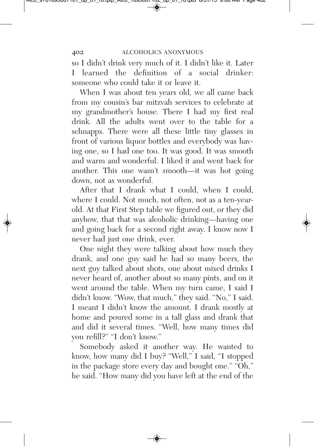so I didn't drink very much of it. I didn't like it. Later I learned the definition of a social drinker: someone who could take it or leave it.

When I was about ten years old, we all came back from my cousin's bar mitzvah services to celebrate at my grandmother's house. There I had my first real drink. All the adults went over to the table for a schnapps. There were all these little tiny glasses in front of various liquor bottles and everybody was having one, so I had one too. It was good. It was smooth and warm and wonderful. I liked it and went back for another. This one wasn't smooth—it was hot going down, not as wonderful.

After that I drank what I could, when I could, where I could. Not much, not often, not as a ten-yearold. At that First Step table we figured out, or they did anyhow, that that was alcoholic drinking—having one and going back for a second right away. I know now I never had just one drink, ever.

One night they were talking about how much they drank, and one guy said he had so many beers, the next guy talked about shots, one about mixed drinks I never heard of, another about so many pints, and on it went around the table. When my turn came, I said I didn't know. "Wow, that much," they said. "No," I said. I meant I didn't know the amount. I drank mostly at home and poured some in a tall glass and drank that and did it several times. "Well, how many times did you refill?" "I don't know."

Somebody asked it another way. He wanted to know, how many did I buy? "Well," I said, "I stopped in the package store every day and bought one." "Oh," he said. "How many did you have left at the end of the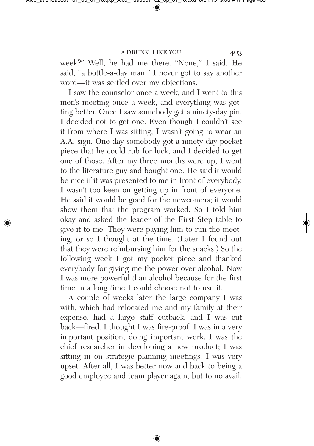week?" Well, he had me there. "None," I said. He said, "a bottle-a-day man." I never got to say another word—it was settled over my objections.

I saw the counselor once a week, and I went to this men's meeting once a week, and everything was getting better. Once I saw somebody get a ninety-day pin. I decided not to get one. Even though I couldn't see it from where I was sitting, I wasn't going to wear an A.A. sign. One day somebody got a ninety-day pocket piece that he could rub for luck, and I decided to get one of those. After my three months were up, I went to the literature guy and bought one. He said it would be nice if it was presented to me in front of everybody. I wasn't too keen on getting up in front of everyone. He said it would be good for the newcomers; it would show them that the program worked. So I told him okay and asked the leader of the First Step table to give it to me. They were paying him to run the meeting, or so I thought at the time. (Later I found out that they were reimbursing him for the snacks.) So the following week I got my pocket piece and thanked everybody for giving me the power over alcohol. Now I was more powerful than alcohol because for the first time in a long time I could choose not to use it.

A couple of weeks later the large company I was with, which had relocated me and my family at their expense, had a large staff cutback, and I was cut back—fired. I thought I was fire-proof. I was in a very important position, doing important work. I was the chief researcher in developing a new product; I was sitting in on strategic planning meetings. I was very upset. After all, I was better now and back to being a good employee and team player again, but to no avail.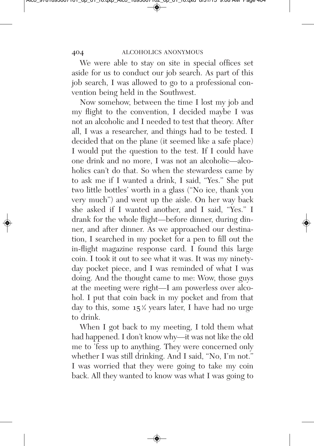We were able to stay on site in special offices set aside for us to conduct our job search. As part of this job search, I was allowed to go to a professional convention being held in the Southwest.

Now somehow, between the time I lost my job and my flight to the convention, I decided maybe I was not an alcoholic and I needed to test that theory. After all, I was a researcher, and things had to be tested. I decided that on the plane (it seemed like a safe place) I would put the question to the test. If I could have one drink and no more, I was not an alcoholic—alcoholics can't do that. So when the stewardess came by to ask me if I wanted a drink, I said, "Yes." She put two little bottles' worth in a glass ("No ice, thank you very much") and went up the aisle. On her way back she asked if I wanted another, and I said, "Yes." I drank for the whole flight—before dinner, during dinner, and after dinner. As we approached our destination, I searched in my pocket for a pen to fill out the in-flight magazine response card. I found this large coin. I took it out to see what it was. It was my ninetyday pocket piece, and I was reminded of what I was doing. And the thought came to me: Wow, those guys at the meeting were right—I am powerless over alcohol. I put that coin back in my pocket and from that day to this, some  $15\frac{1}{2}$  years later, I have had no urge to drink.

When I got back to my meeting, I told them what had happened. I don't know why—it was not like the old me to 'fess up to anything. They were concerned only whether I was still drinking. And I said, "No, I'm not." I was worried that they were going to take my coin back. All they wanted to know was what I was going to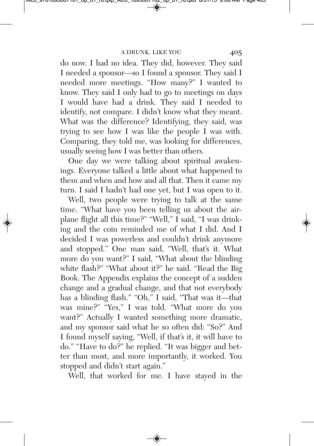do now. I had no idea. They did, however. They said I needed a sponsor—so I found a sponsor. They said I needed more meetings. "How many?" I wanted to know. They said I only had to go to meetings on days I would have had a drink. They said I needed to identify, not compare. I didn't know what they meant. What was the difference? Identifying, they said, was trying to see how I was like the people I was with. Comparing, they told me, was looking for differences, usually seeing how I was better than others.

One day we were talking about spiritual awakenings. Everyone talked a little about what happened to them and when and how and all that. Then it came my turn. I said I hadn't had one yet, but I was open to it.

Well, two people were trying to talk at the same time. "What have you been telling us about the airplane flight all this time?" "Well," I said, "I was drinking and the coin reminded me of what I did. And I decided I was powerless and couldn't drink anymore and stopped." One man said, "Well, that's it. What more do you want?" I said, "What about the blinding white flash?" "What about it?" he said. "Read the Big Book. The Appendix explains the concept of a sudden change and a gradual change, and that not everybody has a blinding flash." "Oh," I said, "That was it—that was mine?" "Yes," I was told. "What more do you want?" Actually I wanted something more dramatic, and my sponsor said what he so often did: "So?" And I found myself saying, "Well, if that's it, it will have to do." "Have to do?" he replied. "It was bigger and better than most, and more importantly, it worked. You stopped and didn't start again."

Well, that worked for me. I have stayed in the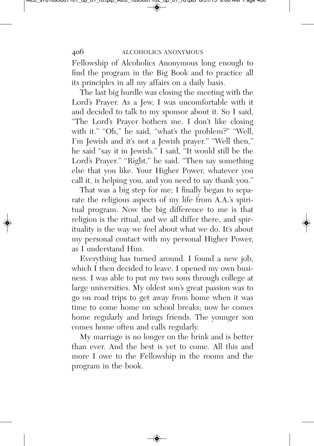#### 406 ALCOHOLICS ANONYMOUS

Fellowship of Alcoholics Anonymous long enough to find the program in the Big Book and to practice all its principles in all my affairs on a daily basis.

The last big hurdle was closing the meeting with the Lord's Prayer. As a Jew, I was uncomfortable with it and decided to talk to my sponsor about it. So I said, "The Lord's Prayer bothers me. I don't like closing with it." "Oh," he said, "what's the problem?" "Well, I'm Jewish and it's not a Jewish prayer." "Well then," he said "say it in Jewish." I said, "It would still be the Lord's Prayer." "Right," he said. "Then say something else that you like. Your Higher Power, whatever you call it, is helping you, and you need to say thank you."

That was a big step for me; I finally began to separate the religious aspects of my life from A.A.'s spiritual program. Now the big difference to me is that religion is the ritual, and we all differ there, and spirituality is the way we feel about what we do. It's about my personal contact with my personal Higher Power, as I understand Him.

Everything has turned around. I found a new job, which I then decided to leave. I opened my own business. I was able to put my two sons through college at large universities. My oldest son's great passion was to go on road trips to get away from home when it was time to come home on school breaks; now he comes home regularly and brings friends. The younger son comes home often and calls regularly.

My marriage is no longer on the brink and is better than ever. And the best is yet to come. All this and more I owe to the Fellowship in the rooms and the program in the book.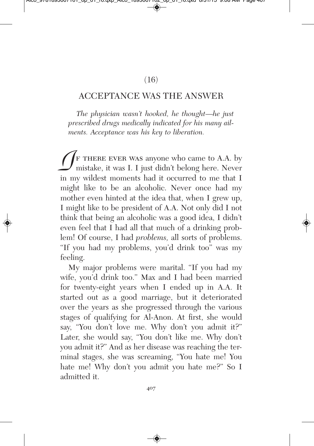## (16)

## ACCEPTANCE WAS THE ANSWER

*The physician wasn't hooked, he thought—he just prescribed drugs medically indicated for his many ailments. Acceptance was his key to liberation.*

*I* **F** THERE EVER WAS anyone who came to A.A. by mistake, it was I. I just didn't belong here. Never in my wildest moments had it occurred to me that I might like to be an alcoholic. Never once had my mother even hinted at the idea that, when I grew up, I might like to be president of A.A. Not only did I not think that being an alcoholic was a good idea, I didn't even feel that I had all that much of a drinking problem! Of course, I had *problems,* all sorts of problems. "If you had my problems, you'd drink too" was my feeling.

My major problems were marital. "If you had my wife, you'd drink too." Max and I had been married for twenty-eight years when I ended up in A.A. It started out as a good marriage, but it deteriorated over the years as she progressed through the various stages of qualifying for Al-Anon. At first, she would say, "You don't love me. Why don't you admit it?" Later, she would say, "You don't like me. Why don't you admit it?" And as her disease was reaching the terminal stages, she was screaming, "You hate me! You hate me! Why don't you admit you hate me?" So I admitted it.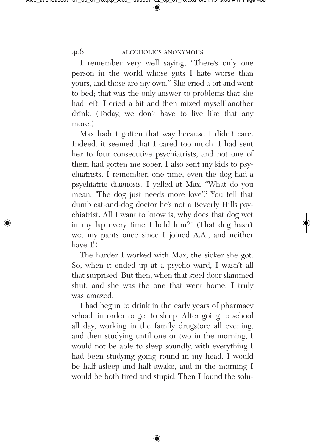I remember very well saying, "There's only one person in the world whose guts I hate worse than yours, and those are my own." She cried a bit and went to bed; that was the only answer to problems that she had left. I cried a bit and then mixed myself another drink. (Today, we don't have to live like that any more.)

Max hadn't gotten that way because I didn't care. Indeed, it seemed that I cared too much. I had sent her to four consecutive psychiatrists, and not one of them had gotten me sober. I also sent my kids to psychiatrists. I remember, one time, even the dog had a psychiatric diagnosis. I yelled at Max, "What do you mean, 'The dog just needs more love'? You tell that dumb cat-and-dog doctor he's not a Beverly Hills psychiatrist. All I want to know is, why does that dog wet in my lap every time I hold him?" (That dog hasn't wet my pants once since I joined A.A., and neither have I!)

The harder I worked with Max, the sicker she got. So, when it ended up at a psycho ward, I wasn't all that surprised. But then, when that steel door slammed shut, and she was the one that went home, I truly was amazed.

I had begun to drink in the early years of pharmacy school, in order to get to sleep. After going to school all day, working in the family drugstore all evening, and then studying until one or two in the morning, I would not be able to sleep soundly, with everything I had been studying going round in my head. I would be half asleep and half awake, and in the morning I would be both tired and stupid. Then I found the solu-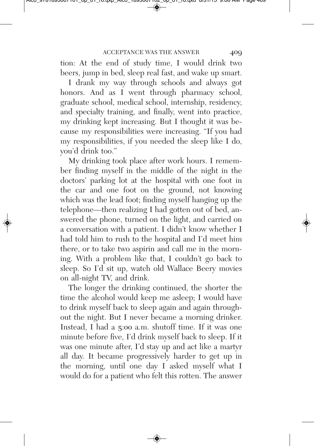tion: At the end of study time, I would drink two beers, jump in bed, sleep real fast, and wake up smart.

I drank my way through schools and always got honors. And as I went through pharmacy school, graduate school, medical school, internship, residency, and specialty training, and finally, went into practice, my drinking kept increasing. But I thought it was because my responsibilities were increasing. "If you had my responsibilities, if you needed the sleep like I do, you'd drink too."

My drinking took place after work hours. I remember finding myself in the middle of the night in the doctors' parking lot at the hospital with one foot in the car and one foot on the ground, not knowing which was the lead foot; finding myself hanging up the telephone—then realizing I had gotten out of bed, answered the phone, turned on the light, and carried on a conversation with a patient. I didn't know whether I had told him to rush to the hospital and I'd meet him there, or to take two aspirin and call me in the morning. With a problem like that, I couldn't go back to sleep. So I'd sit up, watch old Wallace Beery movies on all-night TV, and drink.

The longer the drinking continued, the shorter the time the alcohol would keep me asleep; I would have to drink myself back to sleep again and again throughout the night. But I never became a morning drinker. Instead, I had a 5:00 a.m. shutoff time. If it was one minute before five, I'd drink myself back to sleep. If it was one minute after, I'd stay up and act like a martyr all day. It became progressively harder to get up in the morning, until one day I asked myself what I would do for a patient who felt this rotten. The answer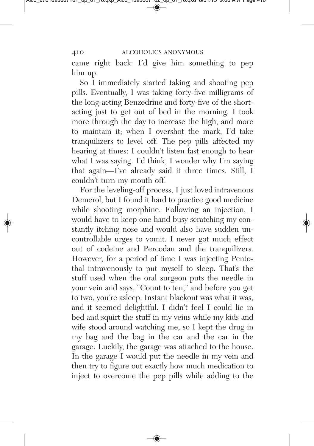came right back: I'd give him something to pep him up.

So I immediately started taking and shooting pep pills. Eventually, I was taking forty-five milligrams of the long-acting Benzedrine and forty-five of the shortacting just to get out of bed in the morning. I took more through the day to increase the high, and more to maintain it; when I overshot the mark, I'd take tranquilizers to level off. The pep pills affected my hearing at times: I couldn't listen fast enough to hear what I was saying. I'd think, I wonder why I'm saying that again—I've already said it three times. Still, I couldn't turn my mouth off.

For the leveling-off process, I just loved intravenous Demerol, but I found it hard to practice good medicine while shooting morphine. Following an injection, I would have to keep one hand busy scratching my constantly itching nose and would also have sudden uncontrollable urges to vomit. I never got much effect out of codeine and Percodan and the tranquilizers. However, for a period of time I was injecting Pentothal intravenously to put myself to sleep. That's the stuff used when the oral surgeon puts the needle in your vein and says, "Count to ten," and before you get to two, you're asleep. Instant blackout was what it was, and it seemed delightful. I didn't feel I could lie in bed and squirt the stuff in my veins while my kids and wife stood around watching me, so I kept the drug in my bag and the bag in the car and the car in the garage. Luckily, the garage was attached to the house. In the garage I would put the needle in my vein and then try to figure out exactly how much medication to inject to overcome the pep pills while adding to the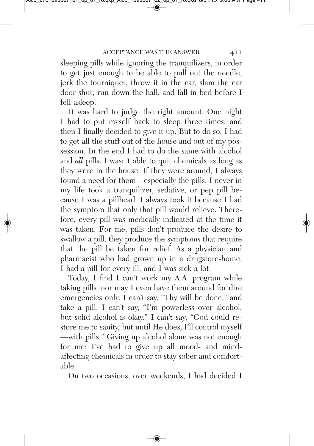sleeping pills while ignoring the tranquilizers, in order to get just enough to be able to pull out the needle, jerk the tourniquet, throw it in the car, slam the car door shut, run down the hall, and fall in bed before I fell asleep.

It was hard to judge the right amount. One night I had to put myself back to sleep three times, and then I finally decided to give it up. But to do so, I had to get all the stuff out of the house and out of my possession. In the end I had to do the same with alcohol and *all* pills. I wasn't able to quit chemicals as long as they were in the house. If they were around, I always found a need for them—especially the pills. I never in my life took a tranquilizer, sedative, or pep pill because I was a pillhead. I always took it because I had the symptom that only that pill would relieve. Therefore, every pill was medically indicated at the time it was taken. For me, pills don't produce the desire to swallow a pill; they produce the symptoms that require that the pill be taken for relief. As a physician and pharmacist who had grown up in a drugstore-home, I had a pill for every ill, and I was sick a lot.

Today, I find I can't work my A.A. program while taking pills, nor may I even have them around for dire emergencies only. I can't say, "Thy will be done," and take a pill. I can't say, "I'm powerless over alcohol, but solid alcohol is okay." I can't say, "God could restore me to sanity, but until He does, I'll control myself —with pills." Giving up alcohol alone was not enough for me; I've had to give up all mood- and mind affecting chemicals in order to stay sober and comfortable.

On two occasions, over weekends, I had decided I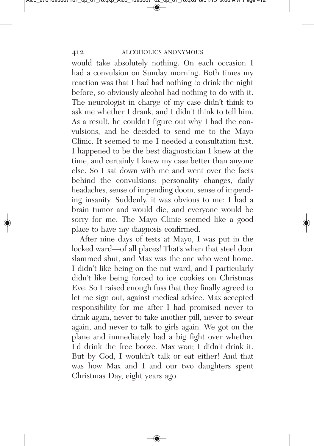would take absolutely nothing. On each occasion I had a convulsion on Sunday morning. Both times my reaction was that I had had nothing to drink the night before, so obviously alcohol had nothing to do with it. The neurologist in charge of my case didn't think to ask me whether I drank, and I didn't think to tell him. As a result, he couldn't figure out why I had the convulsions, and he decided to send me to the Mayo Clinic. It seemed to me I needed a consultation first. I happened to be the best diagnostician I knew at the time, and certainly I knew my case better than anyone else. So I sat down with me and went over the facts behind the convulsions: personality changes, daily headaches, sense of impending doom, sense of impending insanity. Suddenly, it was obvious to me: I had a brain tumor and would die, and everyone would be sorry for me. The Mayo Clinic seemed like a good place to have my diagnosis confirmed.

After nine days of tests at Mayo, I was put in the locked ward—of all places! That's when that steel door slammed shut, and Max was the one who went home. I didn't like being on the nut ward, and I particularly didn't like being forced to ice cookies on Christmas Eve. So I raised enough fuss that they finally agreed to let me sign out, against medical advice. Max accepted responsibility for me after I had promised never to drink again, never to take another pill, never to swear again, and never to talk to girls again. We got on the plane and immediately had a big fight over whether I'd drink the free booze. Max won; I didn't drink it. But by God, I wouldn't talk or eat either! And that was how Max and I and our two daughters spent Christmas Day, eight years ago.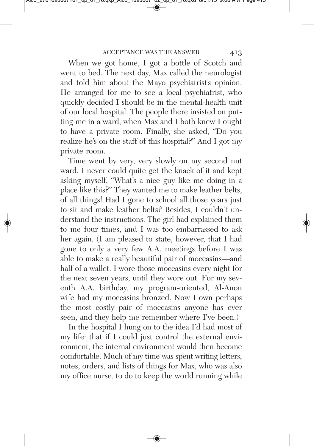When we got home, I got a bottle of Scotch and went to bed. The next day, Max called the neurologist and told him about the Mayo psychiatrist's opinion. He arranged for me to see a local psychiatrist, who quickly decided I should be in the mental-health unit of our local hospital. The people there insisted on putting me in a ward, when Max and I both knew I ought to have a private room. Finally, she asked, "Do you realize he's on the staff of this hospital?" And I got my private room.

Time went by very, very slowly on my second nut ward. I never could quite get the knack of it and kept asking myself, "What's a nice guy like me doing in a place like this?" They wanted me to make leather belts, of all things! Had I gone to school all those years just to sit and make leather belts? Besides, I couldn't understand the instructions. The girl had explained them to me four times, and I was too embarrassed to ask her again. (I am pleased to state, however, that I had gone to only a very few A.A. meetings before I was able to make a really beautiful pair of moccasins—and half of a wallet. I wore those moccasins every night for the next seven years, until they wore out. For my seventh A.A. birthday, my program-oriented, Al-Anon wife had my moccasins bronzed. Now I own perhaps the most costly pair of moccasins anyone has ever seen, and they help me remember where I've been.)

In the hospital I hung on to the idea I'd had most of my life: that if I could just control the external environment, the internal environment would then become com fortable. Much of my time was spent writing letters, notes, orders, and lists of things for Max, who was also my office nurse, to do to keep the world running while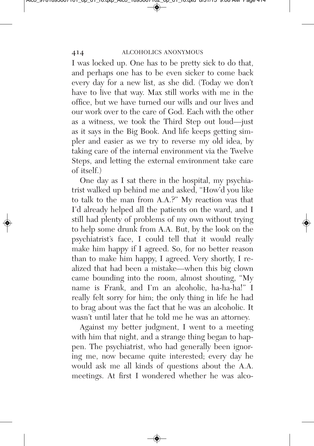I was locked up. One has to be pretty sick to do that, and perhaps one has to be even sicker to come back every day for a new list, as she did. (Today we don't have to live that way. Max still works with me in the office, but we have turned our wills and our lives and our work over to the care of God. Each with the other as a witness, we took the Third Step out loud—just as it says in the Big Book. And life keeps getting simpler and easier as we try to reverse my old idea, by taking care of the internal environment via the Twelve Steps, and letting the external environment take care of itself.)

One day as I sat there in the hospital, my psychiatrist walked up behind me and asked, "How'd you like to talk to the man from A.A.?" My reaction was that I'd already helped all the patients on the ward, and I still had plenty of problems of my own without trying to help some drunk from A.A. But, by the look on the psychiatrist's face, I could tell that it would really make him happy if I agreed. So, for no better reason than to make him happy, I agreed. Very shortly, I realized that had been a mistake—when this big clown came bounding into the room, almost shouting, "My name is Frank, and I'm an alcoholic, ha-ha-ha!" I really felt sorry for him; the only thing in life he had to brag about was the fact that he was an alcoholic. It wasn't until later that he told me he was an attorney.

Against my better judgment, I went to a meeting with him that night, and a strange thing began to happen. The psychiatrist, who had generally been ignoring me, now became quite interested; every day he would ask me all kinds of questions about the A.A. meetings. At first I wondered whether he was alco-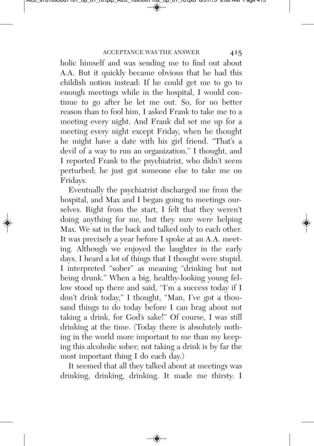holic himself and was sending me to find out about A.A. But it quickly became obvious that he had this childish notion instead: If he could get me to go to enough meetings while in the hospital, I would continue to go after he let me out. So, for no better reason than to fool him, I asked Frank to take me to a meeting every night. And Frank did set me up for a meeting every night except Friday, when he thought he might have a date with his girl friend. "That's a devil of a way to run an organization," I thought, and I reported Frank to the psychiatrist, who didn't seem perturbed; he just got someone else to take me on Fridays.

Eventually the psychiatrist discharged me from the hospital, and Max and I began going to meetings ourselves. Right from the start, I felt that they weren't doing anything for me, but they sure were helping Max. We sat in the back and talked only to each other. It was precisely a year before I spoke at an A.A. meeting. Although we enjoyed the laughter in the early days, I heard a lot of things that I thought were stupid. I interpreted "sober" as meaning "drinking but not being drunk." When a big, healthy-looking young fellow stood up there and said, "I'm a success today if I don't drink today," I thought, "Man, I've got a thousand things to do today before I can brag about not taking a drink, for God's sake!" Of course, I was still drinking at the time. (Today there is absolutely nothing in the world more important to me than my keeping this alcoholic sober; not taking a drink is by far the most important thing I do each day.)

It seemed that all they talked about at meetings was drinking, drinking, drinking. It made me thirsty. I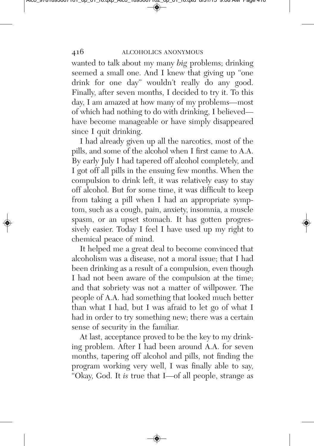wanted to talk about my many *big* problems; drinking seemed a small one. And I knew that giving up "one drink for one day" wouldn't really do any good. Finally, after seven months, I decided to try it. To this day, I am amazed at how many of my problems—most of which had nothing to do with drinking, I believed have become manageable or have simply disappeared since I quit drinking.

I had already given up all the narcotics, most of the pills, and some of the alcohol when I first came to A.A. By early July I had tapered off alcohol completely, and I got off all pills in the ensuing few months. When the compulsion to drink left, it was relatively easy to stay off alcohol. But for some time, it was difficult to keep from taking a pill when I had an appropriate symptom, such as a cough, pain, anxiety, insomnia, a muscle spasm, or an upset stomach. It has gotten progressively easier. Today I feel I have used up my right to chemical peace of mind.

It helped me a great deal to become convinced that alcoholism was a disease, not a moral issue; that I had been drinking as a result of a compulsion, even though I had not been aware of the compulsion at the time; and that sobriety was not a matter of willpower. The people of A.A. had something that looked much better than what I had, but I was afraid to let go of what I had in order to try something new; there was a certain sense of security in the familiar.

At last, acceptance proved to be the key to my drinking problem. After I had been around A.A. for seven months, tapering off alcohol and pills, not finding the program working very well, I was finally able to say, "Okay, God. It *is* true that I—of all people, strange as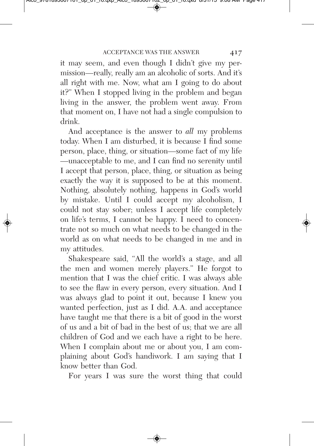it may seem, and even though I didn't give my permission—really, really am an alcoholic of sorts. And it's all right with me. Now, what am I going to do about it?" When I stopped living in the problem and began living in the answer, the problem went away. From that moment on, I have not had a single compulsion to drink.

And acceptance is the answer to *all* my problems today. When I am disturbed, it is because I find some person, place, thing, or situation—some fact of my life —unacceptable to me, and I can find no serenity until I accept that person, place, thing, or situation as being exactly the way it is supposed to be at this moment. Nothing, absolutely nothing, happens in God's world by mistake. Until I could accept my alcoholism, I could not stay sober; unless I accept life completely on life's terms, I cannot be happy. I need to concentrate not so much on what needs to be changed in the world as on what needs to be changed in me and in my attitudes.

Shakespeare said, "All the world's a stage, and all the men and women merely players." He forgot to mention that I was the chief critic. I was always able to see the flaw in every person, every situation. And I was always glad to point it out, because I knew you wanted perfection, just as I did. A.A. and acceptance have taught me that there is a bit of good in the worst of us and a bit of bad in the best of us; that we are all children of God and we each have a right to be here. When I complain about me or about you, I am complaining about God's handiwork. I am saying that I know better than God.

For years I was sure the worst thing that could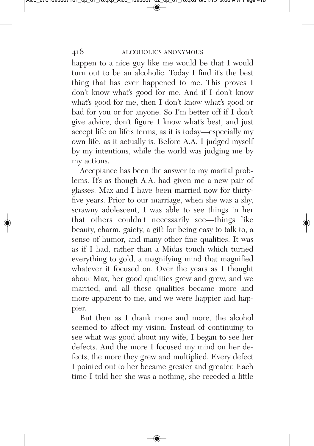happen to a nice guy like me would be that I would turn out to be an alcoholic. Today I find it's the best thing that has ever happened to me. This proves I don't know what's good for me. And if I don't know what's good for me, then I don't know what's good or bad for you or for anyone. So I'm better off if I don't give advice, don't figure I know what's best, and just accept life on life's terms, as it is today—especially my own life, as it actually is. Before A.A. I judged myself by my intentions, while the world was judging me by my actions.

Acceptance has been the answer to my marital problems. It's as though A.A. had given me a new pair of glasses. Max and I have been married now for thirtyfive years. Prior to our marriage, when she was a shy, scrawny adolescent, I was able to see things in her that others couldn't necessarily see—things like beauty, charm, gaiety, a gift for being easy to talk to, a sense of humor, and many other fine qualities. It was as if I had, rather than a Midas touch which turned everything to gold, a magnifying mind that magnified whatever it focused on. Over the years as I thought about Max, her good qualities grew and grew, and we married, and all these qualities became more and more apparent to me, and we were happier and happier.

But then as I drank more and more, the alcohol seemed to affect my vision: Instead of continuing to see what was good about my wife, I began to see her defects. And the more I focused my mind on her defects, the more they grew and multiplied. Every defect I pointed out to her became greater and greater. Each time I told her she was a nothing, she receded a little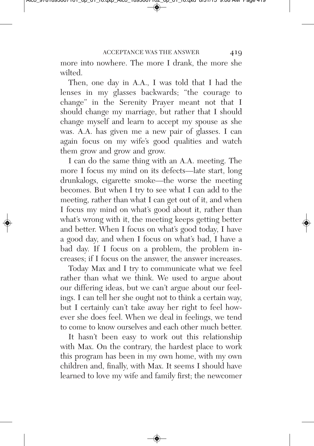more into nowhere. The more I drank, the more she wilted.

Then, one day in A.A., I was told that I had the lenses in my glasses backwards; "the courage to change" in the Serenity Prayer meant not that I should change my marriage, but rather that I should change myself and learn to accept my spouse as she was. A.A. has given me a new pair of glasses. I can again focus on my wife's good qualities and watch them grow and grow and grow.

I can do the same thing with an A.A. meeting. The more I focus my mind on its defects—late start, long drunkalogs, cigarette smoke—the worse the meeting becomes. But when I try to see what I can add to the meeting, rather than what I can get out of it, and when I focus my mind on what's good about it, rather than what's wrong with it, the meeting keeps getting better and better. When I focus on what's good today, I have a good day, and when I focus on what's bad, I have a bad day. If I focus on a problem, the problem increases; if I focus on the answer, the answer increases.

Today Max and I try to communicate what we feel rather than what we think. We used to argue about our differing ideas, but we can't argue about our feelings. I can tell her she ought not to think a certain way, but I certainly can't take away her right to feel however she does feel. When we deal in feelings, we tend to come to know ourselves and each other much better.

It hasn't been easy to work out this relationship with Max. On the contrary, the hardest place to work this program has been in my own home, with my own children and, finally, with Max. It seems I should have learned to love my wife and family first; the newcomer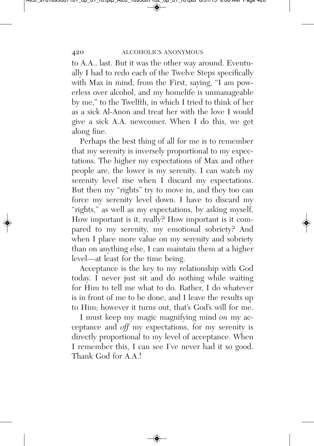to A.A., last. But it was the other way around. Eventually I had to redo each of the Twelve Steps specifically with Max in mind, from the First, saying, "I am powerless over alcohol, and my homelife is unmanageable by me," to the Twelfth, in which I tried to think of her as a sick Al-Anon and treat her with the love I would give a sick A.A. newcomer. When I do this, we get along fine.

Perhaps the best thing of all for me is to remember that my serenity is inversely proportional to my expectations. The higher my expectations of Max and other people are, the lower is my serenity. I can watch my serenity level rise when I discard my expectations. But then my "rights" try to move in, and they too can force my serenity level down. I have to discard my "rights," as well as my expectations, by asking myself, How important is it, really? How important is it compared to my serenity, my emotional sobriety? And when I place more value on my serenity and sobriety than on anything else, I can maintain them at a higher level—at least for the time being.

Acceptance is the key to my relationship with God today. I never just sit and do nothing while waiting for Him to tell me what to do. Rather, I do whatever is in front of me to be done, and I leave the results up to Him; however it turns out, that's God's will for me.

I must keep my magic magnifying mind *on* my acceptance and *off* my expectations, for my serenity is directly proportional to my level of acceptance. When I remember this, I can see I've never had it so good. Thank God for A.A.!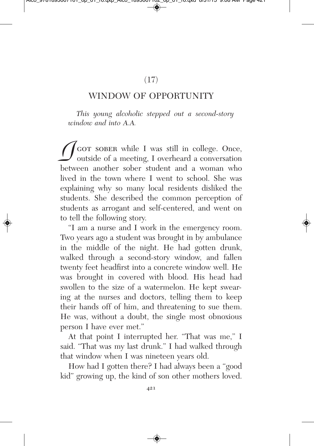## (17)

## WINDOW OF OPPORTUNITY

*This young alcoholic stepped out a second-story window and into A.A.*

*I* GOT SOBER while I was still in college. Once, outside of a meeting, I overheard a conversation between another sober student and a woman who lived in the town where I went to school. She was explaining why so many local residents disliked the students. She described the common perception of students as arrogant and self-centered, and went on to tell the following story.

"I am a nurse and I work in the emergency room. Two years ago a student was brought in by ambulance in the middle of the night. He had gotten drunk, walked through a second-story window, and fallen twenty feet headfirst into a concrete window well. He was brought in covered with blood. His head had swollen to the size of a watermelon. He kept swearing at the nurses and doctors, telling them to keep their hands off of him, and threatening to sue them. He was, without a doubt, the single most obnoxious person I have ever met."

At that point I interrupted her. "That was me," I said. "That was my last drunk." I had walked through that window when I was nineteen years old.

How had I gotten there? I had always been a "good kid" growing up, the kind of son other mothers loved.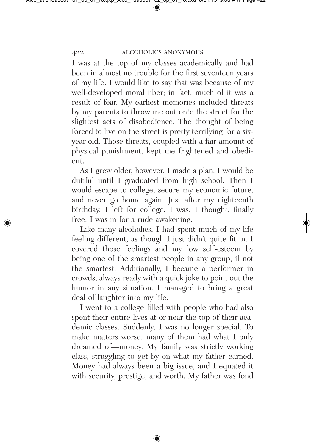I was at the top of my classes academically and had been in almost no trouble for the first seventeen years of my life. I would like to say that was because of my well- developed moral fiber; in fact, much of it was a result of fear. My earliest memories included threats by my parents to throw me out onto the street for the slightest acts of disobedience. The thought of being forced to live on the street is pretty terrifying for a sixyear-old. Those threats, coupled with a fair amount of physical punishment, kept me frightened and obedient.

As I grew older, however, I made a plan. I would be dutiful until I graduated from high school. Then I would escape to college, secure my economic future, and never go home again. Just after my eighteenth birthday, I left for college. I was, I thought, finally free. I was in for a rude awakening.

Like many alcoholics, I had spent much of my life feeling different, as though I just didn't quite fit in. I covered those feelings and my low self-esteem by being one of the smartest people in any group, if not the smartest. Additionally, I became a performer in crowds, always ready with a quick joke to point out the humor in any situation. I managed to bring a great deal of laughter into my life.

I went to a college filled with people who had also spent their entire lives at or near the top of their academic classes. Suddenly, I was no longer special. To make matters worse, many of them had what I only dreamed of—money. My family was strictly working class, struggling to get by on what my father earned. Money had always been a big issue, and I equated it with security, prestige, and worth. My father was fond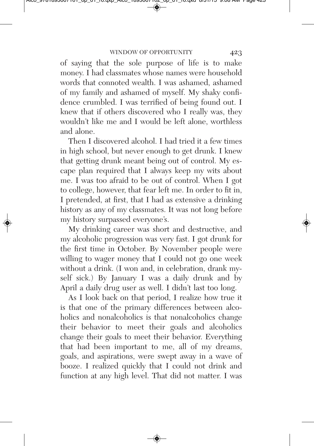of saying that the sole purpose of life is to make money. I had classmates whose names were household words that connoted wealth. I was ashamed, ashamed of my family and ashamed of myself. My shaky confidence crumbled. I was terrified of being found out. I knew that if others discovered who I really was, they wouldn't like me and I would be left alone, worthless and alone.

Then I discovered alcohol. I had tried it a few times in high school, but never enough to get drunk. I knew that getting drunk meant being out of control. My escape plan required that I always keep my wits about me. I was too afraid to be out of control. When I got to college, however, that fear left me. In order to fit in, I pretended, at first, that I had as extensive a drinking history as any of my classmates. It was not long before my history surpassed everyone's.

My drinking career was short and destructive, and my alcoholic progression was very fast. I got drunk for the first time in October. By November people were willing to wager money that I could not go one week without a drink. (I won and, in celebration, drank myself sick.) By January I was a daily drunk and by April a daily drug user as well. I didn't last too long.

As I look back on that period, I realize how true it is that one of the primary differences between alcoholics and nonalcoholics is that nonalcoholics change their behavior to meet their goals and alcoholics change their goals to meet their behavior. Everything that had been important to me, all of my dreams, goals, and aspirations, were swept away in a wave of booze. I realized quickly that I could not drink and function at any high level. That did not matter. I was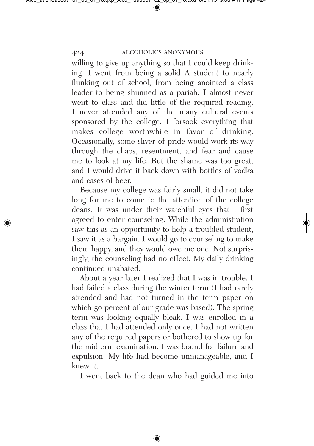willing to give up anything so that I could keep drinking. I went from being a solid A student to nearly flunking out of school, from being anointed a class leader to being shunned as a pariah. I almost never went to class and did little of the required reading. I never attended any of the many cultural events sponsored by the college. I forsook everything that makes college worthwhile in favor of drinking. Occasionally, some sliver of pride would work its way through the chaos, resentment, and fear and cause me to look at my life. But the shame was too great, and I would drive it back down with bottles of vodka and cases of beer.

Because my college was fairly small, it did not take long for me to come to the attention of the college deans. It was under their watchful eyes that I first agreed to enter counseling. While the administration saw this as an opportunity to help a troubled student, I saw it as a bargain. I would go to counseling to make them happy, and they would owe me one. Not surprisingly, the counseling had no effect. My daily drinking continued unabated.

About a year later I realized that I was in trouble. I had failed a class during the winter term (I had rarely attended and had not turned in the term paper on which 50 percent of our grade was based). The spring term was looking equally bleak. I was enrolled in a class that I had attended only once. I had not written any of the required papers or bothered to show up for the midterm examination. I was bound for failure and expulsion. My life had become unmanageable, and I knew it.

I went back to the dean who had guided me into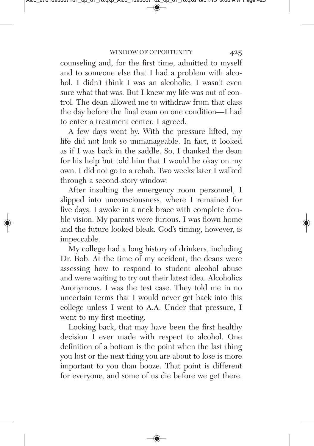counseling and, for the first time, admitted to myself and to someone else that I had a problem with alcohol. I didn't think I was an alcoholic. I wasn't even sure what that was. But I knew my life was out of control. The dean allowed me to withdraw from that class the day before the final exam on one condition—I had to enter a treatment center. I agreed.

A few days went by. With the pressure lifted, my life did not look so unmanageable. In fact, it looked as if I was back in the saddle. So, I thanked the dean for his help but told him that I would be okay on my own. I did not go to a rehab. Two weeks later I walked through a second-story window.

After insulting the emergency room personnel, I slipped into unconsciousness, where I remained for five days. I awoke in a neck brace with complete double vision. My parents were furious. I was flown home and the future looked bleak. God's timing, however, is impeccable.

My college had a long history of drinkers, including Dr. Bob. At the time of my accident, the deans were assessing how to respond to student alcohol abuse and were waiting to try out their latest idea. Alcoholics Anonymous. I was the test case. They told me in no uncertain terms that I would never get back into this college unless I went to A.A. Under that pressure, I went to my first meeting.

Looking back, that may have been the first healthy decision I ever made with respect to alcohol. One definition of a bottom is the point when the last thing you lost or the next thing you are about to lose is more important to you than booze. That point is different for everyone, and some of us die before we get there.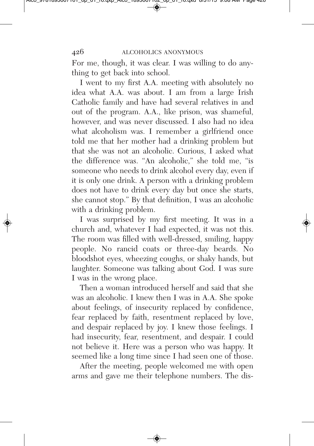For me, though, it was clear. I was willing to do anything to get back into school.

I went to my first A.A. meeting with absolutely no idea what A.A. was about. I am from a large Irish Catholic family and have had several relatives in and out of the program. A.A., like prison, was shameful, however, and was never discussed. I also had no idea what alcoholism was. I remember a girlfriend once told me that her mother had a drinking problem but that she was not an alcoholic. Curious, I asked what the difference was. "An alcoholic," she told me, "is someone who needs to drink alcohol every day, even if it is only one drink. A person with a drinking problem does not have to drink every day but once she starts, she cannot stop." By that definition, I was an alcoholic with a drinking problem.

I was surprised by my first meeting. It was in a church and, whatever I had expected, it was not this. The room was filled with well-dressed, smiling, happy people. No rancid coats or three-day beards. No bloodshot eyes, wheezing coughs, or shaky hands, but laughter. Someone was talking about God. I was sure I was in the wrong place.

Then a woman introduced herself and said that she was an alcoholic. I knew then I was in A.A. She spoke about feelings, of insecurity replaced by confidence, fear replaced by faith, resentment replaced by love, and despair replaced by joy. I knew those feelings. I had insecurity, fear, resentment, and despair. I could not believe it. Here was a person who was happy. It seemed like a long time since I had seen one of those.

After the meeting, people welcomed me with open arms and gave me their telephone numbers. The dis-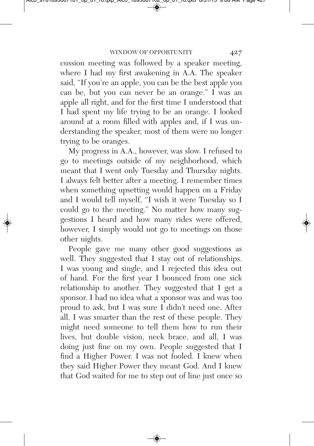cussion meeting was followed by a speaker meeting, where I had my first awakening in A.A. The speaker said, "If you're an apple, you can be the best apple you can be, but you can never be an orange." I was an apple all right, and for the first time I understood that I had spent my life trying to be an orange. I looked around at a room filled with apples and, if I was understanding the speaker, most of them were no longer trying to be oranges.

My progress in A.A., however, was slow. I refused to go to meetings outside of my neighborhood, which meant that I went only Tuesday and Thursday nights. I always felt better after a meeting. I remember times when something upsetting would happen on a Friday and I would tell myself, "I wish it were Tuesday so I could go to the meeting." No matter how many suggestions I heard and how many rides were offered, however, I simply would not go to meetings on those other nights.

People gave me many other good suggestions as well. They suggested that I stay out of relationships. I was young and single, and I rejected this idea out of hand. For the first year I bounced from one sick relationship to another. They suggested that I get a sponsor. I had no idea what a sponsor was and was too proud to ask, but I was sure I didn't need one. After all, I was smarter than the rest of these people. They might need someone to tell them how to run their lives, but double vision, neck brace, and all, I was doing just fine on my own. People suggested that I find a Higher Power. I was not fooled. I knew when they said Higher Power they meant God. And I knew that God waited for me to step out of line just once so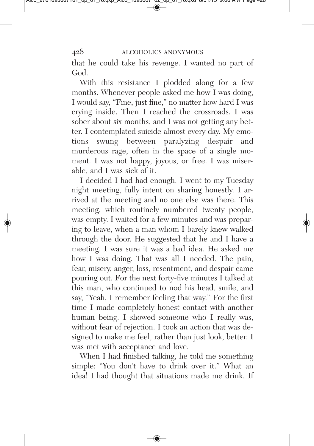that he could take his revenge. I wanted no part of God.

With this resistance I plodded along for a few months. Whenever people asked me how I was doing, I would say, "Fine, just fine," no matter how hard I was crying inside. Then I reached the crossroads. I was sober about six months, and I was not getting any better. I contemplated suicide almost every day. My emotions swung between paralyzing despair and murderous rage, often in the space of a single moment. I was not happy, joyous, or free. I was miserable, and I was sick of it.

I decided I had had enough. I went to my Tuesday night meeting, fully intent on sharing honestly. I arrived at the meeting and no one else was there. This meeting, which routinely numbered twenty people, was empty. I waited for a few minutes and was preparing to leave, when a man whom I barely knew walked through the door. He suggested that he and I have a meeting. I was sure it was a bad idea. He asked me how I was doing. That was all I needed. The pain, fear, misery, anger, loss, resentment, and despair came pouring out. For the next forty-five minutes I talked at this man, who continued to nod his head, smile, and say, "Yeah, I remember feeling that way." For the first time I made completely honest contact with another human being. I showed someone who I really was, without fear of rejection. I took an action that was designed to make me feel, rather than just look, better. I was met with acceptance and love.

When I had finished talking, he told me something simple: "You don't have to drink over it." What an idea! I had thought that situations made me drink. If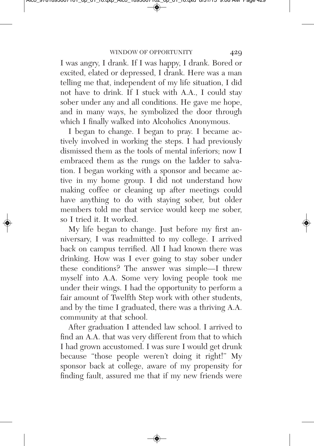I was angry, I drank. If I was happy, I drank. Bored or excited, elated or depressed, I drank. Here was a man telling me that, independent of my life situation, I did not have to drink. If I stuck with A.A., I could stay sober under any and all conditions. He gave me hope, and in many ways, he symbolized the door through which I finally walked into Alcoholics Anonymous.

I began to change. I began to pray. I became actively involved in working the steps. I had previously dismissed them as the tools of mental inferiors; now I embraced them as the rungs on the ladder to salvation. I began working with a sponsor and became active in my home group. I did not understand how making coffee or cleaning up after meetings could have anything to do with staying sober, but older members told me that service would keep me sober, so I tried it. It worked.

My life began to change. Just before my first anniversary, I was readmitted to my college. I arrived back on campus terrified. All I had known there was drinking. How was I ever going to stay sober under these conditions? The answer was simple—I threw myself into A.A. Some very loving people took me under their wings. I had the opportunity to perform a fair amount of Twelfth Step work with other students, and by the time I graduated, there was a thriving A.A. community at that school.

After graduation I attended law school. I arrived to find an A.A. that was very different from that to which I had grown accustomed. I was sure I would get drunk because "those people weren't doing it right!" My sponsor back at college, aware of my propensity for finding fault, assured me that if my new friends were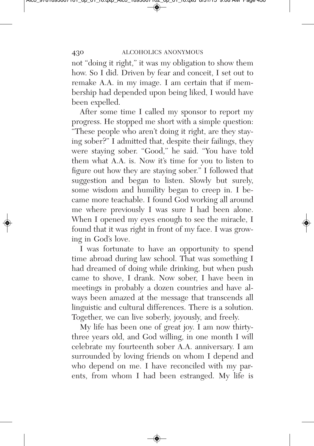not "doing it right," it was my obligation to show them how. So I did. Driven by fear and conceit, I set out to remake A.A. in my image. I am certain that if membership had depended upon being liked, I would have been expelled.

After some time I called my sponsor to report my progress. He stopped me short with a simple question: "These people who aren't doing it right, are they staying sober?" I admitted that, despite their failings, they were staying sober. "Good," he said. "You have told them what A.A. is. Now it's time for you to listen to figure out how they are staying sober." I followed that suggestion and began to listen. Slowly but surely, some wisdom and humility began to creep in. I became more teachable. I found God working all around me where previously I was sure I had been alone. When I opened my eyes enough to see the miracle, I found that it was right in front of my face. I was growing in God's love.

I was fortunate to have an opportunity to spend time abroad during law school. That was something I had dreamed of doing while drinking, but when push came to shove, I drank. Now sober, I have been in meetings in probably a dozen countries and have always been amazed at the message that transcends all linguistic and cultural differences. There is a solution. Together, we can live soberly, joyously, and freely.

My life has been one of great joy. I am now thirtythree years old, and God willing, in one month I will celebrate my fourteenth sober A.A. anniversary. I am surrounded by loving friends on whom I depend and who depend on me. I have reconciled with my parents, from whom I had been estranged. My life is